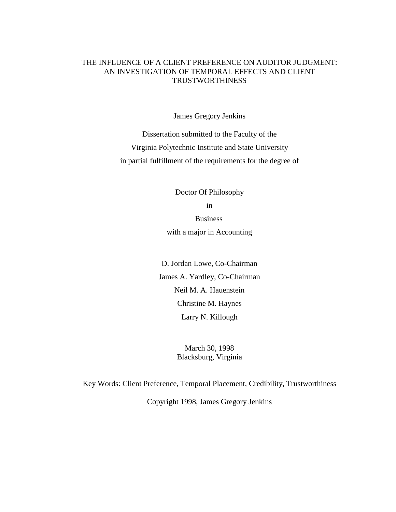## THE INFLUENCE OF A CLIENT PREFERENCE ON AUDITOR JUDGMENT: AN INVESTIGATION OF TEMPORAL EFFECTS AND CLIENT TRUSTWORTHINESS

James Gregory Jenkins

Dissertation submitted to the Faculty of the Virginia Polytechnic Institute and State University in partial fulfillment of the requirements for the degree of

> Doctor Of Philosophy in Business with a major in Accounting

D. Jordan Lowe, Co-Chairman James A. Yardley, Co-Chairman Neil M. A. Hauenstein Christine M. Haynes Larry N. Killough

> March 30, 1998 Blacksburg, Virginia

Key Words: Client Preference, Temporal Placement, Credibility, Trustworthiness

Copyright 1998, James Gregory Jenkins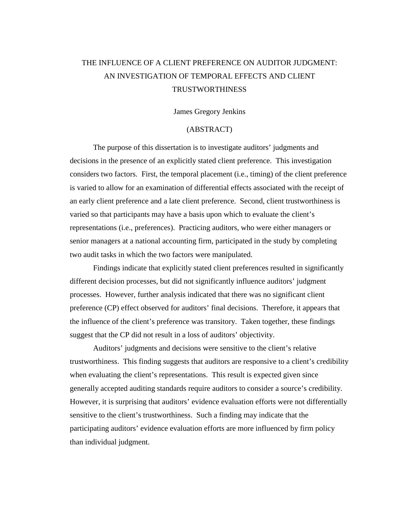# THE INFLUENCE OF A CLIENT PREFERENCE ON AUDITOR JUDGMENT: AN INVESTIGATION OF TEMPORAL EFFECTS AND CLIENT TRUSTWORTHINESS

#### James Gregory Jenkins

## (ABSTRACT)

The purpose of this dissertation is to investigate auditors' judgments and decisions in the presence of an explicitly stated client preference. This investigation considers two factors. First, the temporal placement (i.e., timing) of the client preference is varied to allow for an examination of differential effects associated with the receipt of an early client preference and a late client preference. Second, client trustworthiness is varied so that participants may have a basis upon which to evaluate the client's representations (i.e., preferences). Practicing auditors, who were either managers or senior managers at a national accounting firm, participated in the study by completing two audit tasks in which the two factors were manipulated.

Findings indicate that explicitly stated client preferences resulted in significantly different decision processes, but did not significantly influence auditors' judgment processes. However, further analysis indicated that there was no significant client preference (CP) effect observed for auditors' final decisions. Therefore, it appears that the influence of the client's preference was transitory. Taken together, these findings suggest that the CP did not result in a loss of auditors' objectivity.

Auditors' judgments and decisions were sensitive to the client's relative trustworthiness. This finding suggests that auditors are responsive to a client's credibility when evaluating the client's representations. This result is expected given since generally accepted auditing standards require auditors to consider a source's credibility. However, it is surprising that auditors' evidence evaluation efforts were not differentially sensitive to the client's trustworthiness. Such a finding may indicate that the participating auditors' evidence evaluation efforts are more influenced by firm policy than individual judgment.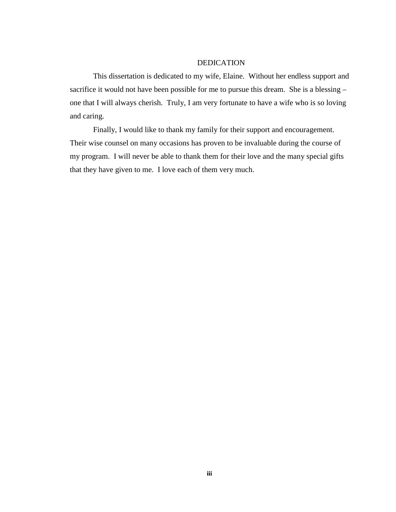## DEDICATION

This dissertation is dedicated to my wife, Elaine. Without her endless support and sacrifice it would not have been possible for me to pursue this dream. She is a blessing – one that I will always cherish. Truly, I am very fortunate to have a wife who is so loving and caring.

Finally, I would like to thank my family for their support and encouragement. Their wise counsel on many occasions has proven to be invaluable during the course of my program. I will never be able to thank them for their love and the many special gifts that they have given to me. I love each of them very much.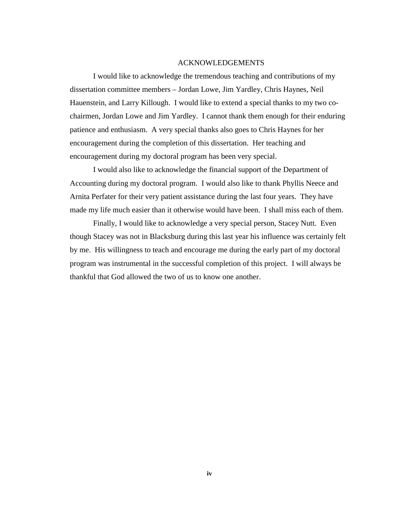#### ACKNOWLEDGEMENTS

I would like to acknowledge the tremendous teaching and contributions of my dissertation committee members – Jordan Lowe, Jim Yardley, Chris Haynes, Neil Hauenstein, and Larry Killough. I would like to extend a special thanks to my two cochairmen, Jordan Lowe and Jim Yardley. I cannot thank them enough for their enduring patience and enthusiasm. A very special thanks also goes to Chris Haynes for her encouragement during the completion of this dissertation. Her teaching and encouragement during my doctoral program has been very special.

I would also like to acknowledge the financial support of the Department of Accounting during my doctoral program. I would also like to thank Phyllis Neece and Arnita Perfater for their very patient assistance during the last four years. They have made my life much easier than it otherwise would have been. I shall miss each of them.

Finally, I would like to acknowledge a very special person, Stacey Nutt. Even though Stacey was not in Blacksburg during this last year his influence was certainly felt by me. His willingness to teach and encourage me during the early part of my doctoral program was instrumental in the successful completion of this project. I will always be thankful that God allowed the two of us to know one another.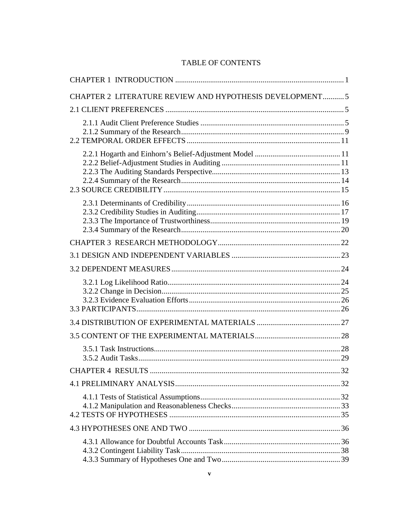## TABLE OF CONTENTS

| CHAPTER 2 LITERATURE REVIEW AND HYPOTHESIS DEVELOPMENT5 |  |
|---------------------------------------------------------|--|
|                                                         |  |
|                                                         |  |
|                                                         |  |
|                                                         |  |
|                                                         |  |
|                                                         |  |
|                                                         |  |
|                                                         |  |
|                                                         |  |
|                                                         |  |
|                                                         |  |
|                                                         |  |
|                                                         |  |
|                                                         |  |
|                                                         |  |
|                                                         |  |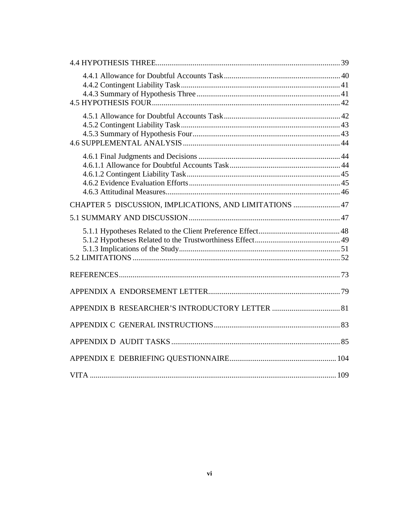| CHAPTER 5 DISCUSSION, IMPLICATIONS, AND LIMITATIONS  47 |  |
|---------------------------------------------------------|--|
|                                                         |  |
|                                                         |  |
|                                                         |  |
|                                                         |  |
|                                                         |  |
|                                                         |  |
|                                                         |  |
|                                                         |  |
|                                                         |  |
|                                                         |  |
|                                                         |  |
| $\ldots$ 109<br><b>VITA</b>                             |  |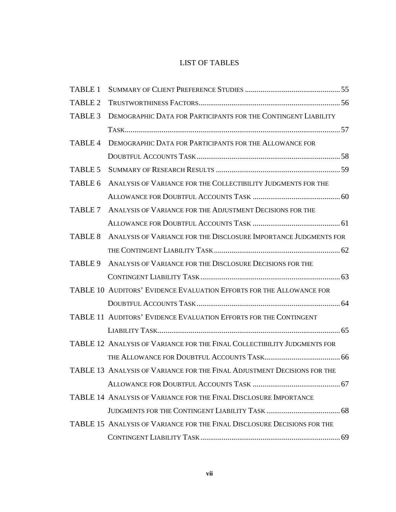# LIST OF TABLES

| TABLE 1        |                                                                          |  |
|----------------|--------------------------------------------------------------------------|--|
| <b>TABLE 2</b> |                                                                          |  |
| TABLE 3        | DEMOGRAPHIC DATA FOR PARTICIPANTS FOR THE CONTINGENT LIABILITY           |  |
|                |                                                                          |  |
| <b>TABLE 4</b> | DEMOGRAPHIC DATA FOR PARTICIPANTS FOR THE ALLOWANCE FOR                  |  |
|                |                                                                          |  |
| TABLE 5        |                                                                          |  |
| TABLE 6        | ANALYSIS OF VARIANCE FOR THE COLLECTIBILITY JUDGMENTS FOR THE            |  |
|                |                                                                          |  |
| TABLE 7        | ANALYSIS OF VARIANCE FOR THE ADJUSTMENT DECISIONS FOR THE                |  |
|                |                                                                          |  |
| <b>TABLE 8</b> | ANALYSIS OF VARIANCE FOR THE DISCLOSURE IMPORTANCE JUDGMENTS FOR         |  |
|                |                                                                          |  |
| TABLE 9        | ANALYSIS OF VARIANCE FOR THE DISCLOSURE DECISIONS FOR THE                |  |
|                |                                                                          |  |
|                | TABLE 10 AUDITORS' EVIDENCE EVALUATION EFFORTS FOR THE ALLOWANCE FOR     |  |
|                |                                                                          |  |
|                | TABLE 11 AUDITORS' EVIDENCE EVALUATION EFFORTS FOR THE CONTINGENT        |  |
|                |                                                                          |  |
|                | TABLE 12 ANALYSIS OF VARIANCE FOR THE FINAL COLLECTIBILITY JUDGMENTS FOR |  |
|                |                                                                          |  |
|                | TABLE 13 ANALYSIS OF VARIANCE FOR THE FINAL ADJUSTMENT DECISIONS FOR THE |  |
|                |                                                                          |  |
|                | TABLE 14 ANALYSIS OF VARIANCE FOR THE FINAL DISCLOSURE IMPORTANCE        |  |
|                |                                                                          |  |
|                | TABLE 15 ANALYSIS OF VARIANCE FOR THE FINAL DISCLOSURE DECISIONS FOR THE |  |
|                |                                                                          |  |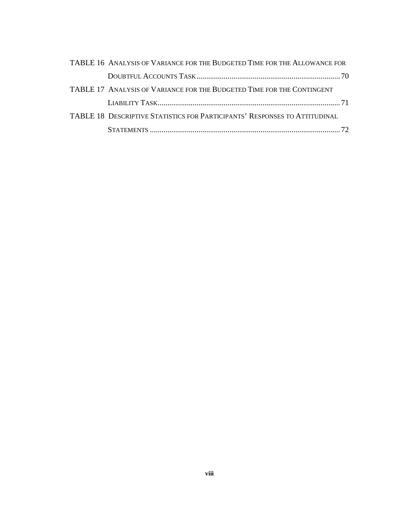| TABLE 16 ANALYSIS OF VARIANCE FOR THE BUDGETED TIME FOR THE ALLOWANCE FOR  |  |
|----------------------------------------------------------------------------|--|
|                                                                            |  |
| TABLE 17 ANALYSIS OF VARIANCE FOR THE BUDGETED TIME FOR THE CONTINGENT     |  |
|                                                                            |  |
| TABLE 18 DESCRIPTIVE STATISTICS FOR PARTICIPANTS' RESPONSES TO ATTITUDINAL |  |
|                                                                            |  |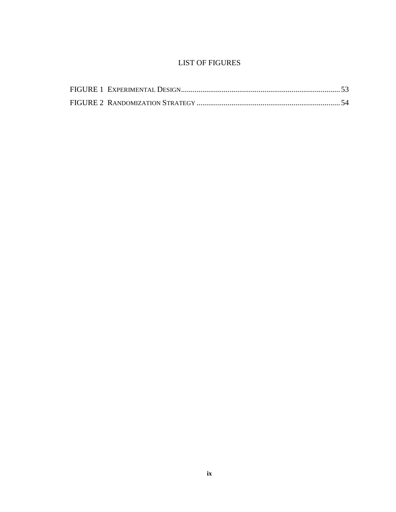## LIST OF FIGURES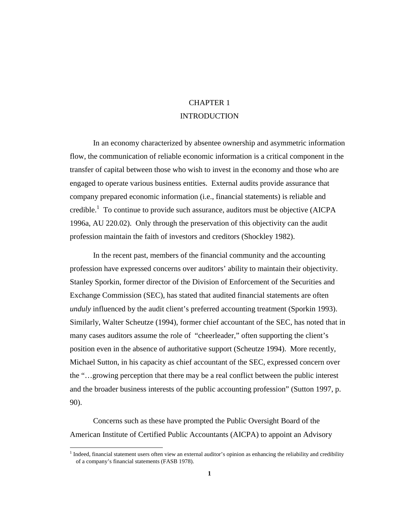# CHAPTER 1 INTRODUCTION

In an economy characterized by absentee ownership and asymmetric information flow, the communication of reliable economic information is a critical component in the transfer of capital between those who wish to invest in the economy and those who are engaged to operate various business entities. External audits provide assurance that company prepared economic information (i.e., financial statements) is reliable and credible.<sup>1</sup> To continue to provide such assurance, auditors must be objective (AICPA 1996a, AU 220.02). Only through the preservation of this objectivity can the audit profession maintain the faith of investors and creditors (Shockley 1982).

In the recent past, members of the financial community and the accounting profession have expressed concerns over auditors' ability to maintain their objectivity. Stanley Sporkin, former director of the Division of Enforcement of the Securities and Exchange Commission (SEC), has stated that audited financial statements are often *unduly* influenced by the audit client's preferred accounting treatment (Sporkin 1993). Similarly, Walter Scheutze (1994), former chief accountant of the SEC, has noted that in many cases auditors assume the role of "cheerleader," often supporting the client's position even in the absence of authoritative support (Scheutze 1994). More recently, Michael Sutton, in his capacity as chief accountant of the SEC, expressed concern over the "…growing perception that there may be a real conflict between the public interest and the broader business interests of the public accounting profession" (Sutton 1997, p. 90).

Concerns such as these have prompted the Public Oversight Board of the American Institute of Certified Public Accountants (AICPA) to appoint an Advisory

 $1$  Indeed, financial statement users often view an external auditor's opinion as enhancing the reliability and credibility of a company's financial statements (FASB 1978).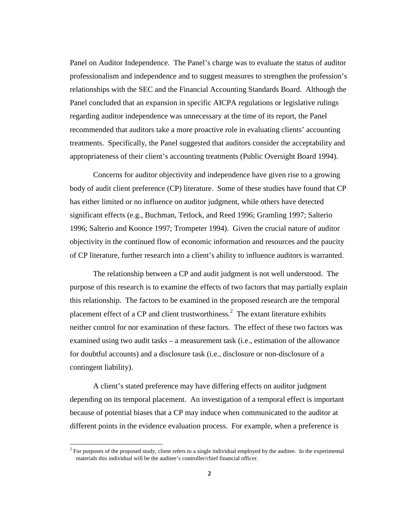Panel on Auditor Independence. The Panel's charge was to evaluate the status of auditor professionalism and independence and to suggest measures to strengthen the profession's relationships with the SEC and the Financial Accounting Standards Board. Although the Panel concluded that an expansion in specific AICPA regulations or legislative rulings regarding auditor independence was unnecessary at the time of its report, the Panel recommended that auditors take a more proactive role in evaluating clients' accounting treatments. Specifically, the Panel suggested that auditors consider the acceptability and appropriateness of their client's accounting treatments (Public Oversight Board 1994).

Concerns for auditor objectivity and independence have given rise to a growing body of audit client preference (CP) literature. Some of these studies have found that CP has either limited or no influence on auditor judgment, while others have detected significant effects (e.g., Buchman, Tetlock, and Reed 1996; Gramling 1997; Salterio 1996; Salterio and Koonce 1997; Trompeter 1994). Given the crucial nature of auditor objectivity in the continued flow of economic information and resources and the paucity of CP literature, further research into a client's ability to influence auditors is warranted.

The relationship between a CP and audit judgment is not well understood. The purpose of this research is to examine the effects of two factors that may partially explain this relationship. The factors to be examined in the proposed research are the temporal placement effect of a CP and client trustworthiness.<sup>2</sup> The extant literature exhibits neither control for nor examination of these factors. The effect of these two factors was examined using two audit tasks – a measurement task (i.e., estimation of the allowance for doubtful accounts) and a disclosure task (i.e., disclosure or non-disclosure of a contingent liability).

A client's stated preference may have differing effects on auditor judgment depending on its temporal placement. An investigation of a temporal effect is important because of potential biases that a CP may induce when communicated to the auditor at different points in the evidence evaluation process. For example, when a preference is

 $<sup>2</sup>$  For purposes of the proposed study, client refers to a single individual employed by the auditee. In the experimental</sup> materials this individual will be the auditee's controller/chief financial officer.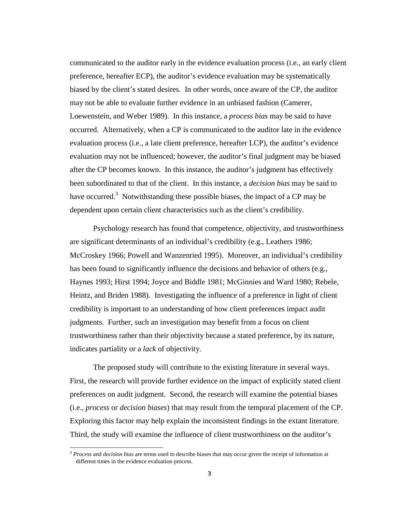communicated to the auditor early in the evidence evaluation process (i.e., an early client preference, hereafter ECP), the auditor's evidence evaluation may be systematically biased by the client's stated desires. In other words, once aware of the CP, the auditor may not be able to evaluate further evidence in an unbiased fashion (Camerer, Loewenstein, and Weber 1989). In this instance, a *process bias* may be said to have occurred. Alternatively, when a CP is communicated to the auditor late in the evidence evaluation process (i.e., a late client preference, hereafter LCP), the auditor's evidence evaluation may not be influenced; however, the auditor's final judgment may be biased after the CP becomes known. In this instance, the auditor's judgment has effectively been subordinated to that of the client. In this instance, a *decision bias* may be said to have occurred.<sup>3</sup> Notwithstanding these possible biases, the impact of a CP may be dependent upon certain client characteristics such as the client's credibility.

Psychology research has found that competence, objectivity, and trustworthiness are significant determinants of an individual's credibility (e.g., Leathers 1986; McCroskey 1966; Powell and Wanzenried 1995). Moreover, an individual's credibility has been found to significantly influence the decisions and behavior of others (e.g., Haynes 1993; Hirst 1994; Joyce and Biddle 1981; McGinnies and Ward 1980; Rebele, Heintz, and Briden 1988). Investigating the influence of a preference in light of client credibility is important to an understanding of how client preferences impact audit judgments. Further, such an investigation may benefit from a focus on client trustworthiness rather than their objectivity because a stated preference, by its nature, indicates partiality or a *lack* of objectivity.

The proposed study will contribute to the existing literature in several ways. First, the research will provide further evidence on the impact of explicitly stated client preferences on audit judgment. Second, the research will examine the potential biases (i.e., *process* or *decision biases*) that may result from the temporal placement of the CP. Exploring this factor may help explain the inconsistent findings in the extant literature. Third, the study will examine the influence of client trustworthiness on the auditor's

<sup>3</sup> *Process* and *decision bias* are terms used to describe biases that may occur given the receipt of information at different times in the evidence evaluation process.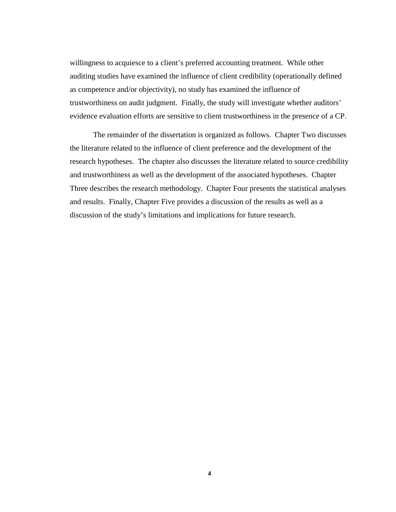willingness to acquiesce to a client's preferred accounting treatment. While other auditing studies have examined the influence of client credibility (operationally defined as competence and/or objectivity), no study has examined the influence of trustworthiness on audit judgment. Finally, the study will investigate whether auditors' evidence evaluation efforts are sensitive to client trustworthiness in the presence of a CP.

The remainder of the dissertation is organized as follows. Chapter Two discusses the literature related to the influence of client preference and the development of the research hypotheses. The chapter also discusses the literature related to source credibility and trustworthiness as well as the development of the associated hypotheses. Chapter Three describes the research methodology. Chapter Four presents the statistical analyses and results. Finally, Chapter Five provides a discussion of the results as well as a discussion of the study's limitations and implications for future research.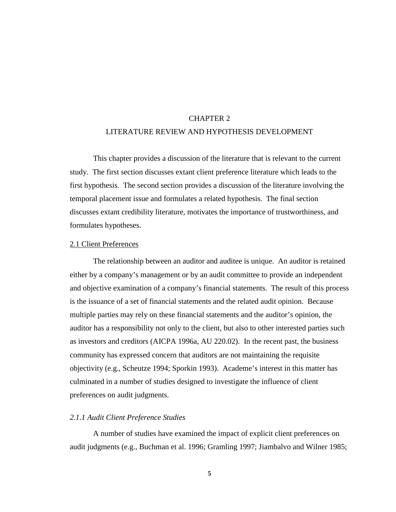# CHAPTER 2 LITERATURE REVIEW AND HYPOTHESIS DEVELOPMENT

This chapter provides a discussion of the literature that is relevant to the current study. The first section discusses extant client preference literature which leads to the first hypothesis. The second section provides a discussion of the literature involving the temporal placement issue and formulates a related hypothesis. The final section discusses extant credibility literature, motivates the importance of trustworthiness, and formulates hypotheses.

#### 2.1 Client Preferences

The relationship between an auditor and auditee is unique. An auditor is retained either by a company's management or by an audit committee to provide an independent and objective examination of a company's financial statements. The result of this process is the issuance of a set of financial statements and the related audit opinion. Because multiple parties may rely on these financial statements and the auditor's opinion, the auditor has a responsibility not only to the client, but also to other interested parties such as investors and creditors (AICPA 1996a, AU 220.02). In the recent past, the business community has expressed concern that auditors are not maintaining the requisite objectivity (e.g., Scheutze 1994; Sporkin 1993). Academe's interest in this matter has culminated in a number of studies designed to investigate the influence of client preferences on audit judgments.

## *2.1.1 Audit Client Preference Studies*

A number of studies have examined the impact of explicit client preferences on audit judgments (e.g., Buchman et al. 1996; Gramling 1997; Jiambalvo and Wilner 1985;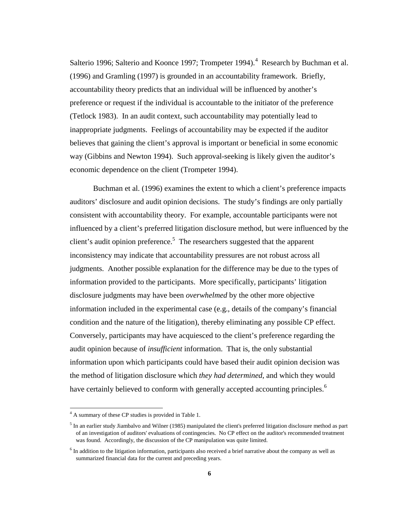Salterio 1996; Salterio and Koonce 1997; Trompeter 1994). $4$  Research by Buchman et al. (1996) and Gramling (1997) is grounded in an accountability framework. Briefly, accountability theory predicts that an individual will be influenced by another's preference or request if the individual is accountable to the initiator of the preference (Tetlock 1983). In an audit context, such accountability may potentially lead to inappropriate judgments. Feelings of accountability may be expected if the auditor believes that gaining the client's approval is important or beneficial in some economic way (Gibbins and Newton 1994). Such approval-seeking is likely given the auditor's economic dependence on the client (Trompeter 1994).

Buchman et al. (1996) examines the extent to which a client's preference impacts auditors' disclosure and audit opinion decisions. The study's findings are only partially consistent with accountability theory. For example, accountable participants were not influenced by a client's preferred litigation disclosure method, but were influenced by the client's audit opinion preference.<sup>5</sup> The researchers suggested that the apparent inconsistency may indicate that accountability pressures are not robust across all judgments. Another possible explanation for the difference may be due to the types of information provided to the participants. More specifically, participants' litigation disclosure judgments may have been *overwhelmed* by the other more objective information included in the experimental case (e.g., details of the company's financial condition and the nature of the litigation), thereby eliminating any possible CP effect. Conversely, participants may have acquiesced to the client's preference regarding the audit opinion because of *insufficient* information. That is, the only substantial information upon which participants could have based their audit opinion decision was the method of litigation disclosure which *they had determined*, and which they would have certainly believed to conform with generally accepted accounting principles.<sup>6</sup>

<sup>&</sup>lt;sup>4</sup> A summary of these CP studies is provided in Table 1.

 $<sup>5</sup>$  In an earlier study Jiambalvo and Wilner (1985) manipulated the client's preferred litigation disclosure method as part</sup> of an investigation of auditors' evaluations of contingencies. No CP effect on the auditor's recommended treatment was found. Accordingly, the discussion of the CP manipulation was quite limited.

<sup>&</sup>lt;sup>6</sup> In addition to the litigation information, participants also received a brief narrative about the company as well as summarized financial data for the current and preceding years.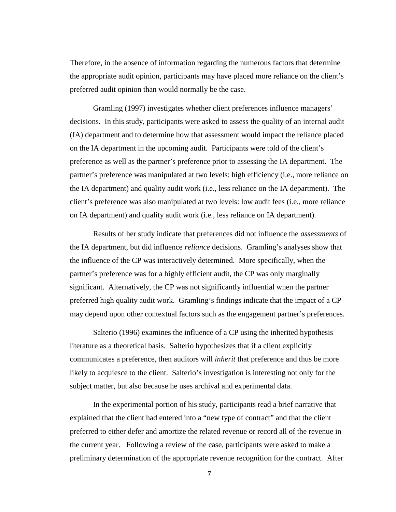Therefore, in the absence of information regarding the numerous factors that determine the appropriate audit opinion, participants may have placed more reliance on the client's preferred audit opinion than would normally be the case.

Gramling (1997) investigates whether client preferences influence managers' decisions. In this study, participants were asked to assess the quality of an internal audit (IA) department and to determine how that assessment would impact the reliance placed on the IA department in the upcoming audit. Participants were told of the client's preference as well as the partner's preference prior to assessing the IA department. The partner's preference was manipulated at two levels: high efficiency (i.e., more reliance on the IA department) and quality audit work (i.e., less reliance on the IA department). The client's preference was also manipulated at two levels: low audit fees (i.e., more reliance on IA department) and quality audit work (i.e., less reliance on IA department).

Results of her study indicate that preferences did not influence the *assessments* of the IA department, but did influence *reliance* decisions. Gramling's analyses show that the influence of the CP was interactively determined. More specifically, when the partner's preference was for a highly efficient audit, the CP was only marginally significant. Alternatively, the CP was not significantly influential when the partner preferred high quality audit work. Gramling's findings indicate that the impact of a CP may depend upon other contextual factors such as the engagement partner's preferences.

Salterio (1996) examines the influence of a CP using the inherited hypothesis literature as a theoretical basis. Salterio hypothesizes that if a client explicitly communicates a preference, then auditors will *inherit* that preference and thus be more likely to acquiesce to the client. Salterio's investigation is interesting not only for the subject matter, but also because he uses archival and experimental data.

In the experimental portion of his study, participants read a brief narrative that explained that the client had entered into a "new type of contract" and that the client preferred to either defer and amortize the related revenue or record all of the revenue in the current year. Following a review of the case, participants were asked to make a preliminary determination of the appropriate revenue recognition for the contract. After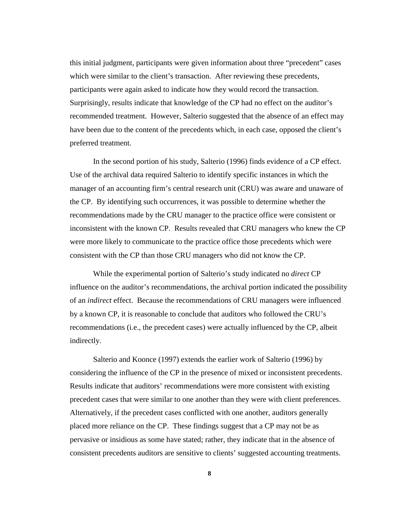this initial judgment, participants were given information about three "precedent" cases which were similar to the client's transaction. After reviewing these precedents, participants were again asked to indicate how they would record the transaction. Surprisingly, results indicate that knowledge of the CP had no effect on the auditor's recommended treatment. However, Salterio suggested that the absence of an effect may have been due to the content of the precedents which, in each case, opposed the client's preferred treatment.

In the second portion of his study, Salterio (1996) finds evidence of a CP effect. Use of the archival data required Salterio to identify specific instances in which the manager of an accounting firm's central research unit (CRU) was aware and unaware of the CP. By identifying such occurrences, it was possible to determine whether the recommendations made by the CRU manager to the practice office were consistent or inconsistent with the known CP. Results revealed that CRU managers who knew the CP were more likely to communicate to the practice office those precedents which were consistent with the CP than those CRU managers who did not know the CP.

While the experimental portion of Salterio's study indicated no *direct* CP influence on the auditor's recommendations, the archival portion indicated the possibility of an *indirect* effect. Because the recommendations of CRU managers were influenced by a known CP, it is reasonable to conclude that auditors who followed the CRU's recommendations (i.e., the precedent cases) were actually influenced by the CP, albeit indirectly.

Salterio and Koonce (1997) extends the earlier work of Salterio (1996) by considering the influence of the CP in the presence of mixed or inconsistent precedents. Results indicate that auditors' recommendations were more consistent with existing precedent cases that were similar to one another than they were with client preferences. Alternatively, if the precedent cases conflicted with one another, auditors generally placed more reliance on the CP. These findings suggest that a CP may not be as pervasive or insidious as some have stated; rather, they indicate that in the absence of consistent precedents auditors are sensitive to clients' suggested accounting treatments.

**8**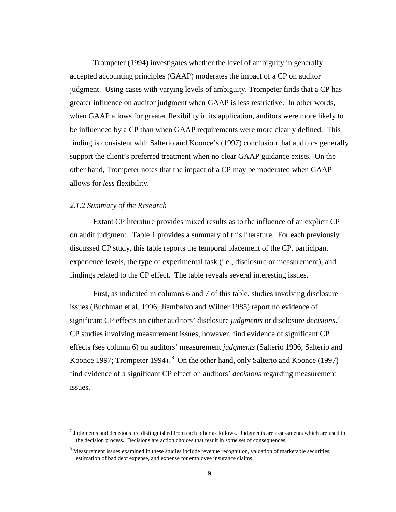Trompeter (1994) investigates whether the level of ambiguity in generally accepted accounting principles (GAAP) moderates the impact of a CP on auditor judgment. Using cases with varying levels of ambiguity, Trompeter finds that a CP has greater influence on auditor judgment when GAAP is less restrictive. In other words, when GAAP allows for greater flexibility in its application, auditors were more likely to be influenced by a CP than when GAAP requirements were more clearly defined. This finding is consistent with Salterio and Koonce's (1997) conclusion that auditors generally support the client's preferred treatment when no clear GAAP guidance exists. On the other hand, Trompeter notes that the impact of a CP may be moderated when GAAP allows for *less* flexibility.

#### *2.1.2 Summary of the Research*

 $\overline{a}$ 

Extant CP literature provides mixed results as to the influence of an explicit CP on audit judgment. Table 1 provides a summary of this literature. For each previously discussed CP study, this table reports the temporal placement of the CP, participant experience levels, the type of experimental task (i.e., disclosure or measurement), and findings related to the CP effect. The table reveals several interesting issues.

First, as indicated in columns 6 and 7 of this table, studies involving disclosure issues (Buchman et al. 1996; Jiambalvo and Wilner 1985) report no evidence of significant CP effects on either auditors' disclosure *judgments* or disclosure *decisions*. 7 CP studies involving measurement issues, however, find evidence of significant CP effects (see column 6) on auditors' measurement *judgments* (Salterio 1996; Salterio and Koonce 1997; Trompeter 1994). <sup>8</sup> On the other hand, only Salterio and Koonce (1997) find evidence of a significant CP effect on auditors' *decisions* regarding measurement issues.

 $<sup>7</sup>$  Judgments and decisions are distinguished from each other as follows. Judgments are assessments which are used in</sup> the decision process. Decisions are action choices that result in some set of consequences.

<sup>&</sup>lt;sup>8</sup> Measurement issues examined in these studies include revenue recognition, valuation of marketable securities, estimation of bad debt expense, and expense for employee insurance claims.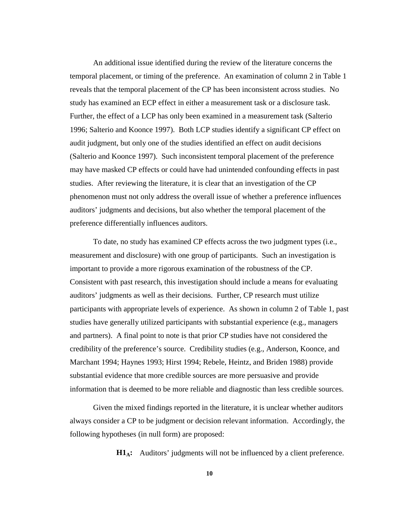An additional issue identified during the review of the literature concerns the temporal placement, or timing of the preference. An examination of column 2 in Table 1 reveals that the temporal placement of the CP has been inconsistent across studies. No study has examined an ECP effect in either a measurement task or a disclosure task. Further, the effect of a LCP has only been examined in a measurement task (Salterio 1996; Salterio and Koonce 1997). Both LCP studies identify a significant CP effect on audit judgment, but only one of the studies identified an effect on audit decisions (Salterio and Koonce 1997). Such inconsistent temporal placement of the preference may have masked CP effects or could have had unintended confounding effects in past studies. After reviewing the literature, it is clear that an investigation of the CP phenomenon must not only address the overall issue of whether a preference influences auditors' judgments and decisions, but also whether the temporal placement of the preference differentially influences auditors.

To date, no study has examined CP effects across the two judgment types (i.e., measurement and disclosure) with one group of participants. Such an investigation is important to provide a more rigorous examination of the robustness of the CP. Consistent with past research, this investigation should include a means for evaluating auditors' judgments as well as their decisions. Further, CP research must utilize participants with appropriate levels of experience. As shown in column 2 of Table 1, past studies have generally utilized participants with substantial experience (e.g., managers and partners). A final point to note is that prior CP studies have not considered the credibility of the preference's source. Credibility studies (e.g., Anderson, Koonce, and Marchant 1994; Haynes 1993; Hirst 1994; Rebele, Heintz, and Briden 1988) provide substantial evidence that more credible sources are more persuasive and provide information that is deemed to be more reliable and diagnostic than less credible sources.

Given the mixed findings reported in the literature, it is unclear whether auditors always consider a CP to be judgment or decision relevant information. Accordingly, the following hypotheses (in null form) are proposed:

**H1<sub>A</sub>:** Auditors' judgments will not be influenced by a client preference.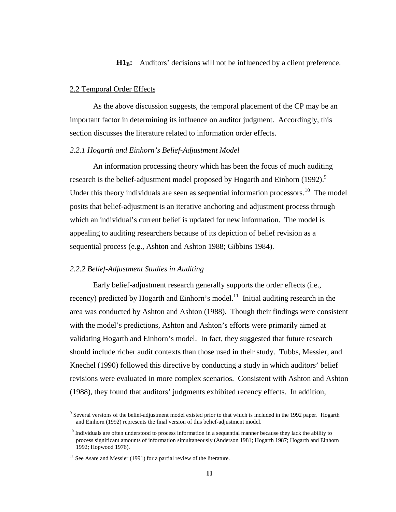## **H<sub>1B</sub>:** Auditors' decisions will not be influenced by a client preference.

### 2.2 Temporal Order Effects

As the above discussion suggests, the temporal placement of the CP may be an important factor in determining its influence on auditor judgment. Accordingly, this section discusses the literature related to information order effects.

## *2.2.1 Hogarth and Einhorn's Belief-Adjustment Model*

An information processing theory which has been the focus of much auditing research is the belief-adjustment model proposed by Hogarth and Einhorn (1992).<sup>9</sup> Under this theory individuals are seen as sequential information processors.<sup>10</sup> The model posits that belief-adjustment is an iterative anchoring and adjustment process through which an individual's current belief is updated for new information. The model is appealing to auditing researchers because of its depiction of belief revision as a sequential process (e.g., Ashton and Ashton 1988; Gibbins 1984).

## *2.2.2 Belief-Adjustment Studies in Auditing*

Early belief-adjustment research generally supports the order effects (i.e., recency) predicted by Hogarth and Einhorn's model.<sup>11</sup> Initial auditing research in the area was conducted by Ashton and Ashton (1988). Though their findings were consistent with the model's predictions, Ashton and Ashton's efforts were primarily aimed at validating Hogarth and Einhorn's model. In fact, they suggested that future research should include richer audit contexts than those used in their study. Tubbs, Messier, and Knechel (1990) followed this directive by conducting a study in which auditors' belief revisions were evaluated in more complex scenarios. Consistent with Ashton and Ashton (1988), they found that auditors' judgments exhibited recency effects. In addition,

<sup>&</sup>lt;sup>9</sup> Several versions of the belief-adjustment model existed prior to that which is included in the 1992 paper. Hogarth and Einhorn (1992) represents the final version of this belief-adjustment model.

 $10$  Individuals are often understood to process information in a sequential manner because they lack the ability to process significant amounts of information simultaneously (Anderson 1981; Hogarth 1987; Hogarth and Einhorn 1992; Hopwood 1976).

 $11$  See Asare and Messier (1991) for a partial review of the literature.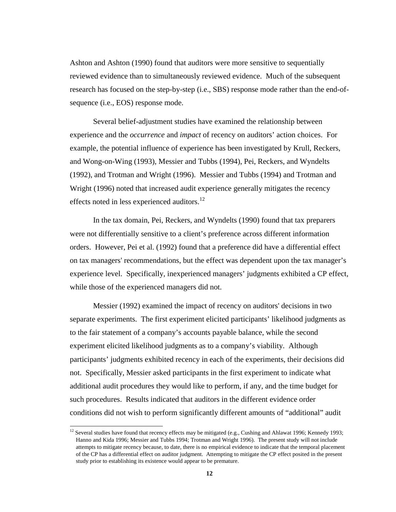Ashton and Ashton (1990) found that auditors were more sensitive to sequentially reviewed evidence than to simultaneously reviewed evidence. Much of the subsequent research has focused on the step-by-step (i.e., SBS) response mode rather than the end-ofsequence (i.e., EOS) response mode.

Several belief-adjustment studies have examined the relationship between experience and the *occurrence* and *impact* of recency on auditors' action choices. For example, the potential influence of experience has been investigated by Krull, Reckers, and Wong-on-Wing (1993), Messier and Tubbs (1994), Pei, Reckers, and Wyndelts (1992), and Trotman and Wright (1996). Messier and Tubbs (1994) and Trotman and Wright (1996) noted that increased audit experience generally mitigates the recency effects noted in less experienced auditors.<sup>12</sup>

In the tax domain, Pei, Reckers, and Wyndelts (1990) found that tax preparers were not differentially sensitive to a client's preference across different information orders. However, Pei et al. (1992) found that a preference did have a differential effect on tax managers' recommendations, but the effect was dependent upon the tax manager's experience level. Specifically, inexperienced managers' judgments exhibited a CP effect, while those of the experienced managers did not.

Messier (1992) examined the impact of recency on auditors' decisions in two separate experiments. The first experiment elicited participants' likelihood judgments as to the fair statement of a company's accounts payable balance, while the second experiment elicited likelihood judgments as to a company's viability. Although participants' judgments exhibited recency in each of the experiments, their decisions did not. Specifically, Messier asked participants in the first experiment to indicate what additional audit procedures they would like to perform, if any, and the time budget for such procedures. Results indicated that auditors in the different evidence order conditions did not wish to perform significantly different amounts of "additional" audit

<sup>&</sup>lt;sup>12</sup> Several studies have found that recency effects may be mitigated (e.g., Cushing and Ahlawat 1996; Kennedy 1993; Hanno and Kida 1996; Messier and Tubbs 1994; Trotman and Wright 1996). The present study will not include attempts to mitigate recency because, to date, there is no empirical evidence to indicate that the temporal placement of the CP has a differential effect on auditor judgment. Attempting to mitigate the CP effect posited in the present study prior to establishing its existence would appear to be premature.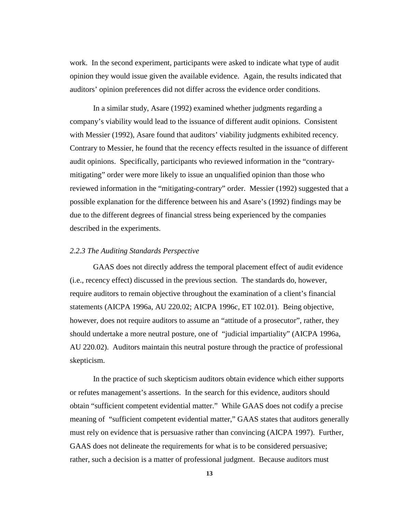work. In the second experiment, participants were asked to indicate what type of audit opinion they would issue given the available evidence. Again, the results indicated that auditors' opinion preferences did not differ across the evidence order conditions.

In a similar study, Asare (1992) examined whether judgments regarding a company's viability would lead to the issuance of different audit opinions. Consistent with Messier (1992), Asare found that auditors' viability judgments exhibited recency. Contrary to Messier, he found that the recency effects resulted in the issuance of different audit opinions. Specifically, participants who reviewed information in the "contrarymitigating" order were more likely to issue an unqualified opinion than those who reviewed information in the "mitigating-contrary" order. Messier (1992) suggested that a possible explanation for the difference between his and Asare's (1992) findings may be due to the different degrees of financial stress being experienced by the companies described in the experiments.

#### *2.2.3 The Auditing Standards Perspective*

GAAS does not directly address the temporal placement effect of audit evidence (i.e., recency effect) discussed in the previous section. The standards do, however, require auditors to remain objective throughout the examination of a client's financial statements (AICPA 1996a, AU 220.02; AICPA 1996c, ET 102.01). Being objective, however, does not require auditors to assume an "attitude of a prosecutor", rather, they should undertake a more neutral posture, one of "judicial impartiality" (AICPA 1996a, AU 220.02). Auditors maintain this neutral posture through the practice of professional skepticism.

In the practice of such skepticism auditors obtain evidence which either supports or refutes management's assertions. In the search for this evidence, auditors should obtain "sufficient competent evidential matter." While GAAS does not codify a precise meaning of "sufficient competent evidential matter," GAAS states that auditors generally must rely on evidence that is persuasive rather than convincing (AICPA 1997). Further, GAAS does not delineate the requirements for what is to be considered persuasive; rather, such a decision is a matter of professional judgment. Because auditors must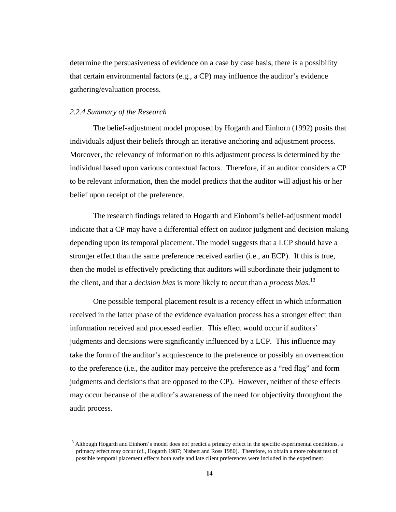determine the persuasiveness of evidence on a case by case basis, there is a possibility that certain environmental factors (e.g., a CP) may influence the auditor's evidence gathering/evaluation process.

### *2.2.4 Summary of the Research*

 $\overline{a}$ 

The belief-adjustment model proposed by Hogarth and Einhorn (1992) posits that individuals adjust their beliefs through an iterative anchoring and adjustment process. Moreover, the relevancy of information to this adjustment process is determined by the individual based upon various contextual factors. Therefore, if an auditor considers a CP to be relevant information, then the model predicts that the auditor will adjust his or her belief upon receipt of the preference.

The research findings related to Hogarth and Einhorn's belief-adjustment model indicate that a CP may have a differential effect on auditor judgment and decision making depending upon its temporal placement. The model suggests that a LCP should have a stronger effect than the same preference received earlier (i.e., an ECP). If this is true, then the model is effectively predicting that auditors will subordinate their judgment to the client, and that a *decision bias* is more likely to occur than a *process bias*. 13

One possible temporal placement result is a recency effect in which information received in the latter phase of the evidence evaluation process has a stronger effect than information received and processed earlier. This effect would occur if auditors' judgments and decisions were significantly influenced by a LCP. This influence may take the form of the auditor's acquiescence to the preference or possibly an overreaction to the preference (i.e., the auditor may perceive the preference as a "red flag" and form judgments and decisions that are opposed to the CP). However, neither of these effects may occur because of the auditor's awareness of the need for objectivity throughout the audit process.

<sup>&</sup>lt;sup>13</sup> Although Hogarth and Einhorn's model does not predict a primacy effect in the specific experimental conditions, a primacy effect may occur (cf., Hogarth 1987; Nisbett and Ross 1980). Therefore, to obtain a more robust test of possible temporal placement effects both early and late client preferences were included in the experiment.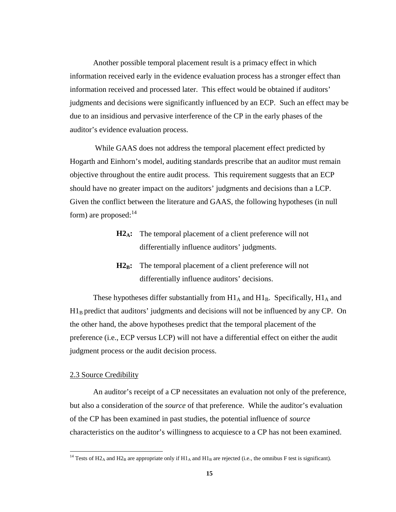Another possible temporal placement result is a primacy effect in which information received early in the evidence evaluation process has a stronger effect than information received and processed later. This effect would be obtained if auditors' judgments and decisions were significantly influenced by an ECP. Such an effect may be due to an insidious and pervasive interference of the CP in the early phases of the auditor's evidence evaluation process.

 While GAAS does not address the temporal placement effect predicted by Hogarth and Einhorn's model, auditing standards prescribe that an auditor must remain objective throughout the entire audit process. This requirement suggests that an ECP should have no greater impact on the auditors' judgments and decisions than a LCP. Given the conflict between the literature and GAAS, the following hypotheses (in null form) are proposed:  $14$ 

- **H2A:** The temporal placement of a client preference will not differentially influence auditors' judgments.
- **H2<sub>B</sub>:** The temporal placement of a client preference will not differentially influence auditors' decisions.

These hypotheses differ substantially from  $H1_A$  and  $H1_B$ . Specifically,  $H1_A$  and  $H1_B$  predict that auditors' judgments and decisions will not be influenced by any CP. On the other hand, the above hypotheses predict that the temporal placement of the preference (i.e., ECP versus LCP) will not have a differential effect on either the audit judgment process or the audit decision process.

## 2.3 Source Credibility

 $\overline{a}$ 

An auditor's receipt of a CP necessitates an evaluation not only of the preference, but also a consideration of the *source* of that preference. While the auditor's evaluation of the CP has been examined in past studies, the potential influence of *source* characteristics on the auditor's willingness to acquiesce to a CP has not been examined.

<sup>&</sup>lt;sup>14</sup> Tests of H2<sub>A</sub> and H2<sub>B</sub> are appropriate only if H1<sub>A</sub> and H1<sub>B</sub> are rejected (i.e., the omnibus F test is significant).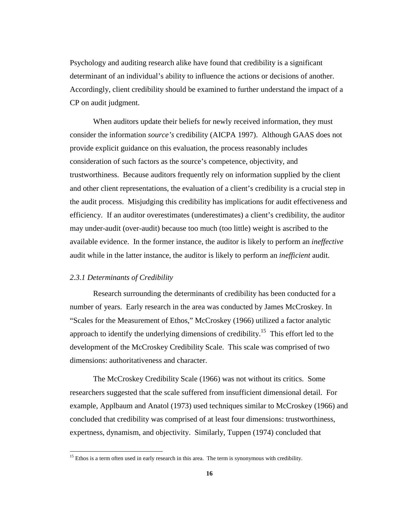Psychology and auditing research alike have found that credibility is a significant determinant of an individual's ability to influence the actions or decisions of another. Accordingly, client credibility should be examined to further understand the impact of a CP on audit judgment.

When auditors update their beliefs for newly received information, they must consider the information *source's* credibility (AICPA 1997). Although GAAS does not provide explicit guidance on this evaluation, the process reasonably includes consideration of such factors as the source's competence, objectivity, and trustworthiness. Because auditors frequently rely on information supplied by the client and other client representations, the evaluation of a client's credibility is a crucial step in the audit process. Misjudging this credibility has implications for audit effectiveness and efficiency. If an auditor overestimates (underestimates) a client's credibility, the auditor may under-audit (over-audit) because too much (too little) weight is ascribed to the available evidence. In the former instance, the auditor is likely to perform an *ineffective* audit while in the latter instance, the auditor is likely to perform an *inefficient* audit.

## *2.3.1 Determinants of Credibility*

 $\overline{a}$ 

Research surrounding the determinants of credibility has been conducted for a number of years. Early research in the area was conducted by James McCroskey. In "Scales for the Measurement of Ethos," McCroskey (1966) utilized a factor analytic approach to identify the underlying dimensions of credibility.<sup>15</sup> This effort led to the development of the McCroskey Credibility Scale. This scale was comprised of two dimensions: authoritativeness and character.

The McCroskey Credibility Scale (1966) was not without its critics. Some researchers suggested that the scale suffered from insufficient dimensional detail. For example, Applbaum and Anatol (1973) used techniques similar to McCroskey (1966) and concluded that credibility was comprised of at least four dimensions: trustworthiness, expertness, dynamism, and objectivity. Similarly, Tuppen (1974) concluded that

 $15$  Ethos is a term often used in early research in this area. The term is synonymous with credibility.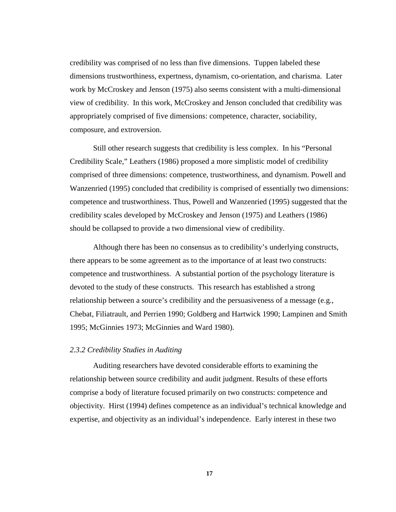credibility was comprised of no less than five dimensions. Tuppen labeled these dimensions trustworthiness, expertness, dynamism, co-orientation, and charisma. Later work by McCroskey and Jenson (1975) also seems consistent with a multi-dimensional view of credibility. In this work, McCroskey and Jenson concluded that credibility was appropriately comprised of five dimensions: competence, character, sociability, composure, and extroversion.

Still other research suggests that credibility is less complex. In his "Personal Credibility Scale," Leathers (1986) proposed a more simplistic model of credibility comprised of three dimensions: competence, trustworthiness, and dynamism. Powell and Wanzenried (1995) concluded that credibility is comprised of essentially two dimensions: competence and trustworthiness. Thus, Powell and Wanzenried (1995) suggested that the credibility scales developed by McCroskey and Jenson (1975) and Leathers (1986) should be collapsed to provide a two dimensional view of credibility.

Although there has been no consensus as to credibility's underlying constructs, there appears to be some agreement as to the importance of at least two constructs: competence and trustworthiness. A substantial portion of the psychology literature is devoted to the study of these constructs. This research has established a strong relationship between a source's credibility and the persuasiveness of a message (e.g., Chebat, Filiatrault, and Perrien 1990; Goldberg and Hartwick 1990; Lampinen and Smith 1995; McGinnies 1973; McGinnies and Ward 1980).

#### *2.3.2 Credibility Studies in Auditing*

Auditing researchers have devoted considerable efforts to examining the relationship between source credibility and audit judgment. Results of these efforts comprise a body of literature focused primarily on two constructs: competence and objectivity. Hirst (1994) defines competence as an individual's technical knowledge and expertise, and objectivity as an individual's independence. Early interest in these two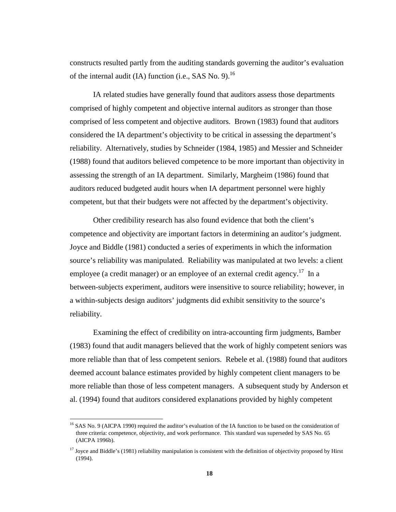constructs resulted partly from the auditing standards governing the auditor's evaluation of the internal audit (IA) function (i.e., SAS No. 9).<sup>16</sup>

IA related studies have generally found that auditors assess those departments comprised of highly competent and objective internal auditors as stronger than those comprised of less competent and objective auditors. Brown (1983) found that auditors considered the IA department's objectivity to be critical in assessing the department's reliability. Alternatively, studies by Schneider (1984, 1985) and Messier and Schneider (1988) found that auditors believed competence to be more important than objectivity in assessing the strength of an IA department. Similarly, Margheim (1986) found that auditors reduced budgeted audit hours when IA department personnel were highly competent, but that their budgets were not affected by the department's objectivity.

Other credibility research has also found evidence that both the client's competence and objectivity are important factors in determining an auditor's judgment. Joyce and Biddle (1981) conducted a series of experiments in which the information source's reliability was manipulated. Reliability was manipulated at two levels: a client employee (a credit manager) or an employee of an external credit agency.<sup>17</sup> In a between-subjects experiment, auditors were insensitive to source reliability; however, in a within-subjects design auditors' judgments did exhibit sensitivity to the source's reliability.

Examining the effect of credibility on intra-accounting firm judgments, Bamber (1983) found that audit managers believed that the work of highly competent seniors was more reliable than that of less competent seniors. Rebele et al. (1988) found that auditors deemed account balance estimates provided by highly competent client managers to be more reliable than those of less competent managers. A subsequent study by Anderson et al. (1994) found that auditors considered explanations provided by highly competent

 $16$  SAS No. 9 (AICPA 1990) required the auditor's evaluation of the IA function to be based on the consideration of three criteria: competence, objectivity, and work performance. This standard was superseded by SAS No. 65 (AICPA 1996b).

<sup>&</sup>lt;sup>17</sup> Joyce and Biddle's (1981) reliability manipulation is consistent with the definition of objectivity proposed by Hirst (1994).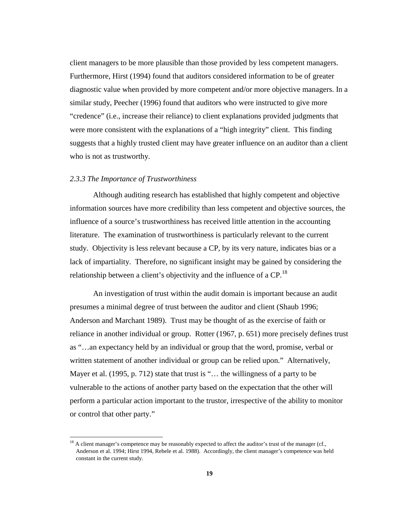client managers to be more plausible than those provided by less competent managers. Furthermore, Hirst (1994) found that auditors considered information to be of greater diagnostic value when provided by more competent and/or more objective managers. In a similar study, Peecher (1996) found that auditors who were instructed to give more "credence" (i.e., increase their reliance) to client explanations provided judgments that were more consistent with the explanations of a "high integrity" client. This finding suggests that a highly trusted client may have greater influence on an auditor than a client who is not as trustworthy.

## *2.3.3 The Importance of Trustworthiness*

 $\overline{a}$ 

Although auditing research has established that highly competent and objective information sources have more credibility than less competent and objective sources, the influence of a source's trustworthiness has received little attention in the accounting literature. The examination of trustworthiness is particularly relevant to the current study. Objectivity is less relevant because a CP, by its very nature, indicates bias or a lack of impartiality. Therefore, no significant insight may be gained by considering the relationship between a client's objectivity and the influence of a  $\text{CP}$ <sup>18</sup>

An investigation of trust within the audit domain is important because an audit presumes a minimal degree of trust between the auditor and client (Shaub 1996; Anderson and Marchant 1989). Trust may be thought of as the exercise of faith or reliance in another individual or group. Rotter (1967, p. 651) more precisely defines trust as "…an expectancy held by an individual or group that the word, promise, verbal or written statement of another individual or group can be relied upon." Alternatively, Mayer et al. (1995, p. 712) state that trust is "... the willingness of a party to be vulnerable to the actions of another party based on the expectation that the other will perform a particular action important to the trustor, irrespective of the ability to monitor or control that other party."

<sup>&</sup>lt;sup>18</sup> A client manager's competence may be reasonably expected to affect the auditor's trust of the manager (cf., Anderson et al. 1994; Hirst 1994, Rebele et al. 1988). Accordingly, the client manager's competence was held constant in the current study.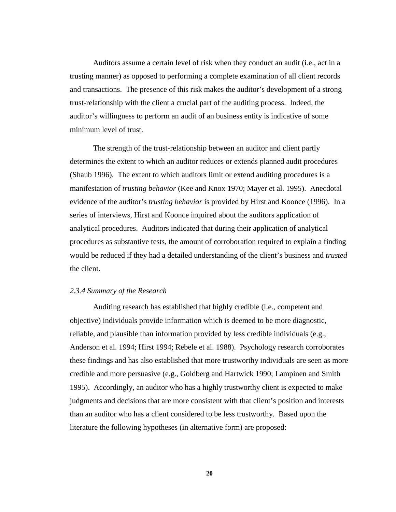Auditors assume a certain level of risk when they conduct an audit (i.e., act in a trusting manner) as opposed to performing a complete examination of all client records and transactions. The presence of this risk makes the auditor's development of a strong trust-relationship with the client a crucial part of the auditing process. Indeed, the auditor's willingness to perform an audit of an business entity is indicative of some minimum level of trust.

The strength of the trust-relationship between an auditor and client partly determines the extent to which an auditor reduces or extends planned audit procedures (Shaub 1996). The extent to which auditors limit or extend auditing procedures is a manifestation of *trusting behavior* (Kee and Knox 1970; Mayer et al. 1995). Anecdotal evidence of the auditor's *trusting behavior* is provided by Hirst and Koonce (1996). In a series of interviews, Hirst and Koonce inquired about the auditors application of analytical procedures. Auditors indicated that during their application of analytical procedures as substantive tests, the amount of corroboration required to explain a finding would be reduced if they had a detailed understanding of the client's business and *trusted* the client.

#### *2.3.4 Summary of the Research*

Auditing research has established that highly credible (i.e., competent and objective) individuals provide information which is deemed to be more diagnostic, reliable, and plausible than information provided by less credible individuals (e.g., Anderson et al. 1994; Hirst 1994; Rebele et al. 1988). Psychology research corroborates these findings and has also established that more trustworthy individuals are seen as more credible and more persuasive (e.g., Goldberg and Hartwick 1990; Lampinen and Smith 1995). Accordingly, an auditor who has a highly trustworthy client is expected to make judgments and decisions that are more consistent with that client's position and interests than an auditor who has a client considered to be less trustworthy. Based upon the literature the following hypotheses (in alternative form) are proposed: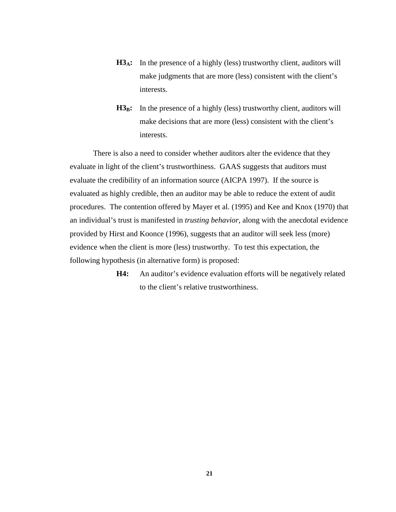- H3<sub>A</sub>: In the presence of a highly (less) trustworthy client, auditors will make judgments that are more (less) consistent with the client's interests.
- H<sub>3B</sub>: In the presence of a highly (less) trustworthy client, auditors will make decisions that are more (less) consistent with the client's interests.

There is also a need to consider whether auditors alter the evidence that they evaluate in light of the client's trustworthiness. GAAS suggests that auditors must evaluate the credibility of an information source (AICPA 1997). If the source is evaluated as highly credible, then an auditor may be able to reduce the extent of audit procedures. The contention offered by Mayer et al. (1995) and Kee and Knox (1970) that an individual's trust is manifested in *trusting behavior*, along with the anecdotal evidence provided by Hirst and Koonce (1996), suggests that an auditor will seek less (more) evidence when the client is more (less) trustworthy. To test this expectation, the following hypothesis (in alternative form) is proposed:

> **H4:** An auditor's evidence evaluation efforts will be negatively related to the client's relative trustworthiness.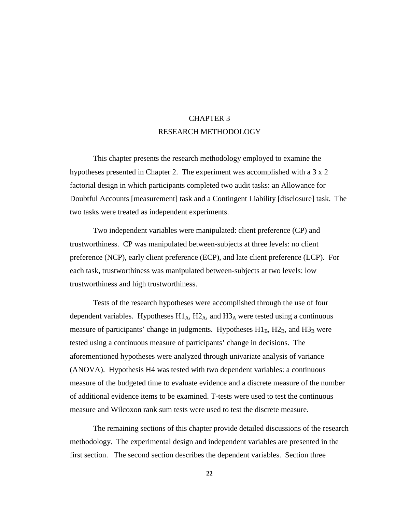# CHAPTER 3 RESEARCH METHODOLOGY

This chapter presents the research methodology employed to examine the hypotheses presented in Chapter 2. The experiment was accomplished with a 3 x 2 factorial design in which participants completed two audit tasks: an Allowance for Doubtful Accounts [measurement] task and a Contingent Liability [disclosure] task. The two tasks were treated as independent experiments.

Two independent variables were manipulated: client preference (CP) and trustworthiness. CP was manipulated between-subjects at three levels: no client preference (NCP), early client preference (ECP), and late client preference (LCP). For each task, trustworthiness was manipulated between-subjects at two levels: low trustworthiness and high trustworthiness.

Tests of the research hypotheses were accomplished through the use of four dependent variables. Hypotheses  $H1_A$ ,  $H2_A$ , and  $H3_A$  were tested using a continuous measure of participants' change in judgments. Hypotheses  $H1_B$ ,  $H2_B$ , and  $H3_B$  were tested using a continuous measure of participants' change in decisions. The aforementioned hypotheses were analyzed through univariate analysis of variance (ANOVA). Hypothesis H4 was tested with two dependent variables: a continuous measure of the budgeted time to evaluate evidence and a discrete measure of the number of additional evidence items to be examined. T-tests were used to test the continuous measure and Wilcoxon rank sum tests were used to test the discrete measure.

The remaining sections of this chapter provide detailed discussions of the research methodology. The experimental design and independent variables are presented in the first section. The second section describes the dependent variables. Section three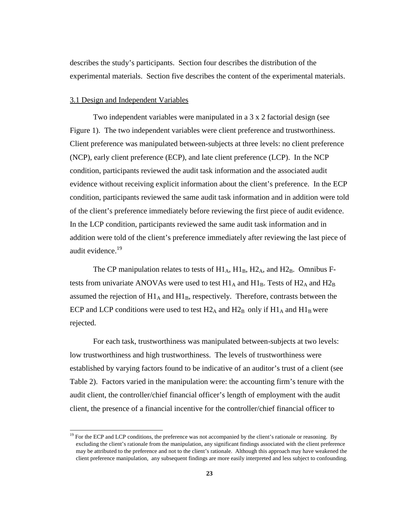describes the study's participants. Section four describes the distribution of the experimental materials. Section five describes the content of the experimental materials.

## 3.1 Design and Independent Variables

 $\overline{a}$ 

Two independent variables were manipulated in a 3 x 2 factorial design (see Figure 1). The two independent variables were client preference and trustworthiness. Client preference was manipulated between-subjects at three levels: no client preference (NCP), early client preference (ECP), and late client preference (LCP). In the NCP condition, participants reviewed the audit task information and the associated audit evidence without receiving explicit information about the client's preference. In the ECP condition, participants reviewed the same audit task information and in addition were told of the client's preference immediately before reviewing the first piece of audit evidence. In the LCP condition, participants reviewed the same audit task information and in addition were told of the client's preference immediately after reviewing the last piece of audit evidence.<sup>19</sup>

The CP manipulation relates to tests of  $H1_A$ ,  $H1_B$ ,  $H2_A$ , and  $H2_B$ . Omnibus Ftests from univariate ANOVAs were used to test  $H1_A$  and  $H1_B$ . Tests of  $H2_A$  and  $H2_B$ assumed the rejection of  $H1_A$  and  $H1_B$ , respectively. Therefore, contrasts between the ECP and LCP conditions were used to test  $H2_A$  and  $H2_B$  only if  $H1_A$  and  $H1_B$  were rejected.

For each task, trustworthiness was manipulated between-subjects at two levels: low trustworthiness and high trustworthiness. The levels of trustworthiness were established by varying factors found to be indicative of an auditor's trust of a client (see Table 2). Factors varied in the manipulation were: the accounting firm's tenure with the audit client, the controller/chief financial officer's length of employment with the audit client, the presence of a financial incentive for the controller/chief financial officer to

 $19$  For the ECP and LCP conditions, the preference was not accompanied by the client's rationale or reasoning. By excluding the client's rationale from the manipulation, any significant findings associated with the client preference may be attributed to the preference and not to the client's rationale. Although this approach may have weakened the client preference manipulation, any subsequent findings are more easily interpreted and less subject to confounding.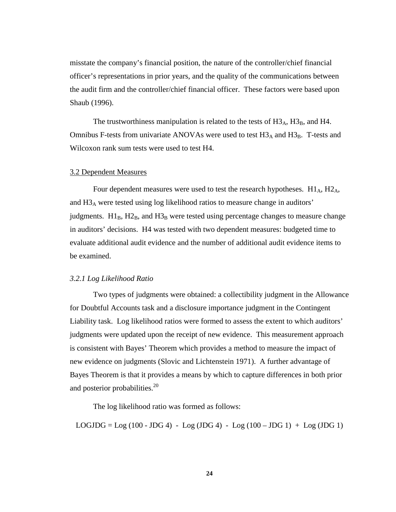misstate the company's financial position, the nature of the controller/chief financial officer's representations in prior years, and the quality of the communications between the audit firm and the controller/chief financial officer. These factors were based upon Shaub (1996).

The trustworthiness manipulation is related to the tests of  $H3_A$ ,  $H3_B$ , and H4. Omnibus F-tests from univariate ANOVAs were used to test  $H3_A$  and  $H3_B$ . T-tests and Wilcoxon rank sum tests were used to test H4.

## 3.2 Dependent Measures

Four dependent measures were used to test the research hypotheses. H1<sub>A</sub>, H2<sub>A</sub>, and H3A were tested using log likelihood ratios to measure change in auditors' judgments.  $H1_B$ ,  $H2_B$ , and  $H3_B$  were tested using percentage changes to measure change in auditors' decisions. H4 was tested with two dependent measures: budgeted time to evaluate additional audit evidence and the number of additional audit evidence items to be examined.

## *3.2.1 Log Likelihood Ratio*

Two types of judgments were obtained: a collectibility judgment in the Allowance for Doubtful Accounts task and a disclosure importance judgment in the Contingent Liability task. Log likelihood ratios were formed to assess the extent to which auditors' judgments were updated upon the receipt of new evidence. This measurement approach is consistent with Bayes' Theorem which provides a method to measure the impact of new evidence on judgments (Slovic and Lichtenstein 1971). A further advantage of Bayes Theorem is that it provides a means by which to capture differences in both prior and posterior probabilities. $20$ 

The log likelihood ratio was formed as follows:

LOGJDG =  $Log(100 - JDBC4) - Log(JDG4) - Log(100 - JDBC1) + Log(JDG1)$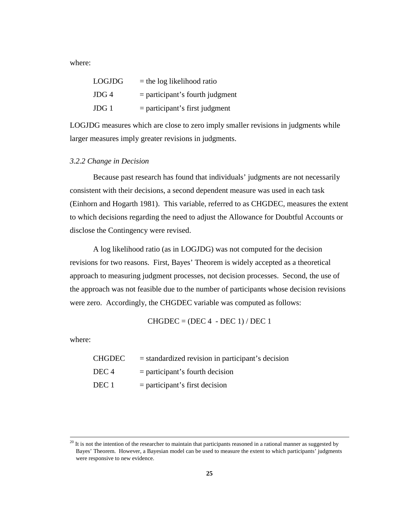where:

| LOGJDG | $=$ the log likelihood ratio      |
|--------|-----------------------------------|
| JDG 4  | $=$ participant's fourth judgment |
| JDG 1  | $=$ participant's first judgment  |

LOGJDG measures which are close to zero imply smaller revisions in judgments while larger measures imply greater revisions in judgments.

## *3.2.2 Change in Decision*

Because past research has found that individuals' judgments are not necessarily consistent with their decisions, a second dependent measure was used in each task (Einhorn and Hogarth 1981). This variable, referred to as CHGDEC, measures the extent to which decisions regarding the need to adjust the Allowance for Doubtful Accounts or disclose the Contingency were revised.

A log likelihood ratio (as in LOGJDG) was not computed for the decision revisions for two reasons. First, Bayes' Theorem is widely accepted as a theoretical approach to measuring judgment processes, not decision processes. Second, the use of the approach was not feasible due to the number of participants whose decision revisions were zero. Accordingly, the CHGDEC variable was computed as follows:

 $CHGDEC = (DEC 4 - DEC 1)/DEC 1$ 

where:

| CHGDEC | $=$ standardized revision in participant's decision |
|--------|-----------------------------------------------------|
| DEC 4  | $=$ participant's fourth decision                   |
| DEC 1  | $=$ participant's first decision                    |

 $20$  It is not the intention of the researcher to maintain that participants reasoned in a rational manner as suggested by Bayes' Theorem. However, a Bayesian model can be used to measure the extent to which participants' judgments were responsive to new evidence.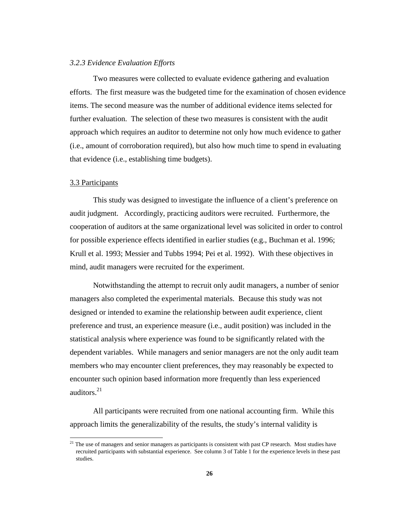#### *3.2.3 Evidence Evaluation Efforts*

Two measures were collected to evaluate evidence gathering and evaluation efforts. The first measure was the budgeted time for the examination of chosen evidence items. The second measure was the number of additional evidence items selected for further evaluation. The selection of these two measures is consistent with the audit approach which requires an auditor to determine not only how much evidence to gather (i.e., amount of corroboration required), but also how much time to spend in evaluating that evidence (i.e., establishing time budgets).

#### 3.3 Participants

 $\overline{a}$ 

This study was designed to investigate the influence of a client's preference on audit judgment. Accordingly, practicing auditors were recruited. Furthermore, the cooperation of auditors at the same organizational level was solicited in order to control for possible experience effects identified in earlier studies (e.g., Buchman et al. 1996; Krull et al. 1993; Messier and Tubbs 1994; Pei et al. 1992). With these objectives in mind, audit managers were recruited for the experiment.

Notwithstanding the attempt to recruit only audit managers, a number of senior managers also completed the experimental materials. Because this study was not designed or intended to examine the relationship between audit experience, client preference and trust, an experience measure (i.e., audit position) was included in the statistical analysis where experience was found to be significantly related with the dependent variables. While managers and senior managers are not the only audit team members who may encounter client preferences, they may reasonably be expected to encounter such opinion based information more frequently than less experienced auditors. $21$ 

All participants were recruited from one national accounting firm. While this approach limits the generalizability of the results, the study's internal validity is

 $21$  The use of managers and senior managers as participants is consistent with past CP research. Most studies have recruited participants with substantial experience. See column 3 of Table 1 for the experience levels in these past studies.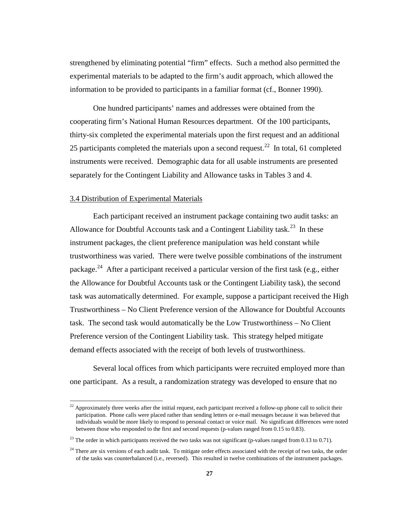strengthened by eliminating potential "firm" effects. Such a method also permitted the experimental materials to be adapted to the firm's audit approach, which allowed the information to be provided to participants in a familiar format (cf., Bonner 1990).

One hundred participants' names and addresses were obtained from the cooperating firm's National Human Resources department. Of the 100 participants, thirty-six completed the experimental materials upon the first request and an additional 25 participants completed the materials upon a second request.<sup>22</sup> In total, 61 completed instruments were received. Demographic data for all usable instruments are presented separately for the Contingent Liability and Allowance tasks in Tables 3 and 4.

## 3.4 Distribution of Experimental Materials

 $\overline{a}$ 

Each participant received an instrument package containing two audit tasks: an Allowance for Doubtful Accounts task and a Contingent Liability task.<sup>23</sup> In these instrument packages, the client preference manipulation was held constant while trustworthiness was varied. There were twelve possible combinations of the instrument package.<sup>24</sup> After a participant received a particular version of the first task (e.g., either the Allowance for Doubtful Accounts task or the Contingent Liability task), the second task was automatically determined. For example, suppose a participant received the High Trustworthiness – No Client Preference version of the Allowance for Doubtful Accounts task. The second task would automatically be the Low Trustworthiness – No Client Preference version of the Contingent Liability task. This strategy helped mitigate demand effects associated with the receipt of both levels of trustworthiness.

Several local offices from which participants were recruited employed more than one participant. As a result, a randomization strategy was developed to ensure that no

 $22$  Approximately three weeks after the initial request, each participant received a follow-up phone call to solicit their participation. Phone calls were placed rather than sending letters or e-mail messages because it was believed that individuals would be more likely to respond to personal contact or voice mail. No significant differences were noted between those who responded to the first and second requests (p-values ranged from 0.15 to 0.83).

 $^{23}$  The order in which participants received the two tasks was not significant (p-values ranged from 0.13 to 0.71).

 $24$  There are six versions of each audit task. To mitigate order effects associated with the receipt of two tasks, the order of the tasks was counterbalanced (i.e., reversed). This resulted in twelve combinations of the instrument packages.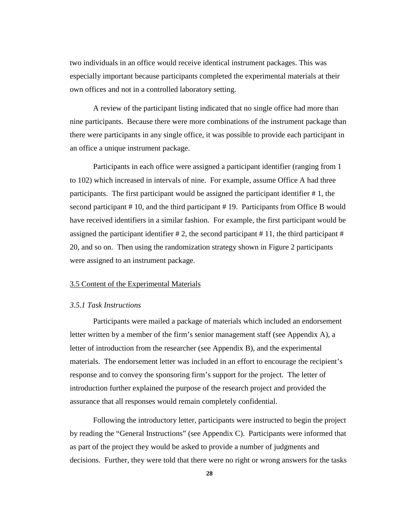two individuals in an office would receive identical instrument packages. This was especially important because participants completed the experimental materials at their own offices and not in a controlled laboratory setting.

A review of the participant listing indicated that no single office had more than nine participants. Because there were more combinations of the instrument package than there were participants in any single office, it was possible to provide each participant in an office a unique instrument package.

Participants in each office were assigned a participant identifier (ranging from 1 to 102) which increased in intervals of nine. For example, assume Office A had three participants. The first participant would be assigned the participant identifier # 1, the second participant # 10, and the third participant # 19. Participants from Office B would have received identifiers in a similar fashion. For example, the first participant would be assigned the participant identifier  $\# 2$ , the second participant  $\# 11$ , the third participant  $\#$ 20, and so on. Then using the randomization strategy shown in Figure 2 participants were assigned to an instrument package.

# 3.5 Content of the Experimental Materials

## *3.5.1 Task Instructions*

Participants were mailed a package of materials which included an endorsement letter written by a member of the firm's senior management staff (see Appendix A), a letter of introduction from the researcher (see Appendix B), and the experimental materials. The endorsement letter was included in an effort to encourage the recipient's response and to convey the sponsoring firm's support for the project. The letter of introduction further explained the purpose of the research project and provided the assurance that all responses would remain completely confidential.

Following the introductory letter, participants were instructed to begin the project by reading the "General Instructions" (see Appendix C). Participants were informed that as part of the project they would be asked to provide a number of judgments and decisions. Further, they were told that there were no right or wrong answers for the tasks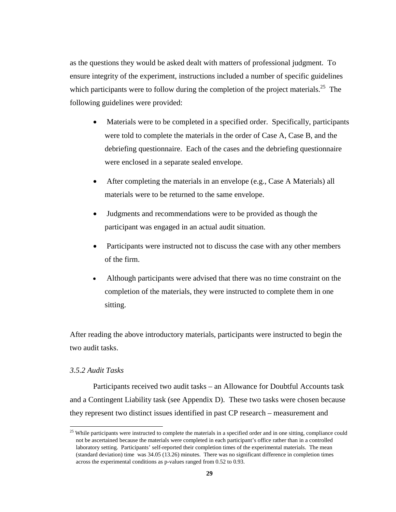as the questions they would be asked dealt with matters of professional judgment. To ensure integrity of the experiment, instructions included a number of specific guidelines which participants were to follow during the completion of the project materials.<sup>25</sup> The following guidelines were provided:

- $\overline{\phantom{a}}$  Materials were to be completed in a specified order. Specifically, participants were told to complete the materials in the order of Case A, Case B, and the debriefing questionnaire. Each of the cases and the debriefing questionnaire were enclosed in a separate sealed envelope.
- $\overline{a}$  After completing the materials in an envelope (e.g., Case A Materials) all materials were to be returned to the same envelope.
- $\overline{a}$  Judgments and recommendations were to be provided as though the participant was engaged in an actual audit situation.
- $\overline{a}$  Participants were instructed not to discuss the case with any other members of the firm.
- $\overline{a}$  Although participants were advised that there was no time constraint on the completion of the materials, they were instructed to complete them in one sitting.

After reading the above introductory materials, participants were instructed to begin the two audit tasks.

# *3.5.2 Audit Tasks*

 $\overline{a}$ 

Participants received two audit tasks – an Allowance for Doubtful Accounts task and a Contingent Liability task (see Appendix D). These two tasks were chosen because they represent two distinct issues identified in past CP research – measurement and

 $25$  While participants were instructed to complete the materials in a specified order and in one sitting, compliance could not be ascertained because the materials were completed in each participant's office rather than in a controlled laboratory setting. Participants' self-reported their completion times of the experimental materials. The mean (standard deviation) time was 34.05 (13.26) minutes. There was no significant difference in completion times across the experimental conditions as p-values ranged from 0.52 to 0.93.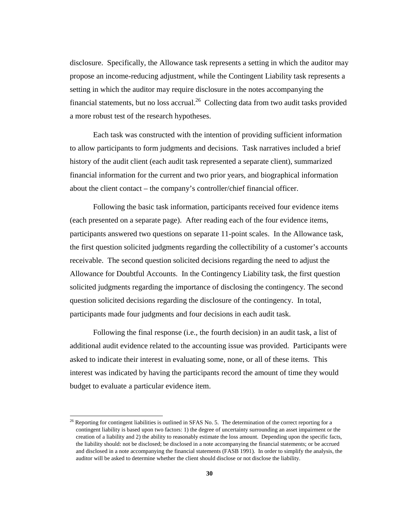disclosure. Specifically, the Allowance task represents a setting in which the auditor may propose an income-reducing adjustment, while the Contingent Liability task represents a setting in which the auditor may require disclosure in the notes accompanying the financial statements, but no loss accrual.<sup>26</sup> Collecting data from two audit tasks provided a more robust test of the research hypotheses.

Each task was constructed with the intention of providing sufficient information to allow participants to form judgments and decisions. Task narratives included a brief history of the audit client (each audit task represented a separate client), summarized financial information for the current and two prior years, and biographical information about the client contact – the company's controller/chief financial officer.

Following the basic task information, participants received four evidence items (each presented on a separate page). After reading each of the four evidence items, participants answered two questions on separate 11-point scales. In the Allowance task, the first question solicited judgments regarding the collectibility of a customer's accounts receivable. The second question solicited decisions regarding the need to adjust the Allowance for Doubtful Accounts. In the Contingency Liability task, the first question solicited judgments regarding the importance of disclosing the contingency. The second question solicited decisions regarding the disclosure of the contingency. In total, participants made four judgments and four decisions in each audit task.

Following the final response (i.e., the fourth decision) in an audit task, a list of additional audit evidence related to the accounting issue was provided. Participants were asked to indicate their interest in evaluating some, none, or all of these items. This interest was indicated by having the participants record the amount of time they would budget to evaluate a particular evidence item.

 $\overline{a}$ 

<sup>&</sup>lt;sup>26</sup> Reporting for contingent liabilities is outlined in SFAS No. 5. The determination of the correct reporting for a contingent liability is based upon two factors: 1) the degree of uncertainty surrounding an asset impairment or the creation of a liability and 2) the ability to reasonably estimate the loss amount. Depending upon the specific facts, the liability should: not be disclosed; be disclosed in a note accompanying the financial statements; or be accrued and disclosed in a note accompanying the financial statements (FASB 1991). In order to simplify the analysis, the auditor will be asked to determine whether the client should disclose or not disclose the liability.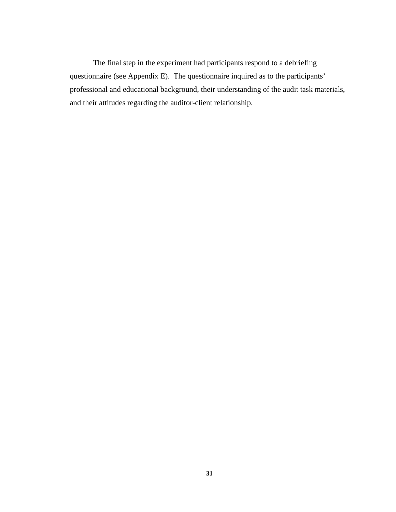The final step in the experiment had participants respond to a debriefing questionnaire (see Appendix E). The questionnaire inquired as to the participants' professional and educational background, their understanding of the audit task materials, and their attitudes regarding the auditor-client relationship.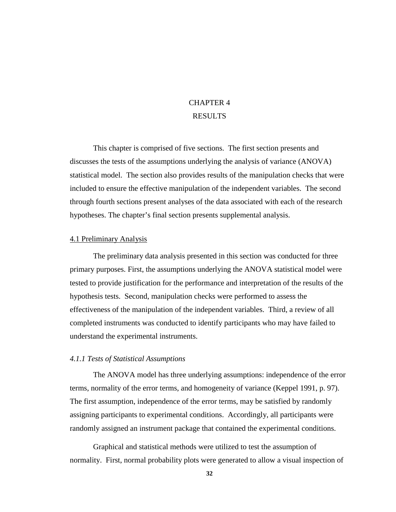# CHAPTER 4 RESULTS

This chapter is comprised of five sections. The first section presents and discusses the tests of the assumptions underlying the analysis of variance (ANOVA) statistical model. The section also provides results of the manipulation checks that were included to ensure the effective manipulation of the independent variables. The second through fourth sections present analyses of the data associated with each of the research hypotheses. The chapter's final section presents supplemental analysis.

## 4.1 Preliminary Analysis

The preliminary data analysis presented in this section was conducted for three primary purposes. First, the assumptions underlying the ANOVA statistical model were tested to provide justification for the performance and interpretation of the results of the hypothesis tests. Second, manipulation checks were performed to assess the effectiveness of the manipulation of the independent variables. Third, a review of all completed instruments was conducted to identify participants who may have failed to understand the experimental instruments.

# *4.1.1 Tests of Statistical Assumptions*

The ANOVA model has three underlying assumptions: independence of the error terms, normality of the error terms, and homogeneity of variance (Keppel 1991, p. 97). The first assumption, independence of the error terms, may be satisfied by randomly assigning participants to experimental conditions. Accordingly, all participants were randomly assigned an instrument package that contained the experimental conditions.

Graphical and statistical methods were utilized to test the assumption of normality. First, normal probability plots were generated to allow a visual inspection of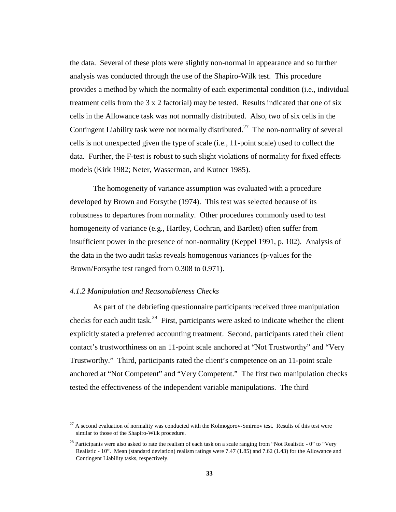the data. Several of these plots were slightly non-normal in appearance and so further analysis was conducted through the use of the Shapiro-Wilk test. This procedure provides a method by which the normality of each experimental condition (i.e., individual treatment cells from the 3 x 2 factorial) may be tested. Results indicated that one of six cells in the Allowance task was not normally distributed. Also, two of six cells in the Contingent Liability task were not normally distributed.<sup>27</sup> The non-normality of several cells is not unexpected given the type of scale (i.e., 11-point scale) used to collect the data. Further, the F-test is robust to such slight violations of normality for fixed effects models (Kirk 1982; Neter, Wasserman, and Kutner 1985).

The homogeneity of variance assumption was evaluated with a procedure developed by Brown and Forsythe (1974). This test was selected because of its robustness to departures from normality. Other procedures commonly used to test homogeneity of variance (e.g., Hartley, Cochran, and Bartlett) often suffer from insufficient power in the presence of non-normality (Keppel 1991, p. 102). Analysis of the data in the two audit tasks reveals homogenous variances (p-values for the Brown/Forsythe test ranged from 0.308 to 0.971).

# *4.1.2 Manipulation and Reasonableness Checks*

 $\overline{a}$ 

As part of the debriefing questionnaire participants received three manipulation checks for each audit task.<sup>28</sup> First, participants were asked to indicate whether the client explicitly stated a preferred accounting treatment. Second, participants rated their client contact's trustworthiness on an 11-point scale anchored at "Not Trustworthy" and "Very Trustworthy." Third, participants rated the client's competence on an 11-point scale anchored at "Not Competent" and "Very Competent." The first two manipulation checks tested the effectiveness of the independent variable manipulations. The third

 $^{27}$  A second evaluation of normality was conducted with the Kolmogorov-Smirnov test. Results of this test were similar to those of the Shapiro-Wilk procedure.

<sup>&</sup>lt;sup>28</sup> Participants were also asked to rate the realism of each task on a scale ranging from "Not Realistic - 0" to "Very Realistic - 10". Mean (standard deviation) realism ratings were 7.47 (1.85) and 7.62 (1.43) for the Allowance and Contingent Liability tasks, respectively.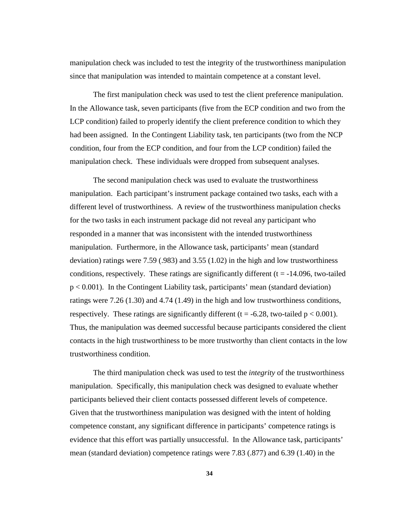manipulation check was included to test the integrity of the trustworthiness manipulation since that manipulation was intended to maintain competence at a constant level.

The first manipulation check was used to test the client preference manipulation. In the Allowance task, seven participants (five from the ECP condition and two from the LCP condition) failed to properly identify the client preference condition to which they had been assigned. In the Contingent Liability task, ten participants (two from the NCP condition, four from the ECP condition, and four from the LCP condition) failed the manipulation check. These individuals were dropped from subsequent analyses.

The second manipulation check was used to evaluate the trustworthiness manipulation. Each participant's instrument package contained two tasks, each with a different level of trustworthiness. A review of the trustworthiness manipulation checks for the two tasks in each instrument package did not reveal any participant who responded in a manner that was inconsistent with the intended trustworthiness manipulation. Furthermore, in the Allowance task, participants' mean (standard deviation) ratings were 7.59 (.983) and 3.55 (1.02) in the high and low trustworthiness conditions, respectively. These ratings are significantly different  $(t = -14.096,$  two-tailed p < 0.001). In the Contingent Liability task, participants' mean (standard deviation) ratings were 7.26 (1.30) and 4.74 (1.49) in the high and low trustworthiness conditions, respectively. These ratings are significantly different ( $t = -6.28$ , two-tailed  $p < 0.001$ ). Thus, the manipulation was deemed successful because participants considered the client contacts in the high trustworthiness to be more trustworthy than client contacts in the low trustworthiness condition.

The third manipulation check was used to test the *integrity* of the trustworthiness manipulation. Specifically, this manipulation check was designed to evaluate whether participants believed their client contacts possessed different levels of competence. Given that the trustworthiness manipulation was designed with the intent of holding competence constant, any significant difference in participants' competence ratings is evidence that this effort was partially unsuccessful. In the Allowance task, participants' mean (standard deviation) competence ratings were 7.83 (.877) and 6.39 (1.40) in the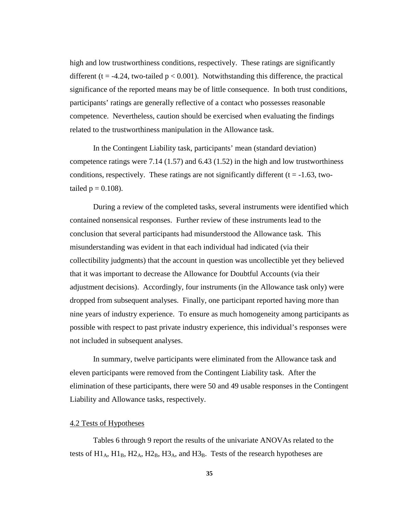high and low trustworthiness conditions, respectively. These ratings are significantly different ( $t = -4.24$ , two-tailed  $p < 0.001$ ). Notwithstanding this difference, the practical significance of the reported means may be of little consequence. In both trust conditions, participants' ratings are generally reflective of a contact who possesses reasonable competence. Nevertheless, caution should be exercised when evaluating the findings related to the trustworthiness manipulation in the Allowance task.

In the Contingent Liability task, participants' mean (standard deviation) competence ratings were 7.14 (1.57) and 6.43 (1.52) in the high and low trustworthiness conditions, respectively. These ratings are not significantly different  $(t = -1.63, two$ tailed  $p = 0.108$ ).

During a review of the completed tasks, several instruments were identified which contained nonsensical responses. Further review of these instruments lead to the conclusion that several participants had misunderstood the Allowance task. This misunderstanding was evident in that each individual had indicated (via their collectibility judgments) that the account in question was uncollectible yet they believed that it was important to decrease the Allowance for Doubtful Accounts (via their adjustment decisions). Accordingly, four instruments (in the Allowance task only) were dropped from subsequent analyses. Finally, one participant reported having more than nine years of industry experience. To ensure as much homogeneity among participants as possible with respect to past private industry experience, this individual's responses were not included in subsequent analyses.

In summary, twelve participants were eliminated from the Allowance task and eleven participants were removed from the Contingent Liability task. After the elimination of these participants, there were 50 and 49 usable responses in the Contingent Liability and Allowance tasks, respectively.

# 4.2 Tests of Hypotheses

Tables 6 through 9 report the results of the univariate ANOVAs related to the tests of  $H1_A$ ,  $H1_B$ ,  $H2_A$ ,  $H2_B$ ,  $H3_A$ , and  $H3_B$ . Tests of the research hypotheses are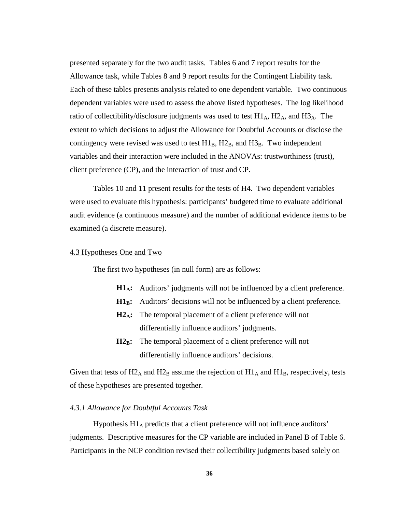presented separately for the two audit tasks. Tables 6 and 7 report results for the Allowance task, while Tables 8 and 9 report results for the Contingent Liability task. Each of these tables presents analysis related to one dependent variable. Two continuous dependent variables were used to assess the above listed hypotheses. The log likelihood ratio of collectibility/disclosure judgments was used to test  $H1_A$ ,  $H2_A$ , and  $H3_A$ . The extent to which decisions to adjust the Allowance for Doubtful Accounts or disclose the contingency were revised was used to test  $H1_B$ ,  $H2_B$ , and  $H3_B$ . Two independent variables and their interaction were included in the ANOVAs: trustworthiness (trust), client preference (CP), and the interaction of trust and CP.

Tables 10 and 11 present results for the tests of H4. Two dependent variables were used to evaluate this hypothesis: participants' budgeted time to evaluate additional audit evidence (a continuous measure) and the number of additional evidence items to be examined (a discrete measure).

# 4.3 Hypotheses One and Two

The first two hypotheses (in null form) are as follows:

- **H1<sub>A</sub>:** Auditors' judgments will not be influenced by a client preference.
- **H1<sub>B</sub>:** Auditors' decisions will not be influenced by a client preference.
- **H2A:** The temporal placement of a client preference will not differentially influence auditors' judgments.
- H<sub>2</sub>B: The temporal placement of a client preference will not differentially influence auditors' decisions.

Given that tests of  $H2_A$  and  $H2_B$  assume the rejection of  $H1_A$  and  $H1_B$ , respectively, tests of these hypotheses are presented together.

#### *4.3.1 Allowance for Doubtful Accounts Task*

Hypothesis  $H1_A$  predicts that a client preference will not influence auditors' judgments. Descriptive measures for the CP variable are included in Panel B of Table 6. Participants in the NCP condition revised their collectibility judgments based solely on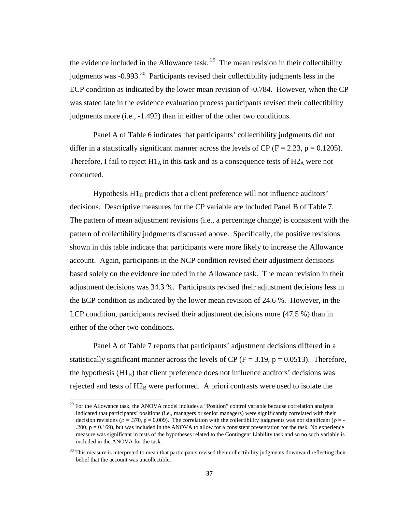the evidence included in the Allowance task.<sup>29</sup> The mean revision in their collectibility judgments was  $-0.993$ <sup>30</sup> Participants revised their collectibility judgments less in the ECP condition as indicated by the lower mean revision of -0.784. However, when the CP was stated late in the evidence evaluation process participants revised their collectibility judgments more (i.e., -1.492) than in either of the other two conditions.

Panel A of Table 6 indicates that participants' collectibility judgments did not differ in a statistically significant manner across the levels of CP ( $F = 2.23$ ,  $p = 0.1205$ ). Therefore, I fail to reject  $H1_A$  in this task and as a consequence tests of  $H2_A$  were not conducted.

Hypothesis  $H1_B$  predicts that a client preference will not influence auditors' decisions. Descriptive measures for the CP variable are included Panel B of Table 7. The pattern of mean adjustment revisions (i.e., a percentage change) is consistent with the pattern of collectibility judgments discussed above. Specifically, the positive revisions shown in this table indicate that participants were more likely to increase the Allowance account. Again, participants in the NCP condition revised their adjustment decisions based solely on the evidence included in the Allowance task. The mean revision in their adjustment decisions was 34.3 %. Participants revised their adjustment decisions less in the ECP condition as indicated by the lower mean revision of 24.6 %. However, in the LCP condition, participants revised their adjustment decisions more (47.5 %) than in either of the other two conditions.

Panel A of Table 7 reports that participants' adjustment decisions differed in a statistically significant manner across the levels of CP ( $F = 3.19$ ,  $p = 0.0513$ ). Therefore, the hypothesis  $(H1_B)$  that client preference does not influence auditors' decisions was rejected and tests of  $H2_B$  were performed. A priori contrasts were used to isolate the

 $\overline{a}$ 

<sup>&</sup>lt;sup>29</sup> For the Allowance task, the ANOVA model includes a "Position" control variable because correlation analysis indicated that participants' positions (i.e., managers or senior managers) were significantly correlated with their decision revisions ( $\rho = .370$ ,  $p = 0.009$ ). The correlation with the collectibility judgments was not significant ( $\rho = -$ .200,  $p = 0.169$ ), but was included in the ANOVA to allow for a consistent presentation for the task. No experience measure was significant in tests of the hypotheses related to the Contingent Liability task and so no such variable is included in the ANOVA for the task.

 $30$  This measure is interpreted to mean that participants revised their collectibility judgments downward reflecting their belief that the account was uncollectible.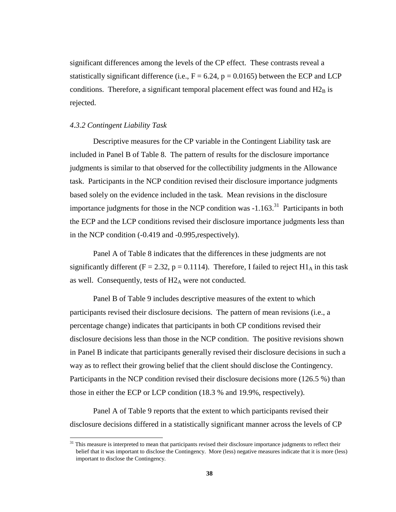significant differences among the levels of the CP effect. These contrasts reveal a statistically significant difference (i.e.,  $F = 6.24$ ,  $p = 0.0165$ ) between the ECP and LCP conditions. Therefore, a significant temporal placement effect was found and  $H2_B$  is rejected.

# *4.3.2 Contingent Liability Task*

 $\overline{a}$ 

Descriptive measures for the CP variable in the Contingent Liability task are included in Panel B of Table 8. The pattern of results for the disclosure importance judgments is similar to that observed for the collectibility judgments in the Allowance task. Participants in the NCP condition revised their disclosure importance judgments based solely on the evidence included in the task. Mean revisions in the disclosure importance judgments for those in the NCP condition was  $-1.163$ <sup>31</sup> Participants in both the ECP and the LCP conditions revised their disclosure importance judgments less than in the NCP condition (-0.419 and -0.995,respectively).

Panel A of Table 8 indicates that the differences in these judgments are not significantly different (F = 2.32, p = 0.1114). Therefore, I failed to reject  $H1_A$  in this task as well. Consequently, tests of  $H2_A$  were not conducted.

Panel B of Table 9 includes descriptive measures of the extent to which participants revised their disclosure decisions. The pattern of mean revisions (i.e., a percentage change) indicates that participants in both CP conditions revised their disclosure decisions less than those in the NCP condition. The positive revisions shown in Panel B indicate that participants generally revised their disclosure decisions in such a way as to reflect their growing belief that the client should disclose the Contingency. Participants in the NCP condition revised their disclosure decisions more (126.5 %) than those in either the ECP or LCP condition (18.3 % and 19.9%, respectively).

Panel A of Table 9 reports that the extent to which participants revised their disclosure decisions differed in a statistically significant manner across the levels of CP

<sup>&</sup>lt;sup>31</sup> This measure is interpreted to mean that participants revised their disclosure importance judgments to reflect their belief that it was important to disclose the Contingency. More (less) negative measures indicate that it is more (less) important to disclose the Contingency.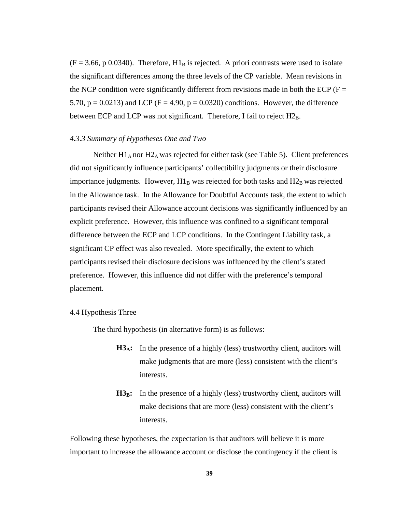$(F = 3.66, p \ 0.0340)$ . Therefore,  $H1_B$  is rejected. A priori contrasts were used to isolate the significant differences among the three levels of the CP variable. Mean revisions in the NCP condition were significantly different from revisions made in both the ECP ( $F =$ 5.70,  $p = 0.0213$ ) and LCP (F = 4.90,  $p = 0.0320$ ) conditions. However, the difference between ECP and LCP was not significant. Therefore, I fail to reject  $H2_B$ .

## *4.3.3 Summary of Hypotheses One and Two*

Neither  $H1_A$  nor  $H2_A$  was rejected for either task (see Table 5). Client preferences did not significantly influence participants' collectibility judgments or their disclosure importance judgments. However,  $H1_B$  was rejected for both tasks and  $H2_B$  was rejected in the Allowance task. In the Allowance for Doubtful Accounts task, the extent to which participants revised their Allowance account decisions was significantly influenced by an explicit preference. However, this influence was confined to a significant temporal difference between the ECP and LCP conditions. In the Contingent Liability task, a significant CP effect was also revealed. More specifically, the extent to which participants revised their disclosure decisions was influenced by the client's stated preference. However, this influence did not differ with the preference's temporal placement.

#### 4.4 Hypothesis Three

The third hypothesis (in alternative form) is as follows:

- H3<sub>A</sub>: In the presence of a highly (less) trustworthy client, auditors will make judgments that are more (less) consistent with the client's interests.
- **H3<sub>B</sub>:** In the presence of a highly (less) trustworthy client, auditors will make decisions that are more (less) consistent with the client's interests.

Following these hypotheses, the expectation is that auditors will believe it is more important to increase the allowance account or disclose the contingency if the client is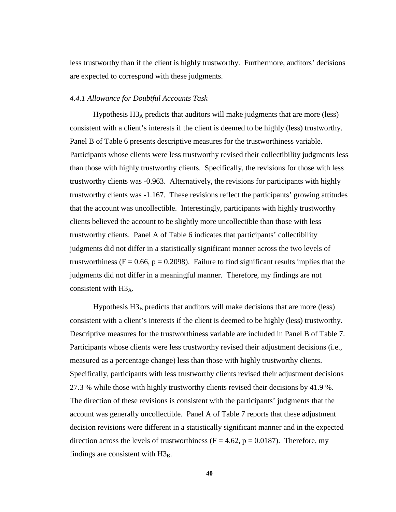less trustworthy than if the client is highly trustworthy. Furthermore, auditors' decisions are expected to correspond with these judgments.

#### *4.4.1 Allowance for Doubtful Accounts Task*

Hypothesis H3A predicts that auditors will make judgments that are more (less) consistent with a client's interests if the client is deemed to be highly (less) trustworthy. Panel B of Table 6 presents descriptive measures for the trustworthiness variable. Participants whose clients were less trustworthy revised their collectibility judgments less than those with highly trustworthy clients. Specifically, the revisions for those with less trustworthy clients was -0.963. Alternatively, the revisions for participants with highly trustworthy clients was -1.167. These revisions reflect the participants' growing attitudes that the account was uncollectible. Interestingly, participants with highly trustworthy clients believed the account to be slightly more uncollectible than those with less trustworthy clients. Panel A of Table 6 indicates that participants' collectibility judgments did not differ in a statistically significant manner across the two levels of trustworthiness ( $F = 0.66$ ,  $p = 0.2098$ ). Failure to find significant results implies that the judgments did not differ in a meaningful manner. Therefore, my findings are not consistent with  $H3_A$ .

Hypothesis  $H3_B$  predicts that auditors will make decisions that are more (less) consistent with a client's interests if the client is deemed to be highly (less) trustworthy. Descriptive measures for the trustworthiness variable are included in Panel B of Table 7. Participants whose clients were less trustworthy revised their adjustment decisions (i.e., measured as a percentage change) less than those with highly trustworthy clients. Specifically, participants with less trustworthy clients revised their adjustment decisions 27.3 % while those with highly trustworthy clients revised their decisions by 41.9 %. The direction of these revisions is consistent with the participants' judgments that the account was generally uncollectible. Panel A of Table 7 reports that these adjustment decision revisions were different in a statistically significant manner and in the expected direction across the levels of trustworthiness ( $F = 4.62$ ,  $p = 0.0187$ ). Therefore, my findings are consistent with  $H3_B$ .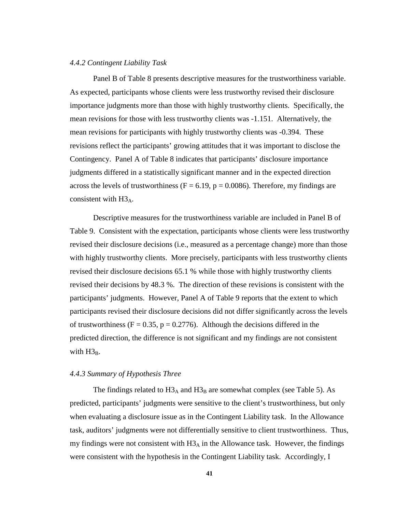#### *4.4.2 Contingent Liability Task*

Panel B of Table 8 presents descriptive measures for the trustworthiness variable. As expected, participants whose clients were less trustworthy revised their disclosure importance judgments more than those with highly trustworthy clients. Specifically, the mean revisions for those with less trustworthy clients was -1.151. Alternatively, the mean revisions for participants with highly trustworthy clients was -0.394. These revisions reflect the participants' growing attitudes that it was important to disclose the Contingency. Panel A of Table 8 indicates that participants' disclosure importance judgments differed in a statistically significant manner and in the expected direction across the levels of trustworthiness ( $F = 6.19$ ,  $p = 0.0086$ ). Therefore, my findings are consistent with  $H3_A$ .

Descriptive measures for the trustworthiness variable are included in Panel B of Table 9. Consistent with the expectation, participants whose clients were less trustworthy revised their disclosure decisions (i.e., measured as a percentage change) more than those with highly trustworthy clients. More precisely, participants with less trustworthy clients revised their disclosure decisions 65.1 % while those with highly trustworthy clients revised their decisions by 48.3 %. The direction of these revisions is consistent with the participants' judgments. However, Panel A of Table 9 reports that the extent to which participants revised their disclosure decisions did not differ significantly across the levels of trustworthiness ( $F = 0.35$ ,  $p = 0.2776$ ). Although the decisions differed in the predicted direction, the difference is not significant and my findings are not consistent with  $H3_B$ .

# *4.4.3 Summary of Hypothesis Three*

The findings related to  $H3_A$  and  $H3_B$  are somewhat complex (see Table 5). As predicted, participants' judgments were sensitive to the client's trustworthiness, but only when evaluating a disclosure issue as in the Contingent Liability task. In the Allowance task, auditors' judgments were not differentially sensitive to client trustworthiness. Thus, my findings were not consistent with  $H3_A$  in the Allowance task. However, the findings were consistent with the hypothesis in the Contingent Liability task. Accordingly, I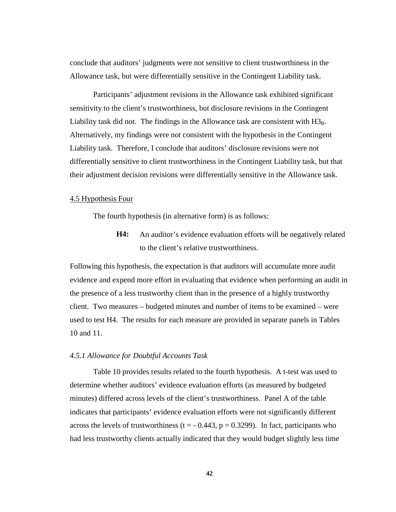conclude that auditors' judgments were not sensitive to client trustworthiness in the Allowance task, but were differentially sensitive in the Contingent Liability task.

Participants' adjustment revisions in the Allowance task exhibited significant sensitivity to the client's trustworthiness, but disclosure revisions in the Contingent Liability task did not. The findings in the Allowance task are consistent with  $H_{\rm 3B}^{3}$ . Alternatively, my findings were not consistent with the hypothesis in the Contingent Liability task. Therefore, I conclude that auditors' disclosure revisions were not differentially sensitive to client trustworthiness in the Contingent Liability task, but that their adjustment decision revisions were differentially sensitive in the Allowance task.

# 4.5 Hypothesis Four

The fourth hypothesis (in alternative form) is as follows:

**H4:** An auditor's evidence evaluation efforts will be negatively related to the client's relative trustworthiness.

Following this hypothesis, the expectation is that auditors will accumulate more audit evidence and expend more effort in evaluating that evidence when performing an audit in the presence of a less trustworthy client than in the presence of a highly trustworthy client. Two measures – budgeted minutes and number of items to be examined – were used to test H4. The results for each measure are provided in separate panels in Tables 10 and 11.

## *4.5.1 Allowance for Doubtful Accounts Task*

Table 10 provides results related to the fourth hypothesis. A t-test was used to determine whether auditors' evidence evaluation efforts (as measured by budgeted minutes) differed across levels of the client's trustworthiness. Panel A of the table indicates that participants' evidence evaluation efforts were not significantly different across the levels of trustworthiness ( $t = -0.443$ ,  $p = 0.3299$ ). In fact, participants who had less trustworthy clients actually indicated that they would budget slightly less time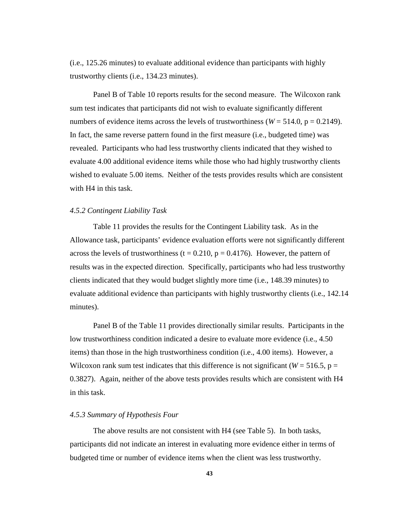(i.e., 125.26 minutes) to evaluate additional evidence than participants with highly trustworthy clients (i.e., 134.23 minutes).

Panel B of Table 10 reports results for the second measure. The Wilcoxon rank sum test indicates that participants did not wish to evaluate significantly different numbers of evidence items across the levels of trustworthiness ( $W = 514.0$ ,  $p = 0.2149$ ). In fact, the same reverse pattern found in the first measure (i.e., budgeted time) was revealed. Participants who had less trustworthy clients indicated that they wished to evaluate 4.00 additional evidence items while those who had highly trustworthy clients wished to evaluate 5.00 items. Neither of the tests provides results which are consistent with H4 in this task.

## *4.5.2 Contingent Liability Task*

Table 11 provides the results for the Contingent Liability task. As in the Allowance task, participants' evidence evaluation efforts were not significantly different across the levels of trustworthiness (t =  $0.210$ , p =  $0.4176$ ). However, the pattern of results was in the expected direction. Specifically, participants who had less trustworthy clients indicated that they would budget slightly more time (i.e., 148.39 minutes) to evaluate additional evidence than participants with highly trustworthy clients (i.e., 142.14 minutes).

Panel B of the Table 11 provides directionally similar results. Participants in the low trustworthiness condition indicated a desire to evaluate more evidence (i.e., 4.50 items) than those in the high trustworthiness condition (i.e., 4.00 items). However, a Wilcoxon rank sum test indicates that this difference is not significant ( $W = 516.5$ ,  $p =$ 0.3827). Again, neither of the above tests provides results which are consistent with H4 in this task.

#### *4.5.3 Summary of Hypothesis Four*

The above results are not consistent with H4 (see Table 5). In both tasks, participants did not indicate an interest in evaluating more evidence either in terms of budgeted time or number of evidence items when the client was less trustworthy.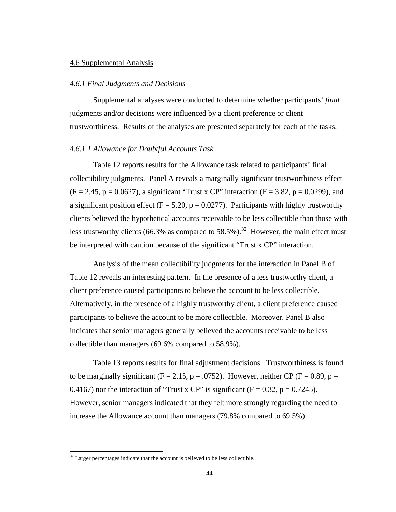## 4.6 Supplemental Analysis

#### *4.6.1 Final Judgments and Decisions*

Supplemental analyses were conducted to determine whether participants' *final* judgments and/or decisions were influenced by a client preference or client trustworthiness. Results of the analyses are presented separately for each of the tasks.

# *4.6.1.1 Allowance for Doubtful Accounts Task*

Table 12 reports results for the Allowance task related to participants' final collectibility judgments. Panel A reveals a marginally significant trustworthiness effect  $(F = 2.45, p = 0.0627)$ , a significant "Trust x CP" interaction  $(F = 3.82, p = 0.0299)$ , and a significant position effect ( $F = 5.20$ ,  $p = 0.0277$ ). Participants with highly trustworthy clients believed the hypothetical accounts receivable to be less collectible than those with less trustworthy clients (66.3% as compared to 58.5%).<sup>32</sup> However, the main effect must be interpreted with caution because of the significant "Trust x CP" interaction.

Analysis of the mean collectibility judgments for the interaction in Panel B of Table 12 reveals an interesting pattern. In the presence of a less trustworthy client, a client preference caused participants to believe the account to be less collectible. Alternatively, in the presence of a highly trustworthy client, a client preference caused participants to believe the account to be more collectible. Moreover, Panel B also indicates that senior managers generally believed the accounts receivable to be less collectible than managers (69.6% compared to 58.9%).

Table 13 reports results for final adjustment decisions. Trustworthiness is found to be marginally significant (F = 2.15, p = .0752). However, neither CP (F = 0.89, p = 0.4167) nor the interaction of "Trust x CP" is significant ( $F = 0.32$ ,  $p = 0.7245$ ). However, senior managers indicated that they felt more strongly regarding the need to increase the Allowance account than managers (79.8% compared to 69.5%).

 $\overline{a}$ 

 $32$  Larger percentages indicate that the account is believed to be less collectible.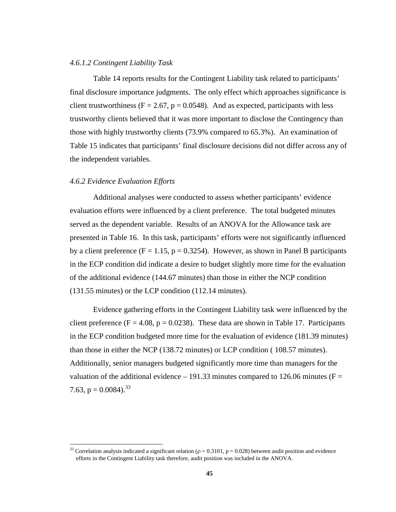#### *4.6.1.2 Contingent Liability Task*

Table 14 reports results for the Contingent Liability task related to participants' final disclosure importance judgments. The only effect which approaches significance is client trustworthiness ( $F = 2.67$ ,  $p = 0.0548$ ). And as expected, participants with less trustworthy clients believed that it was more important to disclose the Contingency than those with highly trustworthy clients (73.9% compared to 65.3%). An examination of Table 15 indicates that participants' final disclosure decisions did not differ across any of the independent variables.

# *4.6.2 Evidence Evaluation Efforts*

 $\overline{a}$ 

Additional analyses were conducted to assess whether participants' evidence evaluation efforts were influenced by a client preference. The total budgeted minutes served as the dependent variable. Results of an ANOVA for the Allowance task are presented in Table 16. In this task, participants' efforts were not significantly influenced by a client preference ( $F = 1.15$ ,  $p = 0.3254$ ). However, as shown in Panel B participants in the ECP condition did indicate a desire to budget slightly more time for the evaluation of the additional evidence (144.67 minutes) than those in either the NCP condition (131.55 minutes) or the LCP condition (112.14 minutes).

Evidence gathering efforts in the Contingent Liability task were influenced by the client preference ( $F = 4.08$ ,  $p = 0.0238$ ). These data are shown in Table 17. Participants in the ECP condition budgeted more time for the evaluation of evidence (181.39 minutes) than those in either the NCP (138.72 minutes) or LCP condition ( 108.57 minutes). Additionally, senior managers budgeted significantly more time than managers for the valuation of the additional evidence – 191.33 minutes compared to 126.06 minutes ( $F =$ 7.63,  $p = 0.0084$ ).<sup>33</sup>

<sup>&</sup>lt;sup>33</sup> Correlation analysis indicated a significant relation ( $\rho = 0.3101$ ,  $p = 0.028$ ) between audit position and evidence efforts in the Contingent Liability task therefore, audit position was included in the ANOVA.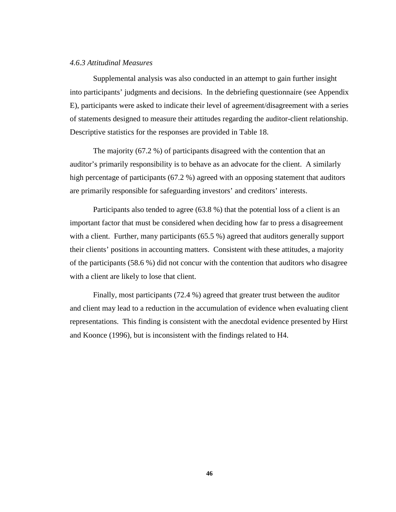#### *4.6.3 Attitudinal Measures*

Supplemental analysis was also conducted in an attempt to gain further insight into participants' judgments and decisions. In the debriefing questionnaire (see Appendix E), participants were asked to indicate their level of agreement/disagreement with a series of statements designed to measure their attitudes regarding the auditor-client relationship. Descriptive statistics for the responses are provided in Table 18.

The majority (67.2 %) of participants disagreed with the contention that an auditor's primarily responsibility is to behave as an advocate for the client. A similarly high percentage of participants (67.2 %) agreed with an opposing statement that auditors are primarily responsible for safeguarding investors' and creditors' interests.

Participants also tended to agree (63.8 %) that the potential loss of a client is an important factor that must be considered when deciding how far to press a disagreement with a client. Further, many participants (65.5 %) agreed that auditors generally support their clients' positions in accounting matters. Consistent with these attitudes, a majority of the participants (58.6 %) did not concur with the contention that auditors who disagree with a client are likely to lose that client.

Finally, most participants (72.4 %) agreed that greater trust between the auditor and client may lead to a reduction in the accumulation of evidence when evaluating client representations. This finding is consistent with the anecdotal evidence presented by Hirst and Koonce (1996), but is inconsistent with the findings related to H4.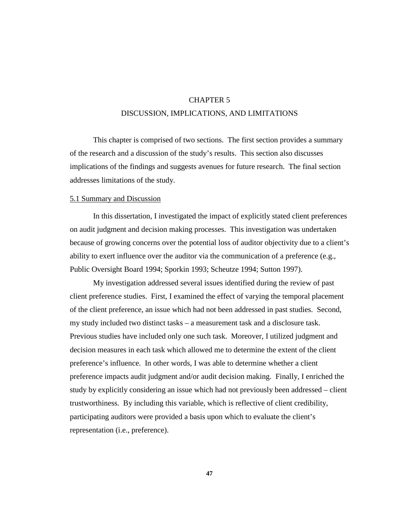# CHAPTER 5

# DISCUSSION, IMPLICATIONS, AND LIMITATIONS

This chapter is comprised of two sections. The first section provides a summary of the research and a discussion of the study's results. This section also discusses implications of the findings and suggests avenues for future research. The final section addresses limitations of the study.

### 5.1 Summary and Discussion

In this dissertation, I investigated the impact of explicitly stated client preferences on audit judgment and decision making processes. This investigation was undertaken because of growing concerns over the potential loss of auditor objectivity due to a client's ability to exert influence over the auditor via the communication of a preference (e.g., Public Oversight Board 1994; Sporkin 1993; Scheutze 1994; Sutton 1997).

My investigation addressed several issues identified during the review of past client preference studies. First, I examined the effect of varying the temporal placement of the client preference, an issue which had not been addressed in past studies. Second, my study included two distinct tasks – a measurement task and a disclosure task. Previous studies have included only one such task. Moreover, I utilized judgment and decision measures in each task which allowed me to determine the extent of the client preference's influence. In other words, I was able to determine whether a client preference impacts audit judgment and/or audit decision making. Finally, I enriched the study by explicitly considering an issue which had not previously been addressed – client trustworthiness. By including this variable, which is reflective of client credibility, participating auditors were provided a basis upon which to evaluate the client's representation (i.e., preference).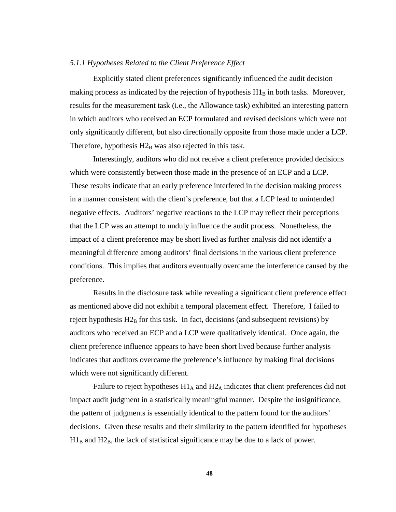#### *5.1.1 Hypotheses Related to the Client Preference Effect*

Explicitly stated client preferences significantly influenced the audit decision making process as indicated by the rejection of hypothesis  $H1<sub>B</sub>$  in both tasks. Moreover, results for the measurement task (i.e., the Allowance task) exhibited an interesting pattern in which auditors who received an ECP formulated and revised decisions which were not only significantly different, but also directionally opposite from those made under a LCP. Therefore, hypothesis  $H2_B$  was also rejected in this task.

Interestingly, auditors who did not receive a client preference provided decisions which were consistently between those made in the presence of an ECP and a LCP. These results indicate that an early preference interfered in the decision making process in a manner consistent with the client's preference, but that a LCP lead to unintended negative effects. Auditors' negative reactions to the LCP may reflect their perceptions that the LCP was an attempt to unduly influence the audit process. Nonetheless, the impact of a client preference may be short lived as further analysis did not identify a meaningful difference among auditors' final decisions in the various client preference conditions. This implies that auditors eventually overcame the interference caused by the preference.

Results in the disclosure task while revealing a significant client preference effect as mentioned above did not exhibit a temporal placement effect. Therefore, I failed to reject hypothesis  $H2_B$  for this task. In fact, decisions (and subsequent revisions) by auditors who received an ECP and a LCP were qualitatively identical. Once again, the client preference influence appears to have been short lived because further analysis indicates that auditors overcame the preference's influence by making final decisions which were not significantly different.

Failure to reject hypotheses  $H1_A$  and  $H2_A$  indicates that client preferences did not impact audit judgment in a statistically meaningful manner. Despite the insignificance, the pattern of judgments is essentially identical to the pattern found for the auditors' decisions. Given these results and their similarity to the pattern identified for hypotheses  $H1_B$  and  $H2_B$ , the lack of statistical significance may be due to a lack of power.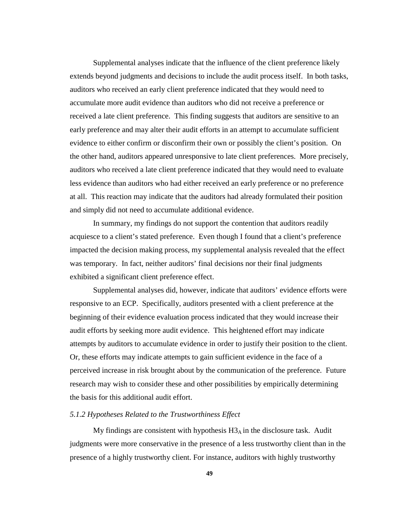Supplemental analyses indicate that the influence of the client preference likely extends beyond judgments and decisions to include the audit process itself. In both tasks, auditors who received an early client preference indicated that they would need to accumulate more audit evidence than auditors who did not receive a preference or received a late client preference. This finding suggests that auditors are sensitive to an early preference and may alter their audit efforts in an attempt to accumulate sufficient evidence to either confirm or disconfirm their own or possibly the client's position. On the other hand, auditors appeared unresponsive to late client preferences. More precisely, auditors who received a late client preference indicated that they would need to evaluate less evidence than auditors who had either received an early preference or no preference at all. This reaction may indicate that the auditors had already formulated their position and simply did not need to accumulate additional evidence.

In summary, my findings do not support the contention that auditors readily acquiesce to a client's stated preference. Even though I found that a client's preference impacted the decision making process, my supplemental analysis revealed that the effect was temporary. In fact, neither auditors' final decisions nor their final judgments exhibited a significant client preference effect.

Supplemental analyses did, however, indicate that auditors' evidence efforts were responsive to an ECP. Specifically, auditors presented with a client preference at the beginning of their evidence evaluation process indicated that they would increase their audit efforts by seeking more audit evidence. This heightened effort may indicate attempts by auditors to accumulate evidence in order to justify their position to the client. Or, these efforts may indicate attempts to gain sufficient evidence in the face of a perceived increase in risk brought about by the communication of the preference. Future research may wish to consider these and other possibilities by empirically determining the basis for this additional audit effort.

### *5.1.2 Hypotheses Related to the Trustworthiness Effect*

My findings are consistent with hypothesis  $H3_A$  in the disclosure task. Audit judgments were more conservative in the presence of a less trustworthy client than in the presence of a highly trustworthy client. For instance, auditors with highly trustworthy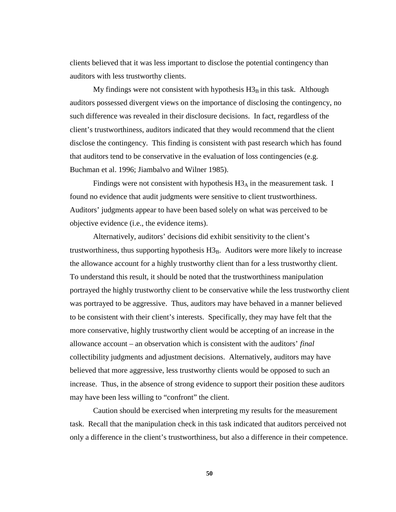clients believed that it was less important to disclose the potential contingency than auditors with less trustworthy clients.

My findings were not consistent with hypothesis  $H3_B$  in this task. Although auditors possessed divergent views on the importance of disclosing the contingency, no such difference was revealed in their disclosure decisions. In fact, regardless of the client's trustworthiness, auditors indicated that they would recommend that the client disclose the contingency. This finding is consistent with past research which has found that auditors tend to be conservative in the evaluation of loss contingencies (e.g. Buchman et al. 1996; Jiambalvo and Wilner 1985).

Findings were not consistent with hypothesis  $H3_A$  in the measurement task. I found no evidence that audit judgments were sensitive to client trustworthiness. Auditors' judgments appear to have been based solely on what was perceived to be objective evidence (i.e., the evidence items).

Alternatively, auditors' decisions did exhibit sensitivity to the client's trustworthiness, thus supporting hypothesis  $H3_B$ . Auditors were more likely to increase the allowance account for a highly trustworthy client than for a less trustworthy client. To understand this result, it should be noted that the trustworthiness manipulation portrayed the highly trustworthy client to be conservative while the less trustworthy client was portrayed to be aggressive. Thus, auditors may have behaved in a manner believed to be consistent with their client's interests. Specifically, they may have felt that the more conservative, highly trustworthy client would be accepting of an increase in the allowance account – an observation which is consistent with the auditors' *final* collectibility judgments and adjustment decisions. Alternatively, auditors may have believed that more aggressive, less trustworthy clients would be opposed to such an increase. Thus, in the absence of strong evidence to support their position these auditors may have been less willing to "confront" the client.

Caution should be exercised when interpreting my results for the measurement task. Recall that the manipulation check in this task indicated that auditors perceived not only a difference in the client's trustworthiness, but also a difference in their competence.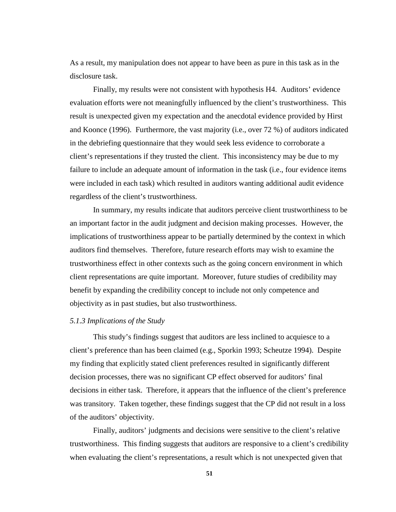As a result, my manipulation does not appear to have been as pure in this task as in the disclosure task.

Finally, my results were not consistent with hypothesis H4. Auditors' evidence evaluation efforts were not meaningfully influenced by the client's trustworthiness. This result is unexpected given my expectation and the anecdotal evidence provided by Hirst and Koonce (1996). Furthermore, the vast majority (i.e., over 72 %) of auditors indicated in the debriefing questionnaire that they would seek less evidence to corroborate a client's representations if they trusted the client. This inconsistency may be due to my failure to include an adequate amount of information in the task (i.e., four evidence items were included in each task) which resulted in auditors wanting additional audit evidence regardless of the client's trustworthiness.

In summary, my results indicate that auditors perceive client trustworthiness to be an important factor in the audit judgment and decision making processes. However, the implications of trustworthiness appear to be partially determined by the context in which auditors find themselves. Therefore, future research efforts may wish to examine the trustworthiness effect in other contexts such as the going concern environment in which client representations are quite important. Moreover, future studies of credibility may benefit by expanding the credibility concept to include not only competence and objectivity as in past studies, but also trustworthiness.

# *5.1.3 Implications of the Study*

This study's findings suggest that auditors are less inclined to acquiesce to a client's preference than has been claimed (e.g., Sporkin 1993; Scheutze 1994). Despite my finding that explicitly stated client preferences resulted in significantly different decision processes, there was no significant CP effect observed for auditors' final decisions in either task. Therefore, it appears that the influence of the client's preference was transitory. Taken together, these findings suggest that the CP did not result in a loss of the auditors' objectivity.

Finally, auditors' judgments and decisions were sensitive to the client's relative trustworthiness. This finding suggests that auditors are responsive to a client's credibility when evaluating the client's representations, a result which is not unexpected given that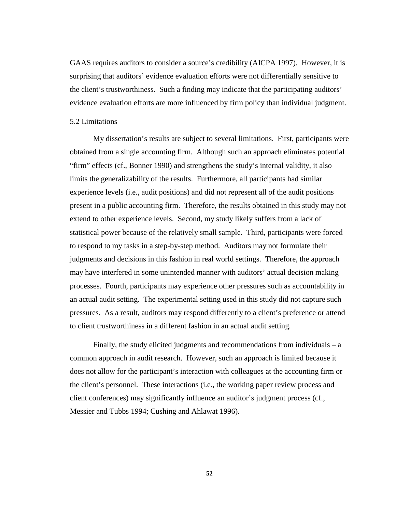GAAS requires auditors to consider a source's credibility (AICPA 1997). However, it is surprising that auditors' evidence evaluation efforts were not differentially sensitive to the client's trustworthiness. Such a finding may indicate that the participating auditors' evidence evaluation efforts are more influenced by firm policy than individual judgment.

### 5.2 Limitations

My dissertation's results are subject to several limitations. First, participants were obtained from a single accounting firm. Although such an approach eliminates potential "firm" effects (cf., Bonner 1990) and strengthens the study's internal validity, it also limits the generalizability of the results. Furthermore, all participants had similar experience levels (i.e., audit positions) and did not represent all of the audit positions present in a public accounting firm. Therefore, the results obtained in this study may not extend to other experience levels. Second, my study likely suffers from a lack of statistical power because of the relatively small sample. Third, participants were forced to respond to my tasks in a step-by-step method. Auditors may not formulate their judgments and decisions in this fashion in real world settings. Therefore, the approach may have interfered in some unintended manner with auditors' actual decision making processes. Fourth, participants may experience other pressures such as accountability in an actual audit setting. The experimental setting used in this study did not capture such pressures. As a result, auditors may respond differently to a client's preference or attend to client trustworthiness in a different fashion in an actual audit setting.

Finally, the study elicited judgments and recommendations from individuals – a common approach in audit research. However, such an approach is limited because it does not allow for the participant's interaction with colleagues at the accounting firm or the client's personnel. These interactions (i.e., the working paper review process and client conferences) may significantly influence an auditor's judgment process (cf., Messier and Tubbs 1994; Cushing and Ahlawat 1996).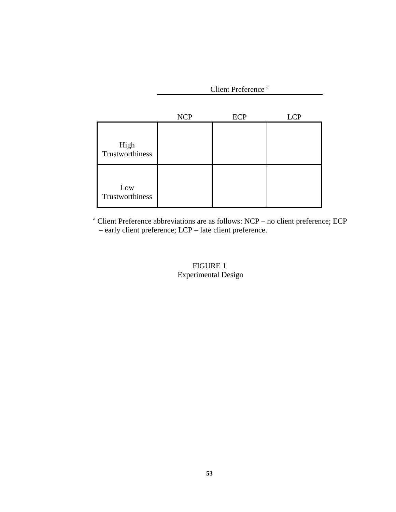Client Preference<sup>a</sup>

|                         | <b>NCP</b> | <b>ECP</b> | <b>LCP</b> |
|-------------------------|------------|------------|------------|
| High<br>Trustworthiness |            |            |            |
| Low<br>Trustworthiness  |            |            |            |

<sup>a</sup> Client Preference abbreviations are as follows: NCP – no client preference; ECP – early client preference; LCP – late client preference.

# FIGURE 1 Experimental Design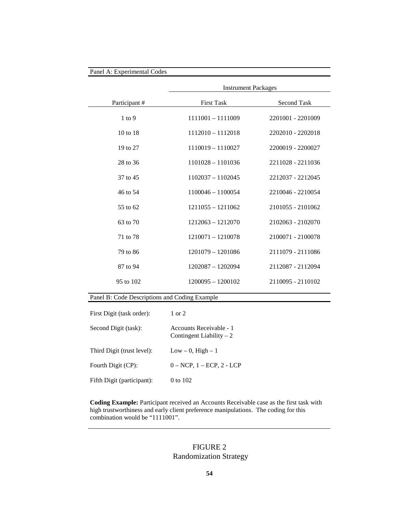|              | <b>Instrument Packages</b> |                   |  |  |
|--------------|----------------------------|-------------------|--|--|
| Participant# | <b>First Task</b>          | Second Task       |  |  |
| $1$ to $9$   | 1111001 - 1111009          | 2201001 - 2201009 |  |  |
| 10 to 18     | 1112010 - 1112018          | 2202010 - 2202018 |  |  |
| 19 to 27     | 1110019 - 1110027          | 2200019 - 2200027 |  |  |
| 28 to 36     | $1101028 - 1101036$        | 2211028 - 2211036 |  |  |
| 37 to 45     | $1102037 - 1102045$        | 2212037 - 2212045 |  |  |
| 46 to 54     | $1100046 - 1100054$        | 2210046 - 2210054 |  |  |
| 55 to 62     | $1211055 - 1211062$        | 2101055 - 2101062 |  |  |
| 63 to 70     | $1212063 - 1212070$        | 2102063 - 2102070 |  |  |
| 71 to 78     | 1210071 - 1210078          | 2100071 - 2100078 |  |  |
| 79 to 86     | 1201079 - 1201086          | 2111079 - 2111086 |  |  |
| 87 to 94     | 1202087 - 1202094          | 2112087 - 2112094 |  |  |
| 95 to 102    | $1200095 - 1200102$        | 2110095 - 2110102 |  |  |

| First Digit (task order):  | $1$ or $2$                                           |
|----------------------------|------------------------------------------------------|
| Second Digit (task):       | Accounts Receivable - 1<br>Contingent Liability $-2$ |
| Third Digit (trust level): | $Low - 0$ , $High - 1$                               |
| Fourth Digit (CP):         | $0 - NCP$ , $1 - ECP$ , $2 - LCP$                    |
| Fifth Digit (participant): | 0 to 102                                             |

**Coding Example:** Participant received an Accounts Receivable case as the first task with high trustworthiness and early client preference manipulations. The coding for this combination would be "1111001".

# FIGURE 2 Randomization Strategy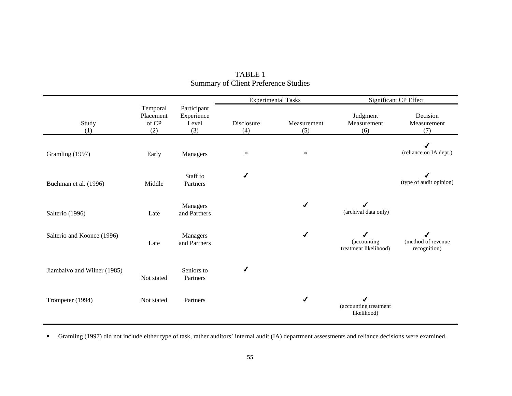|                             |                                       |                                           |                   | <b>Experimental Tasks</b> |                                           | Significant CP Effect              |
|-----------------------------|---------------------------------------|-------------------------------------------|-------------------|---------------------------|-------------------------------------------|------------------------------------|
| Study<br>(1)                | Temporal<br>Placement<br>of CP<br>(2) | Participant<br>Experience<br>Level<br>(3) | Disclosure<br>(4) | Measurement<br>(5)        | Judgment<br>Measurement<br>(6)            | Decision<br>Measurement<br>(7)     |
| Gramling (1997)             | Early                                 | Managers                                  | *                 | $\ast$                    |                                           | ✔<br>(reliance on IA dept.)        |
| Buchman et al. (1996)       | Middle                                | Staff to<br>Partners                      | ✔                 |                           |                                           | (type of audit opinion)            |
| Salterio (1996)             | Late                                  | Managers<br>and Partners                  |                   |                           | (archival data only)                      |                                    |
| Salterio and Koonce (1996)  | Late                                  | Managers<br>and Partners                  |                   | ✔                         | J<br>(accounting<br>treatment likelihood) | (method of revenue<br>recognition) |
| Jiambalvo and Wilner (1985) | Not stated                            | Seniors to<br>Partners                    |                   |                           |                                           |                                    |
| Trompeter (1994)            | Not stated                            | Partners                                  |                   | ✔                         | (accounting treatment<br>likelihood)      |                                    |

| TABLE 1                                     |  |
|---------------------------------------------|--|
| <b>Summary of Client Preference Studies</b> |  |

Gramling (1997) did not include either type of task, rather auditors' internal audit (IA) department assessments and reliance decisions were examined.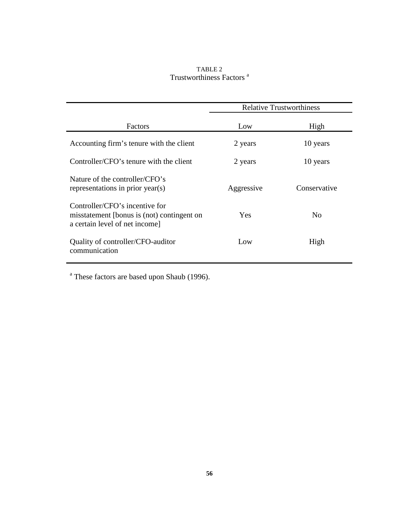# TABLE 2 Trustworthiness Factors<sup>a</sup>

|                                                                                                               | <b>Relative Trustworthiness</b> |                |
|---------------------------------------------------------------------------------------------------------------|---------------------------------|----------------|
| Factors                                                                                                       | Low                             | High           |
| Accounting firm's tenure with the client                                                                      | 2 years                         | 10 years       |
| Controller/CFO's tenure with the client                                                                       | 2 years                         | 10 years       |
| Nature of the controller/CFO's<br>representations in prior year(s)                                            | Aggressive                      | Conservative   |
| Controller/CFO's incentive for<br>misstatement [bonus is (not) contingent on<br>a certain level of net income | Yes                             | N <sub>0</sub> |
| Quality of controller/CFO-auditor<br>communication                                                            | Low                             | High           |

<sup>a</sup> These factors are based upon Shaub (1996).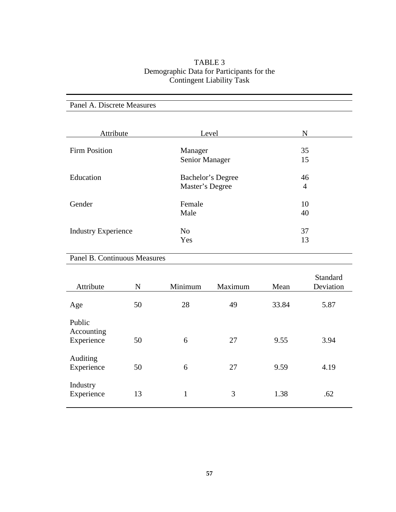# TABLE 3 Demographic Data for Participants for the Contingent Liability Task

| Attribute                  | Level                     | N              |
|----------------------------|---------------------------|----------------|
| <b>Firm Position</b>       | Manager<br>Senior Manager | 35<br>15       |
| Education                  | Bachelor's Degree         | 46             |
|                            | Master's Degree           | $\overline{4}$ |
| Gender                     | Female                    | 10             |
|                            | Male                      | 40             |
| <b>Industry Experience</b> | N <sub>o</sub>            | 37             |
|                            | Yes                       | 13             |

# Panel B. Continuous Measures

Panel A. Discrete Measures

| Attribute                          | N  | Minimum | Maximum | Mean  | Standard<br>Deviation |
|------------------------------------|----|---------|---------|-------|-----------------------|
| Age                                | 50 | 28      | 49      | 33.84 | 5.87                  |
| Public<br>Accounting<br>Experience | 50 | 6       | 27      | 9.55  | 3.94                  |
| Auditing<br>Experience             | 50 | 6       | 27      | 9.59  | 4.19                  |
| Industry<br>Experience             | 13 | 1       | 3       | 1.38  | .62                   |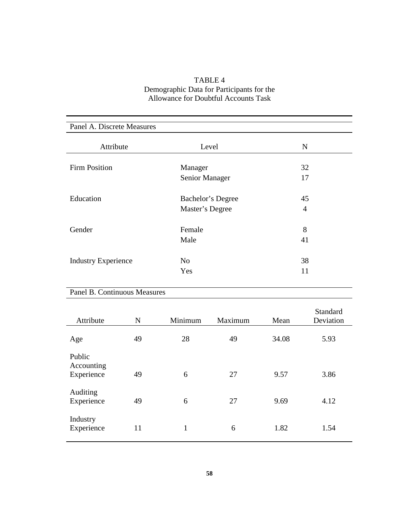| TABLE 4                                     |
|---------------------------------------------|
| Demographic Data for Participants for the   |
| <b>Allowance for Doubtful Accounts Task</b> |

| Panel A. Discrete Measures |                   |    |  |
|----------------------------|-------------------|----|--|
| Attribute                  | Level             | N  |  |
| <b>Firm Position</b>       | Manager           | 32 |  |
|                            | Senior Manager    | 17 |  |
| Education                  | Bachelor's Degree | 45 |  |
|                            | Master's Degree   | 4  |  |
| Gender                     | Female            | 8  |  |
|                            | Male              | 41 |  |
| <b>Industry Experience</b> | N <sub>o</sub>    | 38 |  |
|                            | Yes               | 11 |  |

# Panel B. Continuous Measures

| Attribute                          | N  | Minimum | Maximum | Mean  | Standard<br>Deviation |
|------------------------------------|----|---------|---------|-------|-----------------------|
| Age                                | 49 | 28      | 49      | 34.08 | 5.93                  |
| Public<br>Accounting<br>Experience | 49 | 6       | 27      | 9.57  | 3.86                  |
| Auditing<br>Experience             | 49 | 6       | 27      | 9.69  | 4.12                  |
| Industry<br>Experience             | 11 | 1       | 6       | 1.82  | 1.54                  |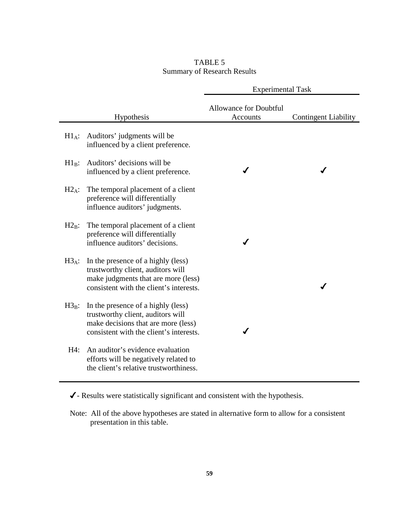# TABLE 5 Summary of Research Results

|            |                                                                                                                                                           | <b>Experimental Task</b>                  |                             |
|------------|-----------------------------------------------------------------------------------------------------------------------------------------------------------|-------------------------------------------|-----------------------------|
|            | Hypothesis                                                                                                                                                | <b>Allowance for Doubtful</b><br>Accounts | <b>Contingent Liability</b> |
| $H1_A$ :   | Auditors' judgments will be<br>influenced by a client preference.                                                                                         |                                           |                             |
| $H1_B$ :   | Auditors' decisions will be<br>influenced by a client preference.                                                                                         |                                           |                             |
| $H2_A$ :   | The temporal placement of a client<br>preference will differentially<br>influence auditors' judgments.                                                    |                                           |                             |
| $H2_{B}$ : | The temporal placement of a client<br>preference will differentially<br>influence auditors' decisions.                                                    |                                           |                             |
| $H3_A$ :   | In the presence of a highly (less)<br>trustworthy client, auditors will<br>make judgments that are more (less)<br>consistent with the client's interests. |                                           |                             |
| $H3_B$ :   | In the presence of a highly (less)<br>trustworthy client, auditors will<br>make decisions that are more (less)<br>consistent with the client's interests. |                                           |                             |
| H4:        | An auditor's evidence evaluation<br>efforts will be negatively related to<br>the client's relative trustworthiness.                                       |                                           |                             |

 $\checkmark$  - Results were statistically significant and consistent with the hypothesis.

Note: All of the above hypotheses are stated in alternative form to allow for a consistent presentation in this table.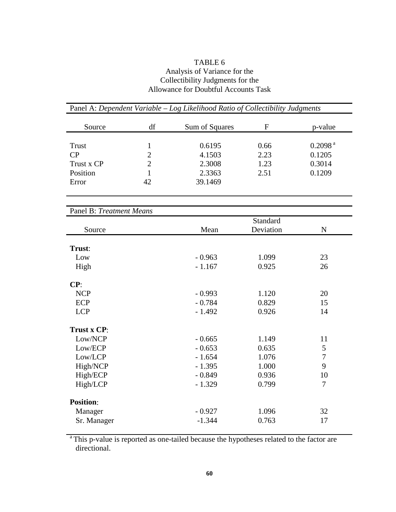# TABLE 6 Analysis of Variance for the Collectibility Judgments for the Allowance for Doubtful Accounts Task

| Panel A: Dependent Variable - Log Likelihood Ratio of Collectibility Judgments |                |                |           |                     |
|--------------------------------------------------------------------------------|----------------|----------------|-----------|---------------------|
| Source                                                                         | df             | Sum of Squares | ${\bf F}$ | p-value             |
| <b>Trust</b>                                                                   | $\mathbf{1}$   | 0.6195         | 0.66      | 0.2098 <sup>a</sup> |
| CP                                                                             | $\overline{2}$ | 4.1503         | 2.23      | 0.1205              |
| Trust x CP                                                                     | $\overline{2}$ | 2.3008         | 1.23      | 0.3014              |
| Position                                                                       | $\mathbf{1}$   | 2.3363         | 2.51      | 0.1209              |
| Error                                                                          | 42             | 39.1469        |           |                     |
| Panel B: Treatment Means                                                       |                |                |           |                     |
|                                                                                |                |                | Standard  |                     |
| Source                                                                         |                | Mean           | Deviation | ${\bf N}$           |
|                                                                                |                |                |           |                     |
| Trust:                                                                         |                |                |           |                     |
| Low                                                                            |                | $-0.963$       | 1.099     | 23                  |
| High                                                                           |                | $-1.167$       | 0.925     | 26                  |
| CP:                                                                            |                |                |           |                     |
| <b>NCP</b>                                                                     |                | $-0.993$       | 1.120     | 20                  |
| <b>ECP</b>                                                                     |                | $-0.784$       | 0.829     | 15                  |
| <b>LCP</b>                                                                     |                | $-1.492$       | 0.926     | 14                  |
| Trust x CP:                                                                    |                |                |           |                     |
| Low/NCP                                                                        |                | $-0.665$       | 1.149     | 11                  |
| Low/ECP                                                                        |                | $-0.653$       | 0.635     | 5                   |
| Low/LCP                                                                        |                | $-1.654$       | 1.076     | $\overline{7}$      |
| High/NCP                                                                       |                | $-1.395$       | 1.000     | 9                   |
| High/ECP                                                                       |                | $-0.849$       | 0.936     | 10                  |
| High/LCP                                                                       |                | $-1.329$       | 0.799     | 7                   |
| <b>Position:</b>                                                               |                |                |           |                     |
| Manager                                                                        |                | $-0.927$       | 1.096     | 32                  |
| Sr. Manager                                                                    |                | $-1.344$       | 0.763     | 17                  |

<sup>a</sup> This p-value is reported as one-tailed because the hypotheses related to the factor are directional.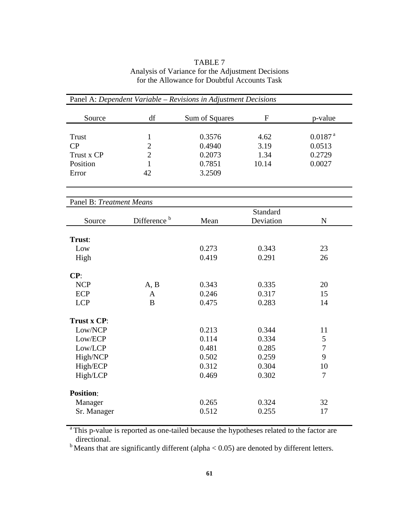| TABLE 7                                           |
|---------------------------------------------------|
| Analysis of Variance for the Adjustment Decisions |
| for the Allowance for Doubtful Accounts Task      |

| Panel A: Dependent Variable - Revisions in Adjustment Decisions |                         |                |             |                       |
|-----------------------------------------------------------------|-------------------------|----------------|-------------|-----------------------|
| Source                                                          | df                      | Sum of Squares | $\mathbf F$ | p-value               |
| <b>Trust</b>                                                    | $\mathbf 1$             | 0.3576         | 4.62        | $0.0187$ <sup>a</sup> |
| CP                                                              | $\overline{2}$          | 0.4940         | 3.19        | 0.0513                |
| Trust x CP                                                      | $\overline{2}$          | 0.2073         | 1.34        | 0.2729                |
| Position                                                        | 1                       | 0.7851         | 10.14       | 0.0027                |
| Error                                                           | 42                      | 3.2509         |             |                       |
| Panel B: Treatment Means                                        |                         |                |             |                       |
|                                                                 |                         |                | Standard    |                       |
| Source                                                          | Difference <sup>b</sup> | Mean           | Deviation   | $\mathbf N$           |
| Trust:                                                          |                         |                |             |                       |
| Low                                                             |                         | 0.273          | 0.343       | 23                    |
| High                                                            |                         | 0.419          | 0.291       | 26                    |
| CP:                                                             |                         |                |             |                       |
| <b>NCP</b>                                                      | A, B                    | 0.343          | 0.335       | 20                    |
| <b>ECP</b>                                                      | $\mathbf{A}$            | 0.246          | 0.317       | 15                    |
| <b>LCP</b>                                                      | $\bf{B}$                | 0.475          | 0.283       | 14                    |
| Trust x CP:                                                     |                         |                |             |                       |
| Low/NCP                                                         |                         | 0.213          | 0.344       | 11                    |
| Low/ECP                                                         |                         | 0.114          | 0.334       | 5                     |
| Low/LCP                                                         |                         | 0.481          | 0.285       | $\overline{7}$        |
| High/NCP                                                        |                         | 0.502          | 0.259       | 9                     |
| High/ECP                                                        |                         | 0.312          | 0.304       | 10                    |
| High/LCP                                                        |                         | 0.469          | 0.302       | $\overline{7}$        |
| <b>Position:</b>                                                |                         |                |             |                       |
| Manager                                                         |                         | 0.265          | 0.324       | 32                    |
| Sr. Manager                                                     |                         | 0.512          | 0.255       | 17                    |

<sup>a</sup> This p-value is reported as one-tailed because the hypotheses related to the factor are directional.

 $b$  Means that are significantly different (alpha  $< 0.05$ ) are denoted by different letters.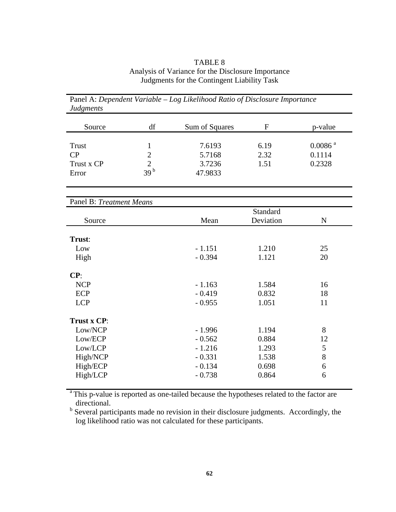# TABLE 8 Analysis of Variance for the Disclosure Importance Judgments for the Contingent Liability Task

| Judgments                       |                 |                |              |                       |  |
|---------------------------------|-----------------|----------------|--------------|-----------------------|--|
| Source                          | df              | Sum of Squares | $\mathbf{F}$ | p-value               |  |
|                                 |                 |                |              |                       |  |
| <b>Trust</b>                    | $\mathbf 1$     | 7.6193         | 6.19         | $0.0086$ <sup>a</sup> |  |
| CP                              | $\overline{2}$  | 5.7168         | 2.32         | 0.1114                |  |
| Trust x CP                      | $\overline{2}$  | 3.7236         | 1.51         | 0.2328                |  |
| Error                           | 39 <sup>b</sup> | 47.9833        |              |                       |  |
| <b>Panel B: Treatment Means</b> |                 |                |              |                       |  |
|                                 |                 | Standard       |              |                       |  |
| Source                          |                 | Mean           | Deviation    | $\mathbf N$           |  |
| Trust:                          |                 |                |              |                       |  |
| Low                             |                 | $-1.151$       | 1.210        | 25                    |  |
| High                            |                 | $-0.394$       | 1.121        | 20                    |  |
| CP:                             |                 |                |              |                       |  |
| <b>NCP</b>                      |                 | $-1.163$       | 1.584        | 16                    |  |
| <b>ECP</b>                      |                 | $-0.419$       | 0.832        | 18                    |  |
| <b>LCP</b>                      |                 | $-0.955$       | 1.051        | 11                    |  |
| Trust x CP:                     |                 |                |              |                       |  |
| Low/NCP                         |                 | $-1.996$       | 1.194        | 8                     |  |
| Low/ECP                         |                 | $-0.562$       | 0.884        | 12                    |  |
| Low/LCP                         |                 | $-1.216$       | 1.293        | 5                     |  |
| High/NCP                        |                 | $-0.331$       | 1.538        | $8\,$                 |  |
| High/ECP                        |                 | $-0.134$       | 0.698        | 6                     |  |
| High/LCP                        |                 | $-0.738$       | 0.864        | 6                     |  |
|                                 |                 |                |              |                       |  |

Panel A: *Dependent Variable – Log Likelihood Ratio of Disclosure Importance*  $J_{\mu}$ ,  $J_{\mu}$ 

<sup>a</sup> This p-value is reported as one-tailed because the hypotheses related to the factor are directional.

<sup>b</sup> Several participants made no revision in their disclosure judgments. Accordingly, the log likelihood ratio was not calculated for these participants.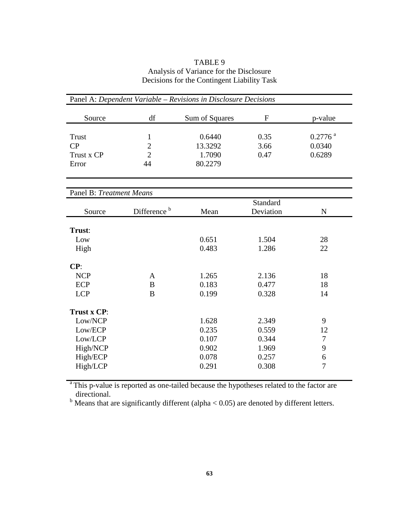# TABLE 9 Analysis of Variance for the Disclosure Decisions for the Contingent Liability Task

| Panel A: Dependent Variable - Revisions in Disclosure Decisions                  |                                                        |                                                    |                                                    |                                           |
|----------------------------------------------------------------------------------|--------------------------------------------------------|----------------------------------------------------|----------------------------------------------------|-------------------------------------------|
| Source                                                                           | df                                                     | Sum of Squares                                     | $\mathbf F$                                        | p-value                                   |
| <b>Trust</b><br>CP<br>Trust x CP<br>Error                                        | $\mathbf{1}$<br>$\overline{2}$<br>$\overline{2}$<br>44 | 0.6440<br>13.3292<br>1.7090<br>80.2279             | 0.35<br>3.66<br>0.47                               | $0.2776$ <sup>a</sup><br>0.0340<br>0.6289 |
| Panel B: Treatment Means                                                         |                                                        |                                                    |                                                    |                                           |
| Source                                                                           | Difference <sup>b</sup>                                | Mean                                               | Standard<br>Deviation                              | ${\bf N}$                                 |
| Trust:<br>Low<br>High<br>CP:                                                     |                                                        | 0.651<br>0.483                                     | 1.504<br>1.286                                     | 28<br>22                                  |
| <b>NCP</b><br><b>ECP</b><br><b>LCP</b>                                           | $\mathbf{A}$<br>B<br>B                                 | 1.265<br>0.183<br>0.199                            | 2.136<br>0.477<br>0.328                            | 18<br>18<br>14                            |
| Trust x CP:<br>Low/NCP<br>Low/ECP<br>Low/LCP<br>High/NCP<br>High/ECP<br>High/LCP |                                                        | 1.628<br>0.235<br>0.107<br>0.902<br>0.078<br>0.291 | 2.349<br>0.559<br>0.344<br>1.969<br>0.257<br>0.308 | 9<br>12<br>$\tau$<br>9<br>6<br>7          |

<sup>a</sup> This p-value is reported as one-tailed because the hypotheses related to the factor are directional.<br><sup>b</sup> Means that are significantly different (alpha < 0.05) are denoted by different letters.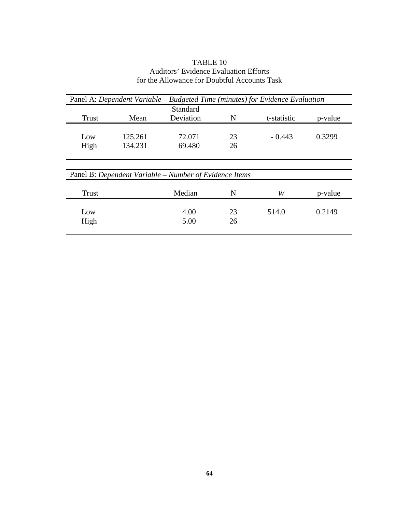# TABLE 10 Auditors' Evidence Evaluation Efforts for the Allowance for Doubtful Accounts Task

| Panel A: Dependent Variable – Budgeted Time (minutes) for Evidence Evaluation |         |                                                        |    |             |         |
|-------------------------------------------------------------------------------|---------|--------------------------------------------------------|----|-------------|---------|
|                                                                               |         | Standard                                               |    |             |         |
| Trust                                                                         | Mean    | Deviation                                              | N  | t-statistic | p-value |
|                                                                               |         |                                                        |    |             |         |
| Low                                                                           | 125.261 | 72.071                                                 | 23 | $-0.443$    | 0.3299  |
| High                                                                          | 134.231 | 69.480                                                 | 26 |             |         |
|                                                                               |         |                                                        |    |             |         |
|                                                                               |         |                                                        |    |             |         |
|                                                                               |         | Panel B: Dependent Variable – Number of Evidence Items |    |             |         |
|                                                                               |         |                                                        |    |             |         |
| <b>Trust</b>                                                                  |         | Median                                                 | N  | W           | p-value |
|                                                                               |         |                                                        |    |             |         |
| Low                                                                           |         | 4.00                                                   | 23 | 514.0       | 0.2149  |
| High                                                                          |         | 5.00                                                   | 26 |             |         |
|                                                                               |         |                                                        |    |             |         |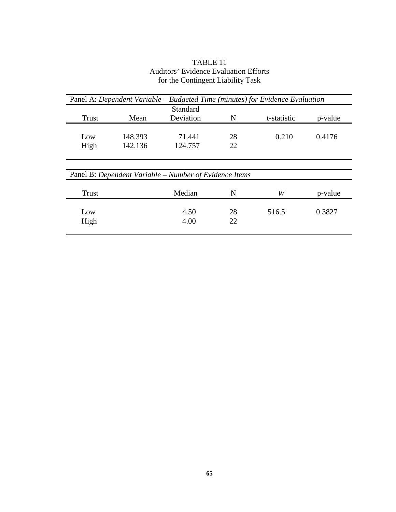|       |         | Standard                                               |    |             |         |
|-------|---------|--------------------------------------------------------|----|-------------|---------|
| Trust | Mean    | Deviation                                              | N  | t-statistic | p-value |
| Low   | 148.393 | 71.441                                                 | 28 | 0.210       | 0.4176  |
| High  | 142.136 | 124.757                                                | 22 |             |         |
|       |         | Panel B: Dependent Variable – Number of Evidence Items |    |             |         |
|       |         |                                                        |    |             |         |
| Trust |         | Median                                                 | N  | W           | p-value |
| Low   |         | 4.50                                                   | 28 | 516.5       | 0.3827  |

# TABLE 11 Auditors' Evidence Evaluation Efforts for the Contingent Liability Task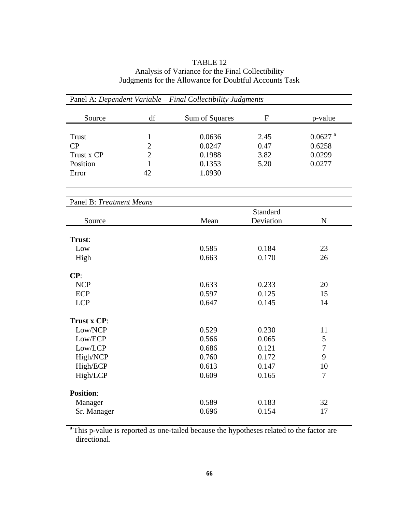# TABLE 12 Analysis of Variance for the Final Collectibility Judgments for the Allowance for Doubtful Accounts Task

| Panel A: Dependent Variable - Final Collectibility Judgments |                |                |                           |                       |  |
|--------------------------------------------------------------|----------------|----------------|---------------------------|-----------------------|--|
| Source                                                       | df             | Sum of Squares | $\boldsymbol{\mathrm{F}}$ | p-value               |  |
| <b>Trust</b>                                                 | $\mathbf{1}$   | 0.0636         | 2.45                      | $0.0627$ <sup>a</sup> |  |
| CP                                                           | $\overline{c}$ | 0.0247         | 0.47                      | 0.6258                |  |
| Trust x CP                                                   | $\overline{c}$ | 3.82<br>0.1988 |                           | 0.0299                |  |
| Position                                                     | $\mathbf{1}$   | 0.1353         | 5.20                      | 0.0277                |  |
| Error                                                        | 42             | 1.0930         |                           |                       |  |
|                                                              |                |                |                           |                       |  |
| Panel B: Treatment Means                                     |                |                |                           |                       |  |
|                                                              |                |                | Standard                  |                       |  |
| Source                                                       |                | Mean           | Deviation                 | $\mathbf N$           |  |
|                                                              |                |                |                           |                       |  |
| Trust:                                                       |                |                |                           |                       |  |
| Low                                                          |                | 0.585<br>0.663 | 0.184<br>0.170            | 23                    |  |
| High                                                         |                |                |                           | 26                    |  |
| CP:                                                          |                |                |                           |                       |  |
| <b>NCP</b>                                                   |                | 0.633          | 0.233                     | 20                    |  |
| ECP                                                          |                | 0.597          | 0.125                     | 15                    |  |
| <b>LCP</b>                                                   |                | 0.647          | 0.145                     | 14                    |  |
| Trust x CP:                                                  |                |                |                           |                       |  |
| Low/NCP                                                      |                | 0.529          | 0.230                     | 11                    |  |
| Low/ECP                                                      |                | 0.566          | 0.065                     | 5                     |  |
| Low/LCP                                                      |                | 0.686          | 0.121                     | $\overline{7}$        |  |
| High/NCP                                                     |                | 0.760          | 0.172                     | 9                     |  |
| High/ECP                                                     |                | 0.613          | 0.147                     | 10                    |  |
| High/LCP                                                     |                | 0.609          | 0.165                     | $\overline{7}$        |  |
| <b>Position:</b>                                             |                |                |                           |                       |  |
| Manager                                                      |                | 0.589          | 0.183                     | 32                    |  |
|                                                              |                | 0.696          | 0.154                     | 17                    |  |
| Sr. Manager                                                  |                |                |                           |                       |  |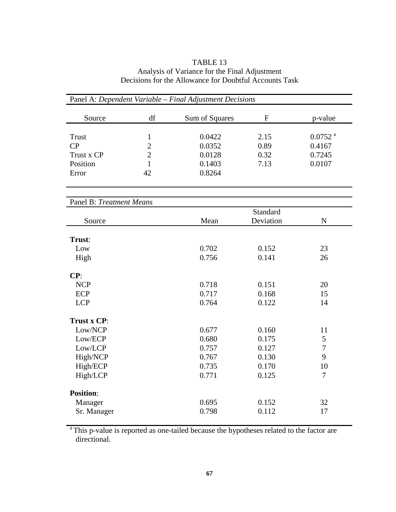## TABLE 13 Analysis of Variance for the Final Adjustment Decisions for the Allowance for Doubtful Accounts Task

| Panel A: Dependent Variable - Final Adjustment Decisions |                |                |             |                       |  |
|----------------------------------------------------------|----------------|----------------|-------------|-----------------------|--|
| Source                                                   | df             | Sum of Squares | $\mathbf F$ | p-value               |  |
| <b>Trust</b>                                             | $\mathbf{1}$   | 0.0422         | 2.15        | $0.0752$ <sup>a</sup> |  |
| CP                                                       | $\overline{2}$ | 0.0352         | 0.89        | 0.4167                |  |
| Trust x CP                                               | $\overline{2}$ | 0.0128<br>0.32 |             | 0.7245                |  |
| Position                                                 | $\mathbf{1}$   | 0.1403         | 7.13        | 0.0107                |  |
| Error                                                    | 42             | 0.8264         |             |                       |  |
| Panel B: Treatment Means                                 |                |                |             |                       |  |
|                                                          |                |                | Standard    |                       |  |
| Source                                                   |                | Mean           | Deviation   | ${\bf N}$             |  |
| Trust:                                                   |                |                |             |                       |  |
| Low                                                      |                | 0.702          | 0.152       | 23                    |  |
| High                                                     |                | 0.756          | 0.141       | 26                    |  |
| CP:                                                      |                |                |             |                       |  |
| <b>NCP</b>                                               |                | 0.718          | 0.151       | 20                    |  |
| <b>ECP</b>                                               |                | 0.717          | 0.168       | 15                    |  |
| <b>LCP</b>                                               |                | 0.764          | 0.122       | 14                    |  |
| Trust x CP:                                              |                |                |             |                       |  |
| Low/NCP                                                  |                | 0.677          | 0.160       | 11                    |  |
| Low/ECP                                                  |                | 0.680          | 0.175       | 5                     |  |
| Low/LCP                                                  |                | 0.757          | 0.127       | $\tau$                |  |
| High/NCP                                                 |                | 0.767          | 0.130       | 9                     |  |
| High/ECP                                                 |                | 0.735          | 0.170       | 10                    |  |
| High/LCP                                                 |                | 0.771          | 0.125       | $\overline{7}$        |  |
| <b>Position:</b>                                         |                |                |             |                       |  |
| Manager                                                  |                | 0.695          | 0.152       | 32                    |  |
| Sr. Manager                                              |                | 0.798          | 0.112       | 17                    |  |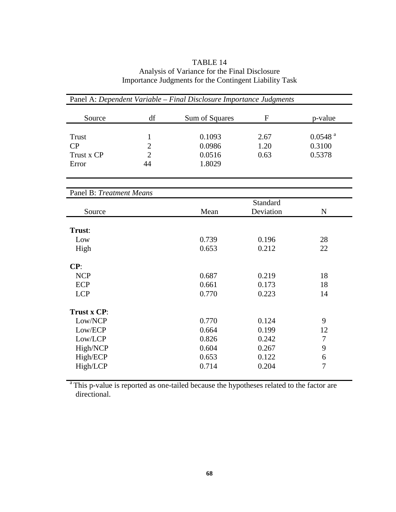## TABLE 14 Analysis of Variance for the Final Disclosure Importance Judgments for the Contingent Liability Task

| Panel A: Dependent Variable - Final Disclosure Importance Judgments |                |                |                       |                       |  |
|---------------------------------------------------------------------|----------------|----------------|-----------------------|-----------------------|--|
| Source                                                              | df             | Sum of Squares | $\mathbf{F}$          | p-value               |  |
| <b>Trust</b>                                                        | $\mathbf{1}$   | 0.1093         | 2.67                  | $0.0548$ <sup>a</sup> |  |
| CP                                                                  | $\overline{2}$ | 0.0986         | 1.20                  | 0.3100                |  |
| Trust x CP                                                          | $\overline{2}$ | 0.0516         | 0.63                  | 0.5378                |  |
| Error                                                               | 44             | 1.8029         |                       |                       |  |
|                                                                     |                |                |                       |                       |  |
| Panel B: Treatment Means                                            |                |                |                       |                       |  |
| Source                                                              |                | Mean           | Standard<br>Deviation | $\mathbf N$           |  |
| Trust:                                                              |                |                |                       |                       |  |
| Low                                                                 |                | 0.739          | 0.196                 | 28                    |  |
| High                                                                |                | 0.653          | 0.212                 | 22                    |  |
| CP:                                                                 |                |                |                       |                       |  |
| <b>NCP</b>                                                          |                | 0.687          | 0.219                 | 18                    |  |
| <b>ECP</b>                                                          |                | 0.661          | 0.173                 | 18                    |  |
| <b>LCP</b>                                                          |                | 0.770          | 0.223                 | 14                    |  |
| Trust x CP:                                                         |                |                |                       |                       |  |
| Low/NCP                                                             |                | 0.770          | 0.124                 | 9                     |  |
| Low/ECP                                                             |                | 0.664          | 0.199                 | 12                    |  |
| Low/LCP                                                             |                | 0.826          | 0.242                 | $\overline{7}$        |  |
| High/NCP                                                            |                | 0.604          | 0.267                 | 9                     |  |
| High/ECP                                                            |                | 0.653          | 0.122                 | 6                     |  |
| High/LCP                                                            |                | 0.714          | 0.204                 | 7                     |  |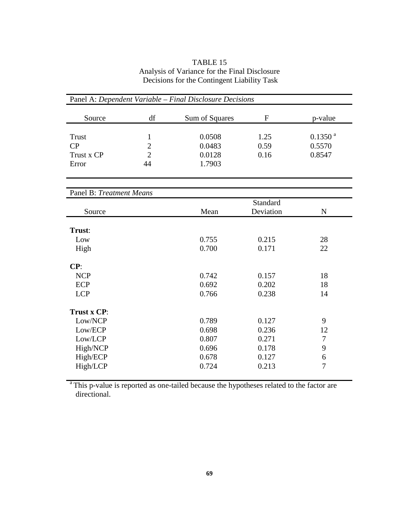# TABLE 15 Analysis of Variance for the Final Disclosure Decisions for the Contingent Liability Task

| Panel A: Dependent Variable - Final Disclosure Decisions                         |                                             |                                                    |                                                    |                                               |  |  |
|----------------------------------------------------------------------------------|---------------------------------------------|----------------------------------------------------|----------------------------------------------------|-----------------------------------------------|--|--|
| Source                                                                           | df                                          | Sum of Squares                                     | $\mathbf{F}$                                       | p-value                                       |  |  |
| Trust<br>CP<br>Trust x CP<br>Error                                               | 1<br>$\overline{c}$<br>$\overline{2}$<br>44 | 0.0508<br>0.0483<br>0.0128<br>1.7903               | 1.25<br>0.59<br>0.16                               | $0.1350$ <sup>a</sup><br>0.5570<br>0.8547     |  |  |
| <b>Panel B: Treatment Means</b>                                                  |                                             |                                                    |                                                    |                                               |  |  |
| Source                                                                           |                                             | Mean                                               | Standard<br>Deviation                              | $\mathbf N$                                   |  |  |
| Trust:<br>Low<br>High                                                            |                                             | 0.755<br>0.700                                     | 0.215<br>0.171                                     | 28<br>22                                      |  |  |
| CP:<br><b>NCP</b><br><b>ECP</b><br><b>LCP</b>                                    |                                             | 0.742<br>0.692<br>0.766                            | 0.157<br>0.202<br>0.238                            | 18<br>18<br>14                                |  |  |
| Trust x CP:<br>Low/NCP<br>Low/ECP<br>Low/LCP<br>High/NCP<br>High/ECP<br>High/LCP |                                             | 0.789<br>0.698<br>0.807<br>0.696<br>0.678<br>0.724 | 0.127<br>0.236<br>0.271<br>0.178<br>0.127<br>0.213 | 9<br>12<br>$\tau$<br>9<br>6<br>$\overline{7}$ |  |  |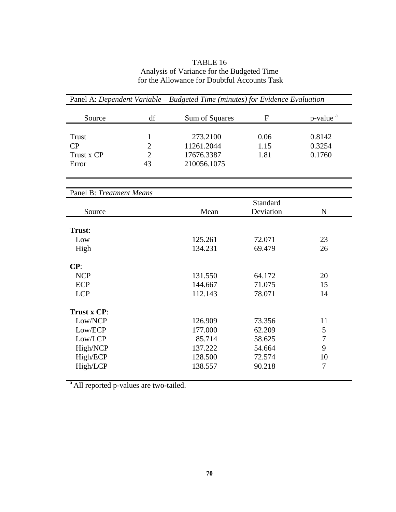# TABLE 16 Analysis of Variance for the Budgeted Time for the Allowance for Doubtful Accounts Task

| Panel A: Dependent Variable - Budgeted Time (minutes) for Evidence Evaluation |                |                |             |                      |  |
|-------------------------------------------------------------------------------|----------------|----------------|-------------|----------------------|--|
| Source                                                                        | df             | Sum of Squares | $\mathbf F$ | p-value <sup>a</sup> |  |
| Trust                                                                         | 1              | 273.2100       | 0.06        | 0.8142               |  |
| CP                                                                            | $\overline{2}$ | 11261.2044     | 1.15        | 0.3254               |  |
| Trust x CP                                                                    | $\overline{2}$ | 17676.3387     | 1.81        | 0.1760               |  |
| Error                                                                         | 43             | 210056.1075    |             |                      |  |
|                                                                               |                |                |             |                      |  |
| Panel B: Treatment Means                                                      |                |                |             |                      |  |
|                                                                               |                |                | Standard    |                      |  |
| Source                                                                        |                | Mean           | Deviation   | $\mathbf N$          |  |
| Trust:                                                                        |                |                |             |                      |  |
| Low                                                                           |                | 125.261        | 72.071      | 23                   |  |
| High                                                                          |                | 134.231        | 69.479      | 26                   |  |
| CP:                                                                           |                |                |             |                      |  |
| <b>NCP</b>                                                                    |                | 131.550        | 64.172      | 20                   |  |
| <b>ECP</b>                                                                    |                | 144.667        | 71.075      | 15                   |  |
| <b>LCP</b>                                                                    |                | 112.143        | 78.071      | 14                   |  |
| Trust x CP:                                                                   |                |                |             |                      |  |
| Low/NCP                                                                       |                | 126.909        | 73.356      | 11                   |  |
| Low/ECP                                                                       |                | 177.000        | 62.209      | 5                    |  |
| Low/LCP                                                                       |                | 85.714         | 58.625      | $\tau$               |  |
| High/NCP                                                                      |                | 137.222        | 54.664      | 9                    |  |
| High/ECP                                                                      |                | 128.500        | 72.574      | 10                   |  |
| High/LCP                                                                      |                | 138.557        | 90.218      | 7                    |  |
|                                                                               |                |                |             |                      |  |

<sup>a</sup> All reported p-values are two-tailed.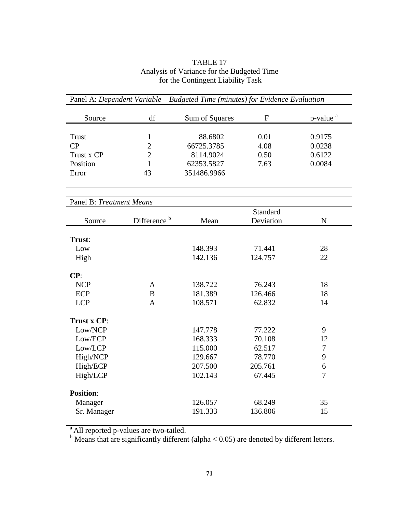| TABLE 17                                   |
|--------------------------------------------|
| Analysis of Variance for the Budgeted Time |
| for the Contingent Liability Task          |

| Panel A: Dependent Variable - Budgeted Time (minutes) for Evidence Evaluation |                         |                |           |                      |  |
|-------------------------------------------------------------------------------|-------------------------|----------------|-----------|----------------------|--|
| Source                                                                        | df                      | Sum of Squares | ${\bf F}$ | p-value <sup>a</sup> |  |
| Trust                                                                         | 1                       | 88.6802        | 0.01      | 0.9175               |  |
| CP                                                                            | $\overline{2}$          | 66725.3785     | 4.08      | 0.0238               |  |
| Trust x CP                                                                    | $\overline{2}$          | 8114.9024      | 0.50      | 0.6122               |  |
| Position                                                                      | 1                       | 62353.5827     | 7.63      | 0.0084               |  |
| Error                                                                         | 43                      | 351486.9966    |           |                      |  |
|                                                                               |                         |                |           |                      |  |
| Panel B: Treatment Means                                                      |                         |                | Standard  |                      |  |
| Source                                                                        | Difference <sup>b</sup> | Mean           | Deviation | $\mathbf N$          |  |
|                                                                               |                         |                |           |                      |  |
| Trust:                                                                        |                         |                |           |                      |  |
| Low                                                                           |                         | 148.393        | 71.441    | 28                   |  |
| High                                                                          |                         | 142.136        | 124.757   | 22                   |  |
| CP:                                                                           |                         |                |           |                      |  |
| <b>NCP</b>                                                                    | $\mathbf{A}$            | 138.722        | 76.243    | 18                   |  |
| <b>ECP</b>                                                                    | $\bf{B}$                | 181.389        | 126.466   | 18                   |  |
| <b>LCP</b>                                                                    | $\mathbf{A}$            | 108.571        | 62.832    | 14                   |  |
| Trust x CP:                                                                   |                         |                |           |                      |  |
| Low/NCP                                                                       |                         | 147.778        | 77.222    | 9                    |  |
| Low/ECP                                                                       |                         | 168.333        | 70.108    | 12                   |  |
| Low/LCP                                                                       |                         | 115.000        | 62.517    | $\tau$               |  |
| High/NCP                                                                      |                         | 129.667        | 78.770    | 9                    |  |
| High/ECP                                                                      |                         | 207.500        | 205.761   | 6                    |  |
| High/LCP                                                                      |                         | 102.143        | 67.445    | 7                    |  |
| <b>Position:</b>                                                              |                         |                |           |                      |  |
| Manager                                                                       |                         | 126.057        | 68.249    | 35                   |  |
| Sr. Manager                                                                   |                         | 191.333        | 136.806   | 15                   |  |
|                                                                               |                         |                |           |                      |  |

<sup>a</sup> All reported p-values are two-tailed.<br><sup>b</sup> Means that are significantly different (alpha < 0.05) are denoted by different letters.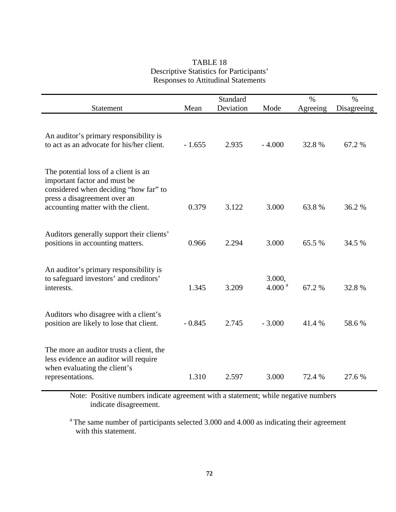# TABLE 18 Descriptive Statistics for Participants' Responses to Attitudinal Statements

|                                                                                                                                               |          | Standard  |                              | $\%$     | $\%$        |
|-----------------------------------------------------------------------------------------------------------------------------------------------|----------|-----------|------------------------------|----------|-------------|
| Statement                                                                                                                                     | Mean     | Deviation | Mode                         | Agreeing | Disagreeing |
| An auditor's primary responsibility is<br>to act as an advocate for his/her client.                                                           | $-1.655$ | 2.935     | $-4.000$                     | 32.8%    | 67.2 %      |
| The potential loss of a client is an<br>important factor and must be<br>considered when deciding "how far" to<br>press a disagreement over an |          |           |                              |          |             |
| accounting matter with the client.                                                                                                            | 0.379    | 3.122     | 3.000                        | 63.8%    | 36.2 %      |
|                                                                                                                                               |          |           |                              |          |             |
| Auditors generally support their clients'<br>positions in accounting matters.                                                                 | 0.966    | 2.294     | 3.000                        | 65.5 %   | 34.5 %      |
| An auditor's primary responsibility is<br>to safeguard investors' and creditors'<br>interests.                                                | 1.345    | 3.209     | 3.000,<br>4.000 <sup>a</sup> | 67.2%    | 32.8%       |
| Auditors who disagree with a client's<br>position are likely to lose that client.                                                             | $-0.845$ | 2.745     | $-3.000$                     | 41.4%    | 58.6%       |
| The more an auditor trusts a client, the<br>less evidence an auditor will require<br>when evaluating the client's<br>representations.         | 1.310    | 2.597     | 3.000                        | 72.4 %   | 27.6 %      |
|                                                                                                                                               |          |           |                              |          |             |

Note: Positive numbers indicate agreement with a statement; while negative numbers indicate disagreement.

<sup>a</sup> The same number of participants selected 3.000 and 4.000 as indicating their agreement with this statement.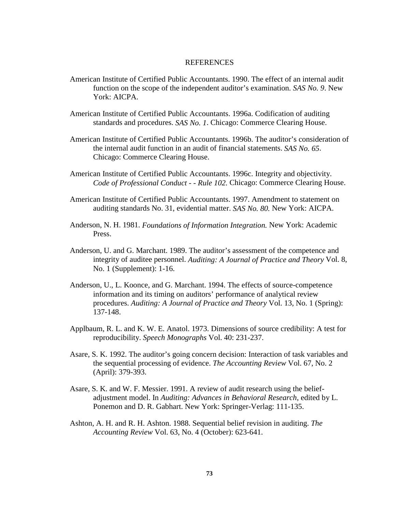#### REFERENCES

- American Institute of Certified Public Accountants. 1990. The effect of an internal audit function on the scope of the independent auditor's examination. *SAS No. 9*. New York: AICPA.
- American Institute of Certified Public Accountants. 1996a. Codification of auditing standards and procedures. *SAS No. 1*. Chicago: Commerce Clearing House.
- American Institute of Certified Public Accountants. 1996b. The auditor's consideration of the internal audit function in an audit of financial statements. *SAS No. 65*. Chicago: Commerce Clearing House.
- American Institute of Certified Public Accountants. 1996c. Integrity and objectivity. *Code of Professional Conduct - - Rule 102.* Chicago: Commerce Clearing House.
- American Institute of Certified Public Accountants. 1997. Amendment to statement on auditing standards No. 31, evidential matter. *SAS No. 80.* New York: AICPA.
- Anderson, N. H. 1981. *Foundations of Information Integration.* New York: Academic Press.
- Anderson, U. and G. Marchant. 1989. The auditor's assessment of the competence and integrity of auditee personnel. *Auditing: A Journal of Practice and Theory* Vol. 8, No. 1 (Supplement): 1-16.
- Anderson, U., L. Koonce, and G. Marchant. 1994. The effects of source-competence information and its timing on auditors' performance of analytical review procedures. *Auditing: A Journal of Practice and Theory* Vol. 13, No. 1 (Spring): 137-148.
- Applbaum, R. L. and K. W. E. Anatol. 1973. Dimensions of source credibility: A test for reproducibility. *Speech Monographs* Vol. 40: 231-237.
- Asare, S. K. 1992. The auditor's going concern decision: Interaction of task variables and the sequential processing of evidence. *The Accounting Review* Vol. 67, No. 2 (April): 379-393.
- Asare, S. K. and W. F. Messier. 1991. A review of audit research using the beliefadjustment model. In *Auditing: Advances in Behavioral Research*, edited by L. Ponemon and D. R. Gabhart. New York: Springer-Verlag: 111-135.
- Ashton, A. H. and R. H. Ashton. 1988. Sequential belief revision in auditing. *The Accounting Review* Vol. 63, No. 4 (October): 623-641.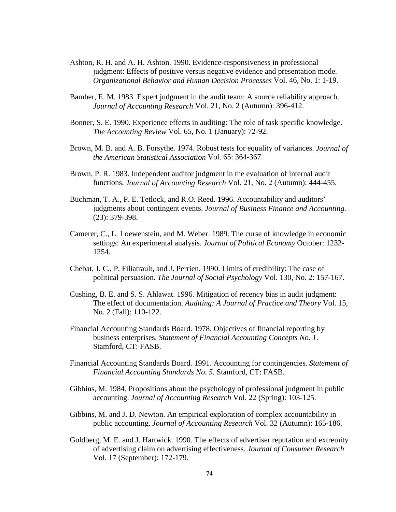- Ashton, R. H. and A. H. Ashton. 1990. Evidence-responsiveness in professional judgment: Effects of positive versus negative evidence and presentation mode. *Organizational Behavior and Human Decision Processes* Vol. 46, No. 1: 1-19.
- Bamber, E. M. 1983. Expert judgment in the audit team: A source reliability approach. *Journal of Accounting Research* Vol. 21, No. 2 (Autumn): 396-412.
- Bonner, S. E. 1990. Experience effects in auditing: The role of task specific knowledge. *The Accounting Review* Vol. 65, No. 1 (January): 72-92.
- Brown, M. B. and A. B. Forsythe. 1974. Robust tests for equality of variances. *Journal of the American Statistical Association* Vol. 65: 364-367.
- Brown, P. R. 1983. Independent auditor judgment in the evaluation of internal audit functions. *Journal of Accounting Research* Vol. 21, No. 2 (Autumn): 444-455.
- Buchman, T. A., P. E. Tetlock, and R.O. Reed. 1996. Accountability and auditors' judgments about contingent events. *Journal of Business Finance and Accounting.* (23): 379-398.
- Camerer, C., L. Loewenstein, and M. Weber. 1989. The curse of knowledge in economic settings: An experimental analysis. *Journal of Political Economy* October: 1232- 1254.
- Chebat, J. C., P. Filiatrault, and J. Perrien. 1990. Limits of credibility: The case of political persuasion. *The Journal of Social Psychology* Vol. 130, No. 2: 157-167.
- Cushing, B. E. and S. S. Ahlawat. 1996. Mitigation of recency bias in audit judgment: The effect of documentation. *Auditing: A Journal of Practice and Theory* Vol. 15, No. 2 (Fall): 110-122.
- Financial Accounting Standards Board. 1978. Objectives of financial reporting by business enterprises. *Statement of Financial Accounting Concepts No. 1*. Stamford, CT: FASB.
- Financial Accounting Standards Board. 1991. Accounting for contingencies. *Statement of Financial Accounting Standards No. 5.* Stamford, CT: FASB.
- Gibbins, M. 1984. Propositions about the psychology of professional judgment in public accounting. *Journal of Accounting Research* Vol. 22 (Spring): 103-125.
- Gibbins, M. and J. D. Newton. An empirical exploration of complex accountability in public accounting. *Journal of Accounting Research* Vol. 32 (Autumn): 165-186.
- Goldberg, M. E. and J. Hartwick. 1990. The effects of advertiser reputation and extremity of advertising claim on advertising effectiveness. *Journal of Consumer Research* Vol. 17 (September): 172-179.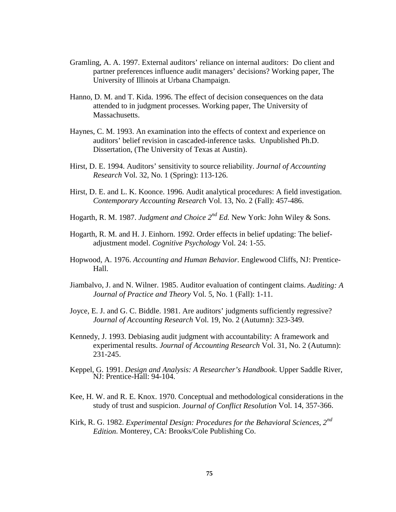- Gramling, A. A. 1997. External auditors' reliance on internal auditors: Do client and partner preferences influence audit managers' decisions? Working paper, The University of Illinois at Urbana Champaign.
- Hanno, D. M. and T. Kida. 1996. The effect of decision consequences on the data attended to in judgment processes. Working paper, The University of Massachusetts.
- Haynes, C. M. 1993. An examination into the effects of context and experience on auditors' belief revision in cascaded-inference tasks. Unpublished Ph.D. Dissertation, (The University of Texas at Austin).
- Hirst, D. E. 1994. Auditors' sensitivity to source reliability. *Journal of Accounting Research* Vol. 32, No. 1 (Spring): 113-126.
- Hirst, D. E. and L. K. Koonce. 1996. Audit analytical procedures: A field investigation. *Contemporary Accounting Research* Vol. 13, No. 2 (Fall): 457-486.
- Hogarth, R. M. 1987. *Judgment and Choice 2nd Ed.* New York: John Wiley & Sons.
- Hogarth, R. M. and H. J. Einhorn. 1992. Order effects in belief updating: The beliefadjustment model. *Cognitive Psychology* Vol. 24: 1-55.
- Hopwood, A. 1976. *Accounting and Human Behavior*. Englewood Cliffs, NJ: Prentice-Hall.
- Jiambalvo, J. and N. Wilner. 1985. Auditor evaluation of contingent claims. *Auditing: A Journal of Practice and Theory* Vol. 5, No. 1 (Fall): 1-11.
- Joyce, E. J. and G. C. Biddle. 1981. Are auditors' judgments sufficiently regressive? *Journal of Accounting Research* Vol. 19, No. 2 (Autumn): 323-349.
- Kennedy, J. 1993. Debiasing audit judgment with accountability: A framework and experimental results. *Journal of Accounting Research* Vol. 31, No. 2 (Autumn): 231-245.
- Keppel, G. 1991. *Design and Analysis: A Researcher's Handbook*. Upper Saddle River, NJ: Prentice-Hall: 94-104.
- Kee, H. W. and R. E. Knox. 1970. Conceptual and methodological considerations in the study of trust and suspicion. *Journal of Conflict Resolution* Vol. 14, 357-366.
- Kirk, R. G. 1982. *Experimental Design: Procedures for the Behavioral Sciences, 2nd Edition*. Monterey, CA: Brooks/Cole Publishing Co.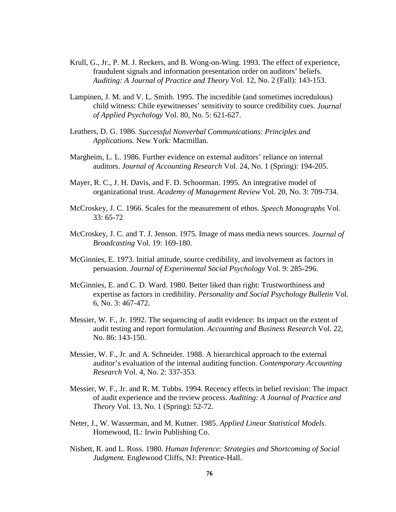- Krull, G., Jr., P. M. J. Reckers, and B. Wong-on-Wing. 1993. The effect of experience, fraudulent signals and information presentation order on auditors' beliefs. *Auditing: A Journal of Practice and Theory* Vol. 12, No. 2 (Fall): 143-153.
- Lampinen, J. M. and V. L. Smith. 1995. The incredible (and sometimes incredulous) child witness: Chile eyewitnesses' sensitivity to source credibility cues. *Journal of Applied Psychology* Vol. 80, No. 5: 621-627.
- Leathers, D. G. 1986. *Successful Nonverbal Communications: Principles and Applications.* New York: Macmillan.
- Margheim, L. L. 1986. Further evidence on external auditors' reliance on internal auditors. *Journal of Accounting Research* Vol. 24, No. 1 (Spring): 194-205.
- Mayer, R. C., J. H. Davis, and F. D. Schoorman. 1995. An integrative model of organizational trust. *Academy of Management Review* Vol. 20, No. 3: 709-734.
- McCroskey, J. C. 1966. Scales for the measurement of ethos. *Speech Monographs* Vol. 33: 65-72
- McCroskey, J. C. and T. J. Jenson. 1975. Image of mass media news sources. *Journal of Broadcasting* Vol. 19: 169-180.
- McGinnies, E. 1973. Initial attitude, source credibility, and involvement as factors in persuasion. *Journal of Experimental Social Psychology* Vol. 9: 285-296.
- McGinnies, E. and C. D. Ward. 1980. Better liked than right: Trustworthiness and expertise as factors in credibility. *Personality and Social Psychology Bulletin* Vol. 6, No. 3: 467-472.
- Messier, W. F., Jr. 1992. The sequencing of audit evidence: Its impact on the extent of audit testing and report formulation. *Accounting and Business Research* Vol. 22, No. 86: 143-150.
- Messier, W. F., Jr. and A. Schneider. 1988. A hierarchical approach to the external auditor's evaluation of the internal auditing function. *Contemporary Accounting Research* Vol. 4, No. 2: 337-353.
- Messier, W. F., Jr. and R. M. Tubbs. 1994. Recency effects in belief revision: The impact of audit experience and the review process. *Auditing: A Journal of Practice and Theory* Vol. 13, No. 1 (Spring): 52-72.
- Neter, J., W. Wasserman, and M. Kutner. 1985. *Applied Linear Statistical Models*. Homewood, IL: Irwin Publishing Co.
- Nisbett, R. and L. Ross. 1980. *Human Inference: Strategies and Shortcoming of Social Judgment.* Englewood Cliffs, NJ: Prentice-Hall.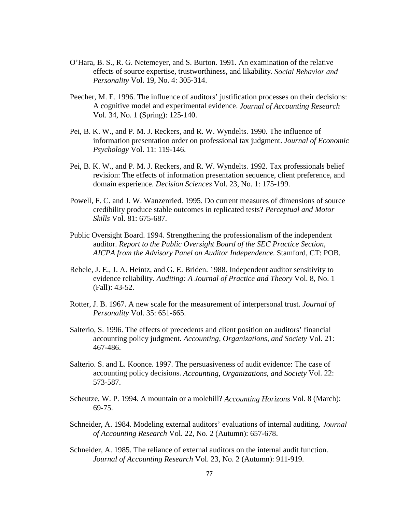- O'Hara, B. S., R. G. Netemeyer, and S. Burton. 1991. An examination of the relative effects of source expertise, trustworthiness, and likability. *Social Behavior and Personality* Vol. 19, No. 4: 305-314.
- Peecher, M. E. 1996. The influence of auditors' justification processes on their decisions: A cognitive model and experimental evidence. *Journal of Accounting Research* Vol. 34, No. 1 (Spring): 125-140.
- Pei, B. K. W., and P. M. J. Reckers, and R. W. Wyndelts. 1990. The influence of information presentation order on professional tax judgment. *Journal of Economic Psychology* Vol. 11: 119-146.
- Pei, B. K. W., and P. M. J. Reckers, and R. W. Wyndelts. 1992. Tax professionals belief revision: The effects of information presentation sequence, client preference, and domain experience. *Decision Sciences* Vol. 23, No. 1: 175-199.
- Powell, F. C. and J. W. Wanzenried. 1995. Do current measures of dimensions of source credibility produce stable outcomes in replicated tests? *Perceptual and Motor Skills* Vol. 81: 675-687.
- Public Oversight Board. 1994. Strengthening the professionalism of the independent auditor. *Report to the Public Oversight Board of the SEC Practice Section, AICPA from the Advisory Panel on Auditor Independence*. Stamford, CT: POB.
- Rebele, J. E., J. A. Heintz, and G. E. Briden. 1988. Independent auditor sensitivity to evidence reliability. *Auditing: A Journal of Practice and Theory* Vol. 8, No. 1 (Fall): 43-52.
- Rotter, J. B. 1967. A new scale for the measurement of interpersonal trust. *Journal of Personality* Vol. 35: 651-665.
- Salterio, S. 1996. The effects of precedents and client position on auditors' financial accounting policy judgment. *Accounting, Organizations, and Society* Vol. 21: 467-486.
- Salterio. S. and L. Koonce. 1997. The persuasiveness of audit evidence: The case of accounting policy decisions. *Accounting, Organizations, and Society* Vol. 22: 573-587.
- Scheutze, W. P. 1994. A mountain or a molehill? *Accounting Horizons* Vol. 8 (March): 69-75.
- Schneider, A. 1984. Modeling external auditors' evaluations of internal auditing. *Journal of Accounting Research* Vol. 22, No. 2 (Autumn): 657-678.
- Schneider, A. 1985. The reliance of external auditors on the internal audit function. *Journal of Accounting Research* Vol. 23, No. 2 (Autumn): 911-919.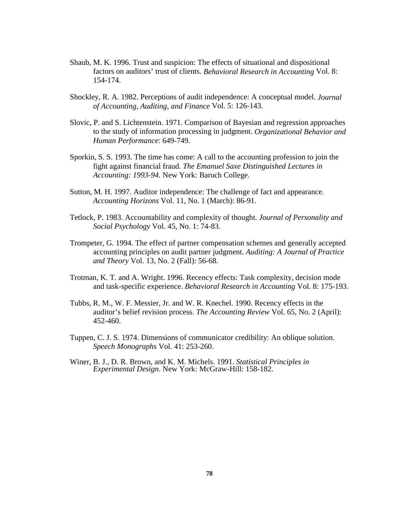- Shaub, M. K. 1996. Trust and suspicion: The effects of situational and dispositional factors on auditors' trust of clients. *Behavioral Research in Accounting* Vol. 8: 154-174.
- Shockley, R. A. 1982. Perceptions of audit independence: A conceptual model. *Journal of Accounting, Auditing, and Finance* Vol. 5: 126-143.
- Slovic, P. and S. Lichtenstein. 1971. Comparison of Bayesian and regression approaches to the study of information processing in judgment. *Organizational Behavior and Human Performance*: 649-749.
- Sporkin, S. S. 1993. The time has come: A call to the accounting profession to join the fight against financial fraud. *The Emanuel Saxe Distinguished Lectures in Accounting: 1993-94.* New York: Baruch College.
- Sutton, M. H. 1997. Auditor independence: The challenge of fact and appearance. *Accounting Horizons* Vol. 11, No. 1 (March): 86-91.
- Tetlock, P. 1983. Accountability and complexity of thought. *Journal of Personality and Social Psychology* Vol. 45, No. 1: 74-83.
- Trompeter, G. 1994. The effect of partner compensation schemes and generally accepted accounting principles on audit partner judgment. *Auditing: A Journal of Practice and Theory* Vol. 13, No. 2 (Fall): 56-68.
- Trotman, K. T. and A. Wright. 1996. Recency effects: Task complexity, decision mode and task-specific experience. *Behavioral Research in Accounting* Vol. 8: 175-193.
- Tubbs, R. M., W. F. Messier, Jr. and W. R. Knechel. 1990. Recency effects in the auditor's belief revision process. *The Accounting Review* Vol. 65, No. 2 (April): 452-460.
- Tuppen, C. J. S. 1974. Dimensions of communicator credibility: An oblique solution. *Speech Monographs* Vol. 41: 253-260.
- Winer, B. J., D. R. Brown, and K. M. Michels. 1991. *Statistical Principles in Experimental Design*. New York: McGraw-Hill: 158-182.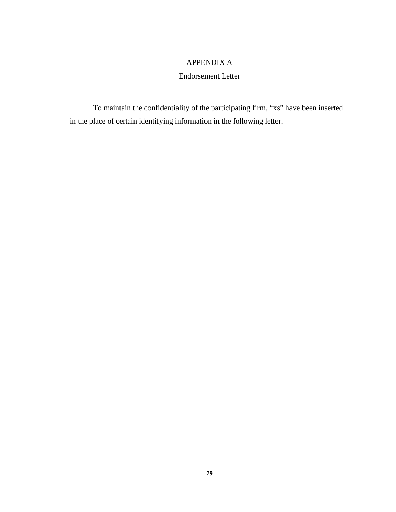## APPENDIX A

## Endorsement Letter

To maintain the confidentiality of the participating firm, "xs" have been inserted in the place of certain identifying information in the following letter.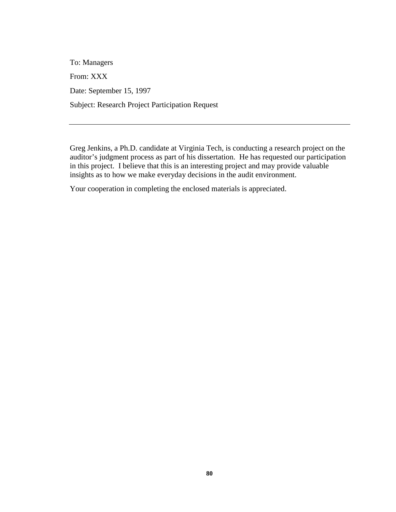To: Managers From: XXX Date: September 15, 1997 Subject: Research Project Participation Request

Greg Jenkins, a Ph.D. candidate at Virginia Tech, is conducting a research project on the auditor's judgment process as part of his dissertation. He has requested our participation in this project. I believe that this is an interesting project and may provide valuable insights as to how we make everyday decisions in the audit environment.

Your cooperation in completing the enclosed materials is appreciated.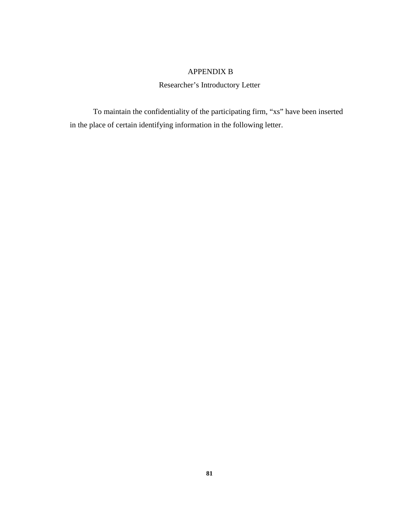# APPENDIX B

Researcher's Introductory Letter

To maintain the confidentiality of the participating firm, "xs" have been inserted in the place of certain identifying information in the following letter.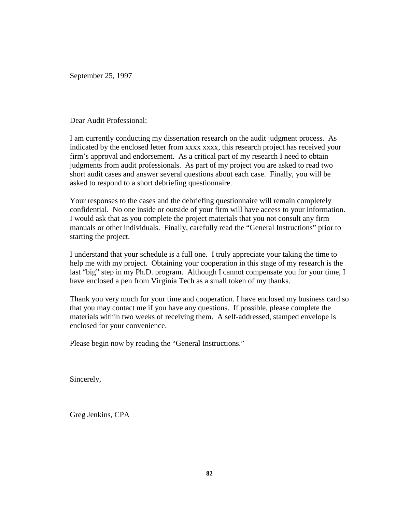September 25, 1997

Dear Audit Professional:

I am currently conducting my dissertation research on the audit judgment process. As indicated by the enclosed letter from xxxx xxxx, this research project has received your firm's approval and endorsement. As a critical part of my research I need to obtain judgments from audit professionals. As part of my project you are asked to read two short audit cases and answer several questions about each case. Finally, you will be asked to respond to a short debriefing questionnaire.

Your responses to the cases and the debriefing questionnaire will remain completely confidential. No one inside or outside of your firm will have access to your information. I would ask that as you complete the project materials that you not consult any firm manuals or other individuals. Finally, carefully read the "General Instructions" prior to starting the project.

I understand that your schedule is a full one. I truly appreciate your taking the time to help me with my project. Obtaining your cooperation in this stage of my research is the last "big" step in my Ph.D. program. Although I cannot compensate you for your time, I have enclosed a pen from Virginia Tech as a small token of my thanks.

Thank you very much for your time and cooperation. I have enclosed my business card so that you may contact me if you have any questions. If possible, please complete the materials within two weeks of receiving them. A self-addressed, stamped envelope is enclosed for your convenience.

Please begin now by reading the "General Instructions."

Sincerely,

Greg Jenkins, CPA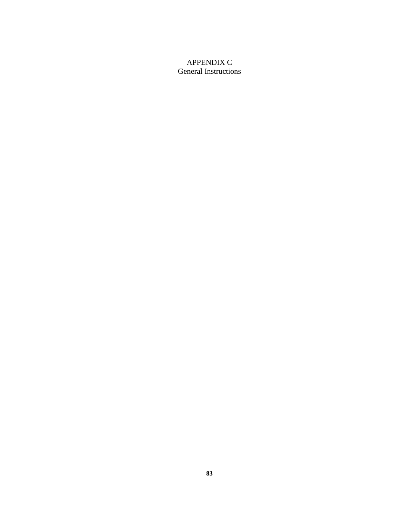# APPENDIX C General Instructions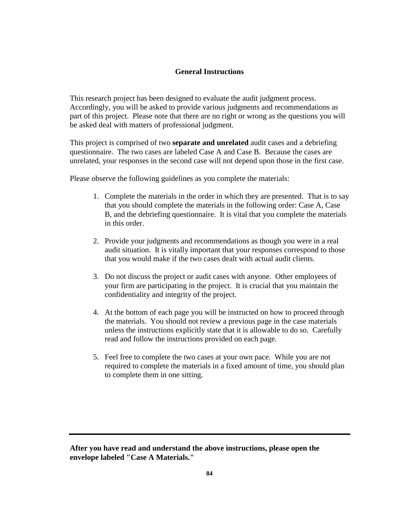## **General Instructions**

This research project has been designed to evaluate the audit judgment process. Accordingly, you will be asked to provide various judgments and recommendations as part of this project. Please note that there are no right or wrong as the questions you will be asked deal with matters of professional judgment.

This project is comprised of two **separate and unrelated** audit cases and a debriefing questionnaire. The two cases are labeled Case A and Case B. Because the cases are unrelated, your responses in the second case will not depend upon those in the first case.

Please observe the following guidelines as you complete the materials:

- 1. Complete the materials in the order in which they are presented. That is to say that you should complete the materials in the following order: Case A, Case B, and the debriefing questionnaire. It is vital that you complete the materials in this order.
- 2. Provide your judgments and recommendations as though you were in a real audit situation. It is vitally important that your responses correspond to those that you would make if the two cases dealt with actual audit clients.
- 3. Do not discuss the project or audit cases with anyone. Other employees of your firm are participating in the project. It is crucial that you maintain the confidentiality and integrity of the project.
- 4. At the bottom of each page you will be instructed on how to proceed through the materials. You should not review a previous page in the case materials unless the instructions explicitly state that it is allowable to do so. Carefully read and follow the instructions provided on each page.
- 5. Feel free to complete the two cases at your own pace. While you are not required to complete the materials in a fixed amount of time, you should plan to complete them in one sitting.

**After you have read and understand the above instructions, please open the envelope labeled "Case A Materials."**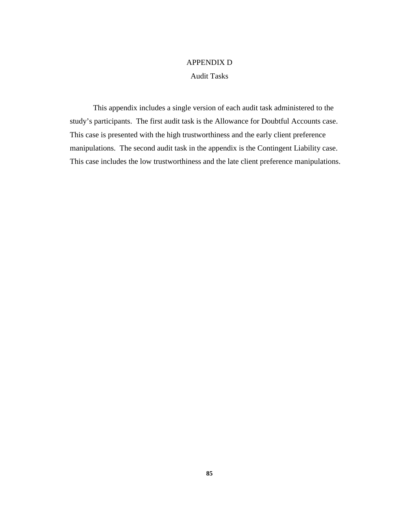# APPENDIX D Audit Tasks

This appendix includes a single version of each audit task administered to the study's participants. The first audit task is the Allowance for Doubtful Accounts case. This case is presented with the high trustworthiness and the early client preference manipulations. The second audit task in the appendix is the Contingent Liability case. This case includes the low trustworthiness and the late client preference manipulations.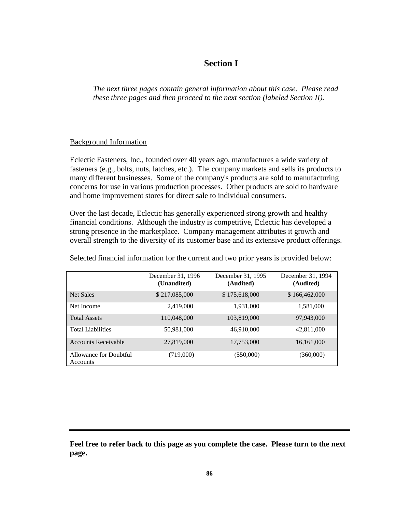# **Section I**

*The next three pages contain general information about this case. Please read these three pages and then proceed to the next section (labeled Section II).*

## Background Information

Eclectic Fasteners, Inc., founded over 40 years ago, manufactures a wide variety of fasteners (e.g., bolts, nuts, latches, etc.). The company markets and sells its products to many different businesses. Some of the company's products are sold to manufacturing concerns for use in various production processes. Other products are sold to hardware and home improvement stores for direct sale to individual consumers.

Over the last decade, Eclectic has generally experienced strong growth and healthy financial conditions. Although the industry is competitive, Eclectic has developed a strong presence in the marketplace. Company management attributes it growth and overall strength to the diversity of its customer base and its extensive product offerings.

|                                           | December 31, 1996<br>(Unaudited) | December 31, 1995<br>(Audited) | December 31, 1994<br>(Audited) |
|-------------------------------------------|----------------------------------|--------------------------------|--------------------------------|
| Net Sales                                 | \$217,085,000                    | \$175,618,000                  | \$166,462,000                  |
| Net Income                                | 2,419,000                        | 1,931,000                      | 1,581,000                      |
| <b>Total Assets</b>                       | 110,048,000                      | 103,819,000                    | 97,943,000                     |
| <b>Total Liabilities</b>                  | 50,981,000                       | 46,910,000                     | 42,811,000                     |
| <b>Accounts Receivable</b>                | 27,819,000                       | 17,753,000                     | 16,161,000                     |
| Allowance for Doubtful<br><b>Accounts</b> | (719,000)                        | (550,000)                      | (360,000)                      |

Selected financial information for the current and two prior years is provided below:

**Feel free to refer back to this page as you complete the case. Please turn to the next page.**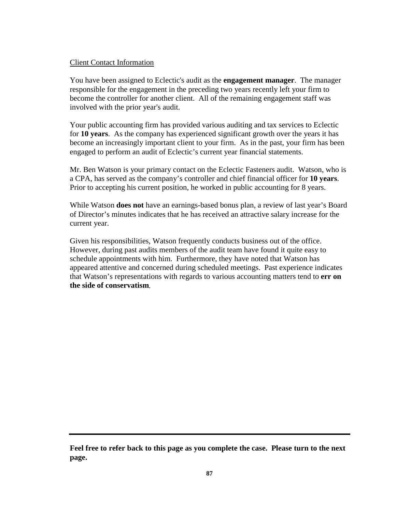## Client Contact Information

You have been assigned to Eclectic's audit as the **engagement manager**. The manager responsible for the engagement in the preceding two years recently left your firm to become the controller for another client. All of the remaining engagement staff was involved with the prior year's audit.

Your public accounting firm has provided various auditing and tax services to Eclectic for **10 years**. As the company has experienced significant growth over the years it has become an increasingly important client to your firm. As in the past, your firm has been engaged to perform an audit of Eclectic's current year financial statements.

Mr. Ben Watson is your primary contact on the Eclectic Fasteners audit. Watson, who is a CPA, has served as the company's controller and chief financial officer for **10 years**. Prior to accepting his current position, he worked in public accounting for 8 years.

While Watson **does not** have an earnings-based bonus plan, a review of last year's Board of Director's minutes indicates that he has received an attractive salary increase for the current year.

Given his responsibilities, Watson frequently conducts business out of the office. However, during past audits members of the audit team have found it quite easy to schedule appointments with him. Furthermore, they have noted that Watson has appeared attentive and concerned during scheduled meetings. Past experience indicates that Watson's representations with regards to various accounting matters tend to **err on the side of conservatism**.

**Feel free to refer back to this page as you complete the case. Please turn to the next page.**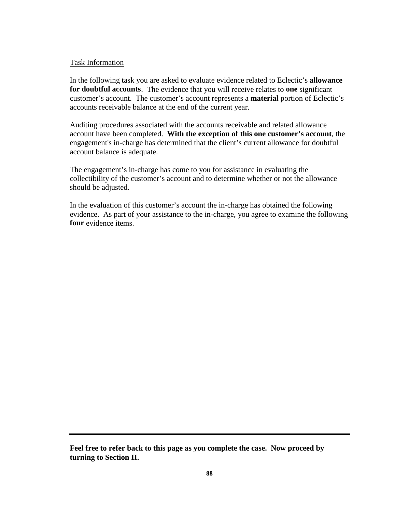### Task Information

In the following task you are asked to evaluate evidence related to Eclectic's **allowance for doubtful accounts**. The evidence that you will receive relates to **one** significant customer's account. The customer's account represents a **material** portion of Eclectic's accounts receivable balance at the end of the current year.

Auditing procedures associated with the accounts receivable and related allowance account have been completed. **With the exception of this one customer's account**, the engagement's in-charge has determined that the client's current allowance for doubtful account balance is adequate.

The engagement's in-charge has come to you for assistance in evaluating the collectibility of the customer's account and to determine whether or not the allowance should be adjusted.

In the evaluation of this customer's account the in-charge has obtained the following evidence. As part of your assistance to the in-charge, you agree to examine the following **four** evidence items.

**Feel free to refer back to this page as you complete the case. Now proceed by turning to Section II.**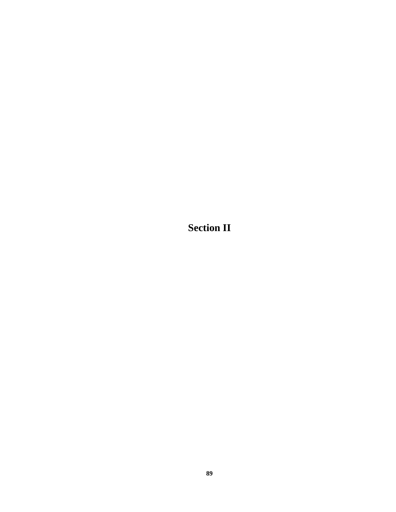**Section II**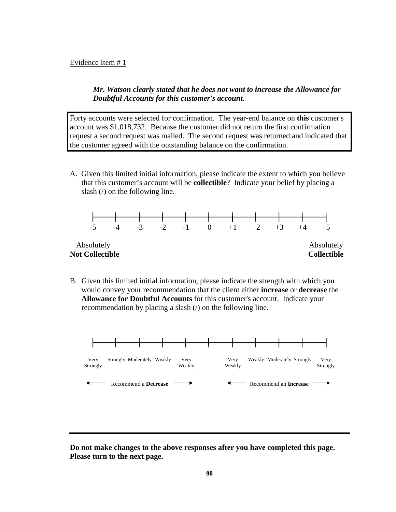## *Mr. Watson clearly stated that he does not want to increase the Allowance for Doubtful Accounts for this customer's account.*

Forty accounts were selected for confirmation. The year-end balance on **this** customer's account was \$1,018,732. Because the customer did not return the first confirmation request a second request was mailed. The second request was returned and indicated that the customer agreed with the outstanding balance on the confirmation.

A. Given this limited initial information, please indicate the extent to which you believe that this customer's account will be **collectible**? Indicate your belief by placing a slash (/) on the following line.



B. Given this limited initial information, please indicate the strength with which you would convey your recommendation that the client either **increase** or **decrease** the **Allowance for Doubtful Accounts** for this customer's account. Indicate your recommendation by placing a slash (/) on the following line.

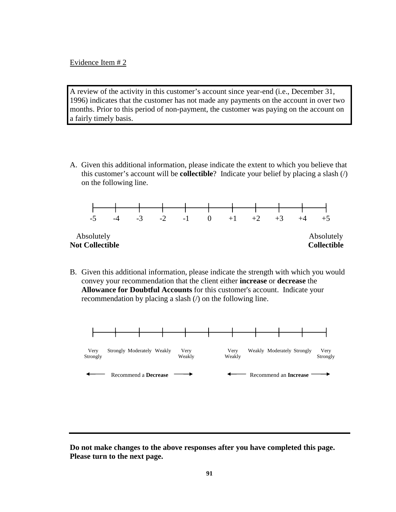A review of the activity in this customer's account since year-end (i.e., December 31, 1996) indicates that the customer has not made any payments on the account in over two months. Prior to this period of non-payment, the customer was paying on the account on a fairly timely basis.

A. Given this additional information, please indicate the extent to which you believe that this customer's account will be **collectible**? Indicate your belief by placing a slash (/) on the following line.



B. Given this additional information, please indicate the strength with which you would convey your recommendation that the client either **increase** or **decrease** the **Allowance for Doubtful Accounts** for this customer's account. Indicate your recommendation by placing a slash (/) on the following line.

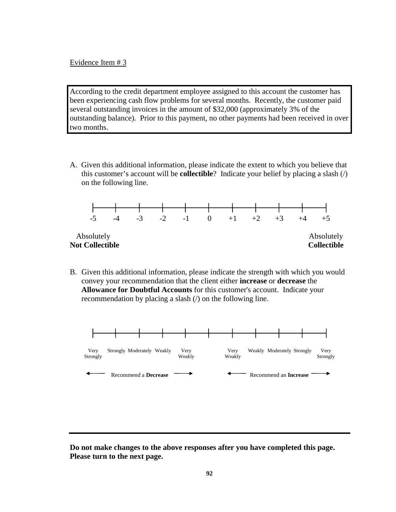According to the credit department employee assigned to this account the customer has been experiencing cash flow problems for several months. Recently, the customer paid several outstanding invoices in the amount of \$32,000 (approximately 3% of the outstanding balance). Prior to this payment, no other payments had been received in over two months.

A. Given this additional information, please indicate the extent to which you believe that this customer's account will be **collectible**? Indicate your belief by placing a slash (/) on the following line.



B. Given this additional information, please indicate the strength with which you would convey your recommendation that the client either **increase** or **decrease** the **Allowance for Doubtful Accounts** for this customer's account. Indicate your recommendation by placing a slash (/) on the following line.

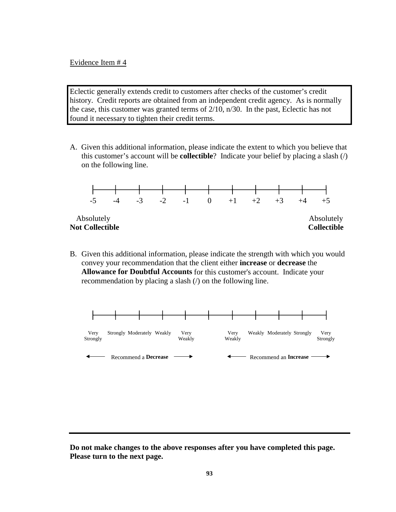Eclectic generally extends credit to customers after checks of the customer's credit history. Credit reports are obtained from an independent credit agency. As is normally the case, this customer was granted terms of 2/10, n/30. In the past, Eclectic has not found it necessary to tighten their credit terms.

A. Given this additional information, please indicate the extent to which you believe that this customer's account will be **collectible**? Indicate your belief by placing a slash (/) on the following line.



B. Given this additional information, please indicate the strength with which you would convey your recommendation that the client either **increase** or **decrease** the **Allowance for Doubtful Accounts** for this customer's account. Indicate your recommendation by placing a slash (/) on the following line.

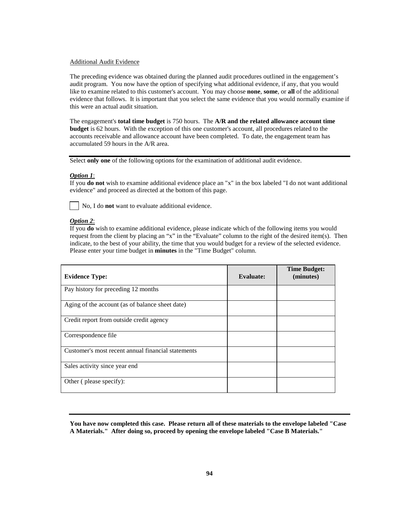#### Additional Audit Evidence

The preceding evidence was obtained during the planned audit procedures outlined in the engagement's audit program. You now have the option of specifying what additional evidence, if any, that you would like to examine related to this customer's account. You may choose **none**, **some**, or **all** of the additional evidence that follows. It is important that you select the same evidence that you would normally examine if this were an actual audit situation.

The engagement's **total time budget** is 750 hours. The **A/R and the related allowance account time budget** is 62 hours. With the exception of this one customer's account, all procedures related to the accounts receivable and allowance account have been completed. To date, the engagement team has accumulated 59 hours in the A/R area.

Select **only one** of the following options for the examination of additional audit evidence.

#### *Option 1*:

If you **do not** wish to examine additional evidence place an "x" in the box labeled "I do not want additional evidence" and proceed as directed at the bottom of this page.

No, I do **not** want to evaluate additional evidence.

#### *Option 2*:

If you **do** wish to examine additional evidence, please indicate which of the following items you would request from the client by placing an "x" in the "Evaluate" column to the right of the desired item(s). Then indicate, to the best of your ability, the time that you would budget for a review of the selected evidence. Please enter your time budget in **minutes** in the "Time Budget" column.

| <b>Evidence Type:</b>                              | <b>Evaluate:</b> | <b>Time Budget:</b><br>(minutes) |
|----------------------------------------------------|------------------|----------------------------------|
| Pay history for preceding 12 months                |                  |                                  |
| Aging of the account (as of balance sheet date)    |                  |                                  |
| Credit report from outside credit agency           |                  |                                  |
| Correspondence file                                |                  |                                  |
| Customer's most recent annual financial statements |                  |                                  |
| Sales activity since year end                      |                  |                                  |
| Other (please specify):                            |                  |                                  |

**You have now completed this case. Please return all of these materials to the envelope labeled "Case A Materials." After doing so, proceed by opening the envelope labeled "Case B Materials."**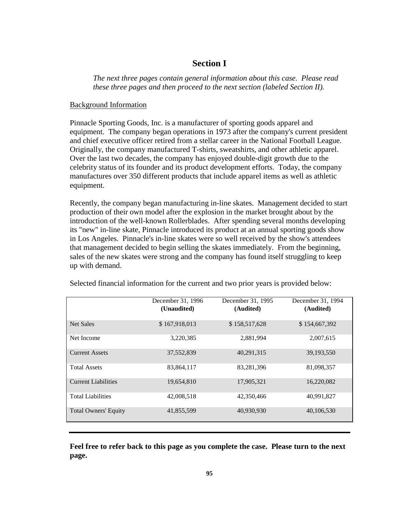# **Section I**

*The next three pages contain general information about this case. Please read these three pages and then proceed to the next section (labeled Section II).*

## Background Information

Pinnacle Sporting Goods, Inc. is a manufacturer of sporting goods apparel and equipment. The company began operations in 1973 after the company's current president and chief executive officer retired from a stellar career in the National Football League. Originally, the company manufactured T-shirts, sweatshirts, and other athletic apparel. Over the last two decades, the company has enjoyed double-digit growth due to the celebrity status of its founder and its product development efforts. Today, the company manufactures over 350 different products that include apparel items as well as athletic equipment.

Recently, the company began manufacturing in-line skates. Management decided to start production of their own model after the explosion in the market brought about by the introduction of the well-known Rollerblades. After spending several months developing its "new" in-line skate, Pinnacle introduced its product at an annual sporting goods show in Los Angeles. Pinnacle's in-line skates were so well received by the show's attendees that management decided to begin selling the skates immediately. From the beginning, sales of the new skates were strong and the company has found itself struggling to keep up with demand.

|                             | December 31, 1996<br>(Unaudited) | December 31, 1995<br>(Audited) | December 31, 1994<br>(Audited) |
|-----------------------------|----------------------------------|--------------------------------|--------------------------------|
| Net Sales                   | \$167,918,013                    | \$158,517,628                  | \$154,667,392                  |
| Net Income                  | 3,220,385                        | 2,881,994                      | 2,007,615                      |
| <b>Current Assets</b>       | 37,552,839                       | 40,291,315                     | 39,193,550                     |
| <b>Total Assets</b>         | 83.864.117                       | 83.281.396                     | 81,098,357                     |
| <b>Current Liabilities</b>  | 19.654.810                       | 17,905,321                     | 16,220,082                     |
| <b>Total Liabilities</b>    | 42,008,518                       | 42,350,466                     | 40,991,827                     |
| <b>Total Owners' Equity</b> | 41,855,599                       | 40,930,930                     | 40,106,530                     |

Selected financial information for the current and two prior years is provided below:

**Feel free to refer back to this page as you complete the case. Please turn to the next page.**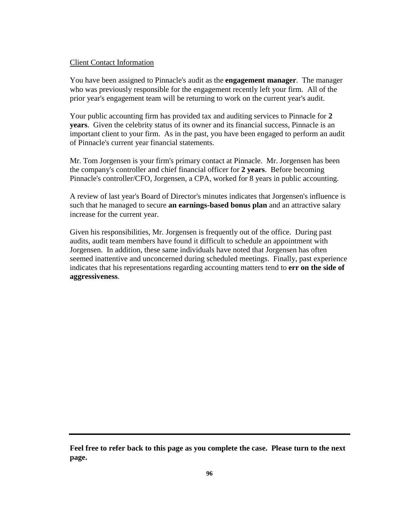### Client Contact Information

You have been assigned to Pinnacle's audit as the **engagement manager**. The manager who was previously responsible for the engagement recently left your firm. All of the prior year's engagement team will be returning to work on the current year's audit.

Your public accounting firm has provided tax and auditing services to Pinnacle for **2 years**. Given the celebrity status of its owner and its financial success, Pinnacle is an important client to your firm. As in the past, you have been engaged to perform an audit of Pinnacle's current year financial statements.

Mr. Tom Jorgensen is your firm's primary contact at Pinnacle. Mr. Jorgensen has been the company's controller and chief financial officer for **2 years**. Before becoming Pinnacle's controller/CFO, Jorgensen, a CPA, worked for 8 years in public accounting.

A review of last year's Board of Director's minutes indicates that Jorgensen's influence is such that he managed to secure **an earnings-based bonus plan** and an attractive salary increase for the current year.

Given his responsibilities, Mr. Jorgensen is frequently out of the office. During past audits, audit team members have found it difficult to schedule an appointment with Jorgensen. In addition, these same individuals have noted that Jorgensen has often seemed inattentive and unconcerned during scheduled meetings. Finally, past experience indicates that his representations regarding accounting matters tend to **err on the side of aggressiveness**.

**Feel free to refer back to this page as you complete the case. Please turn to the next page.**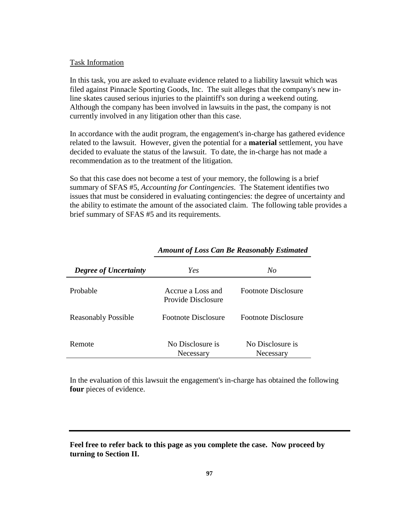#### Task Information

In this task, you are asked to evaluate evidence related to a liability lawsuit which was filed against Pinnacle Sporting Goods, Inc. The suit alleges that the company's new inline skates caused serious injuries to the plaintiff's son during a weekend outing. Although the company has been involved in lawsuits in the past, the company is not currently involved in any litigation other than this case.

In accordance with the audit program, the engagement's in-charge has gathered evidence related to the lawsuit. However, given the potential for a **material** settlement, you have decided to evaluate the status of the lawsuit. To date, the in-charge has not made a recommendation as to the treatment of the litigation.

So that this case does not become a test of your memory, the following is a brief summary of SFAS #5, *Accounting for Contingencies*. The Statement identifies two issues that must be considered in evaluating contingencies: the degree of uncertainty and the ability to estimate the amount of the associated claim. The following table provides a brief summary of SFAS #5 and its requirements.

| <b>Degree of Uncertainty</b> | Yes                                     | No                            |
|------------------------------|-----------------------------------------|-------------------------------|
| Probable                     | Accrue a Loss and<br>Provide Disclosure | Footnote Disclosure           |
| <b>Reasonably Possible</b>   | Footnote Disclosure                     | Footnote Disclosure           |
| Remote                       | No Disclosure is<br>Necessary           | No Disclosure is<br>Necessary |

## *Amount of Loss Can Be Reasonably Estimated*

In the evaluation of this lawsuit the engagement's in-charge has obtained the following **four** pieces of evidence.

**Feel free to refer back to this page as you complete the case. Now proceed by turning to Section II.**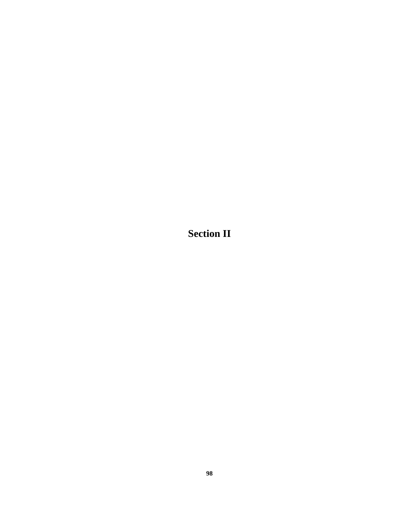**Section II**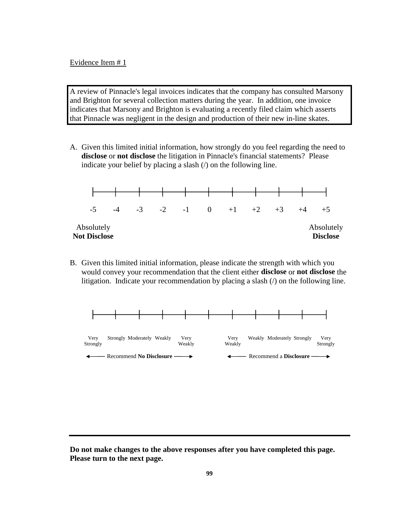A review of Pinnacle's legal invoices indicates that the company has consulted Marsony and Brighton for several collection matters during the year. In addition, one invoice indicates that Marsony and Brighton is evaluating a recently filed claim which asserts that Pinnacle was negligent in the design and production of their new in-line skates.

A. Given this limited initial information, how strongly do you feel regarding the need to **disclose** or **not disclose** the litigation in Pinnacle's financial statements? Please indicate your belief by placing a slash (/) on the following line.



B. Given this limited initial information, please indicate the strength with which you would convey your recommendation that the client either **disclose** or **not disclose** the litigation. Indicate your recommendation by placing a slash (*/*) on the following line.

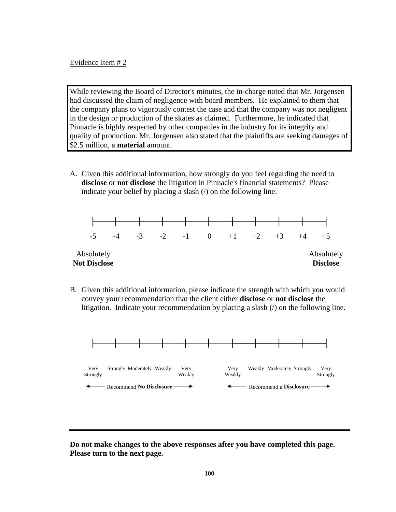Evidence Item # 2

While reviewing the Board of Director's minutes, the in-charge noted that Mr. Jorgensen had discussed the claim of negligence with board members. He explained to them that the company plans to vigorously contest the case and that the company was not negligent in the design or production of the skates as claimed. Furthermore, he indicated that Pinnacle is highly respected by other companies in the industry for its integrity and quality of production. Mr. Jorgensen also stated that the plaintiffs are seeking damages of \$2.5 million, a **material** amount.

A. Given this additional information, how strongly do you feel regarding the need to **disclose** or **not disclose** the litigation in Pinnacle's financial statements? Please indicate your belief by placing a slash  $($  $)$  on the following line.



B. Given this additional information, please indicate the strength with which you would convey your recommendation that the client either **disclose** or **not disclose** the litigation. Indicate your recommendation by placing a slash (/) on the following line.



**Do not make changes to the above responses after you have completed this page. Please turn to the next page.**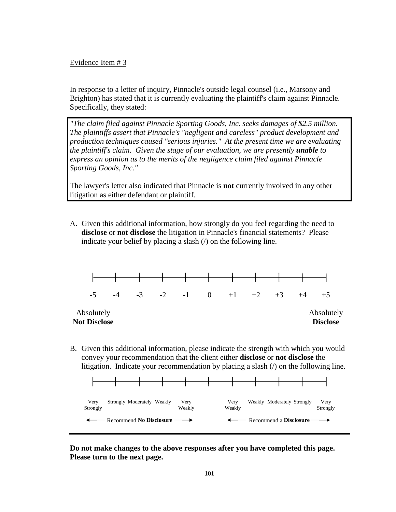Evidence Item # 3

In response to a letter of inquiry, Pinnacle's outside legal counsel (i.e., Marsony and Brighton) has stated that it is currently evaluating the plaintiff's claim against Pinnacle. Specifically, they stated:

*"The claim filed against Pinnacle Sporting Goods, Inc. seeks damages of \$2.5 million. The plaintiffs assert that Pinnacle's "negligent and careless" product development and production techniques caused "serious injuries." At the present time we are evaluating the plaintiff's claim. Given the stage of our evaluation, we are presently unable to express an opinion as to the merits of the negligence claim filed against Pinnacle Sporting Goods, Inc."*

The lawyer's letter also indicated that Pinnacle is **not** currently involved in any other litigation as either defendant or plaintiff.

A. Given this additional information, how strongly do you feel regarding the need to **disclose** or **not disclose** the litigation in Pinnacle's financial statements? Please indicate your belief by placing a slash  $($  $)$  on the following line.



B. Given this additional information, please indicate the strength with which you would convey your recommendation that the client either **disclose** or **not disclose** the litigation. Indicate your recommendation by placing a slash (/) on the following line.



**Do not make changes to the above responses after you have completed this page. Please turn to the next page.**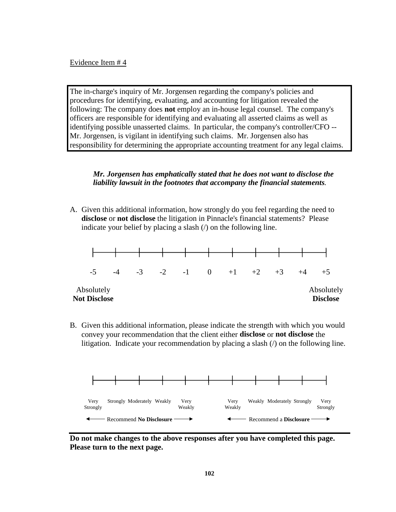Evidence Item # 4

The in-charge's inquiry of Mr. Jorgensen regarding the company's policies and procedures for identifying, evaluating, and accounting for litigation revealed the following: The company does **not** employ an in-house legal counsel. The company's officers are responsible for identifying and evaluating all asserted claims as well as identifying possible unasserted claims. In particular, the company's controller/CFO -- Mr. Jorgensen, is vigilant in identifying such claims. Mr. Jorgensen also has responsibility for determining the appropriate accounting treatment for any legal claims.

## *Mr. Jorgensen has emphatically stated that he does not want to disclose the liability lawsuit in the footnotes that accompany the financial statements.*

A. Given this additional information, how strongly do you feel regarding the need to **disclose** or **not disclose** the litigation in Pinnacle's financial statements? Please indicate your belief by placing a slash (*/*) on the following line.



B. Given this additional information, please indicate the strength with which you would convey your recommendation that the client either **disclose** or **not disclose** the litigation. Indicate your recommendation by placing a slash (/) on the following line.



**Do not make changes to the above responses after you have completed this page. Please turn to the next page.**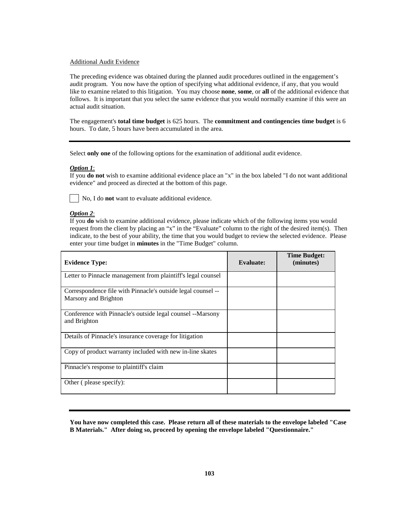### Additional Audit Evidence

The preceding evidence was obtained during the planned audit procedures outlined in the engagement's audit program. You now have the option of specifying what additional evidence, if any, that you would like to examine related to this litigation. You may choose **none**, **some**, or **all** of the additional evidence that follows. It is important that you select the same evidence that you would normally examine if this were an actual audit situation.

The engagement's **total time budget** is 625 hours. The **commitment and contingencies time budget** is 6 hours. To date, 5 hours have been accumulated in the area.

Select **only one** of the following options for the examination of additional audit evidence.

#### *Option 1*:

If you **do not** wish to examine additional evidence place an "x" in the box labeled "I do not want additional evidence" and proceed as directed at the bottom of this page.

No, I do **not** want to evaluate additional evidence.

### *Option 2*:

If you **do** wish to examine additional evidence, please indicate which of the following items you would request from the client by placing an "x" in the "Evaluate" column to the right of the desired item(s). Then indicate, to the best of your ability, the time that you would budget to review the selected evidence. Please enter your time budget in **minutes** in the "Time Budget" column.

| <b>Evidence Type:</b>                                                                | <b>Evaluate:</b> | <b>Time Budget:</b><br>(minutes) |
|--------------------------------------------------------------------------------------|------------------|----------------------------------|
| Letter to Pinnacle management from plaintiff's legal counsel                         |                  |                                  |
| Correspondence file with Pinnacle's outside legal counsel --<br>Marsony and Brighton |                  |                                  |
| Conference with Pinnacle's outside legal counsel --Marsony<br>and Brighton           |                  |                                  |
| Details of Pinnacle's insurance coverage for litigation                              |                  |                                  |
| Copy of product warranty included with new in-line skates                            |                  |                                  |
| Pinnacle's response to plaintiff's claim                                             |                  |                                  |
| Other (please specify):                                                              |                  |                                  |

**You have now completed this case. Please return all of these materials to the envelope labeled "Case B Materials." After doing so, proceed by opening the envelope labeled "Questionnaire."**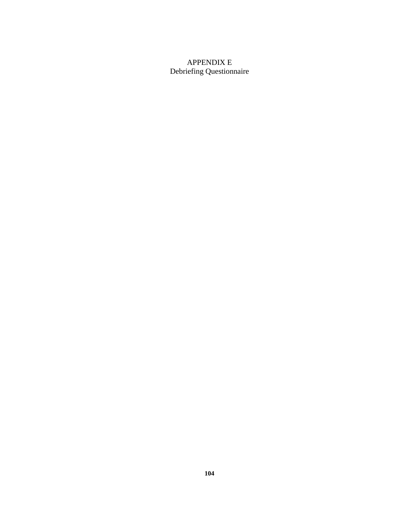# APPENDIX E Debriefing Questionnaire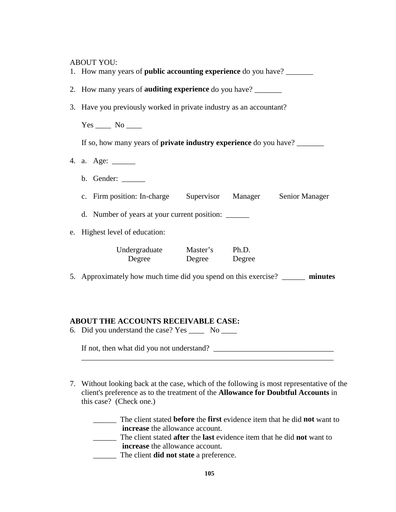ABOUT VOU

| ADOUT TOO.<br>1. How many years of <b>public accounting experience</b> do you have? |  |  |
|-------------------------------------------------------------------------------------|--|--|
| 2. How many years of <b>auditing experience</b> do you have?                        |  |  |
| 3. Have you previously worked in private industry as an accountant?                 |  |  |
| $Yes \_\_\_ No \_\_\_$                                                              |  |  |
| If so, how many years of <b>private industry experience</b> do you have?            |  |  |
| 4. a. Age: ______                                                                   |  |  |
| b. Gender: ______                                                                   |  |  |
| c. Firm position: In-charge Supervisor Manager Senior Manager                       |  |  |
| d. Number of years at your current position:                                        |  |  |
| e. Highest level of education:                                                      |  |  |
| Undergraduate Master's Ph.D.<br>Degree Degree Degree                                |  |  |
| 5. Approximately how much time did you spend on this exercise? _______ minutes      |  |  |
|                                                                                     |  |  |
| ABOUT THE ACCOUNTS RECEIVABLE CASE:                                                 |  |  |
| 6. Did you understand the case? Yes _____<br>N <sub>0</sub>                         |  |  |

If not, then what did you not understand? \_\_\_\_\_\_\_\_\_\_\_\_\_\_\_\_\_\_\_\_\_\_\_\_\_\_\_\_\_\_\_

7. Without looking back at the case, which of the following is most representative of the client's preference as to the treatment of the **Allowance for Doubtful Accounts** in this case? (Check one.)

\_\_\_\_\_\_\_\_\_\_\_\_\_\_\_\_\_\_\_\_\_\_\_\_\_\_\_\_\_\_\_\_\_\_\_\_\_\_\_\_\_\_\_\_\_\_\_\_\_\_\_\_\_\_\_\_\_\_\_\_\_\_\_\_\_

\_\_\_\_\_\_ The client stated **before** the **first** evidence item that he did **not** want to **increase** the allowance account.

- \_\_\_\_\_\_ The client stated **after** the **last** evidence item that he did **not** want to **increase** the allowance account.
- \_\_\_\_\_\_ The client **did not state** a preference.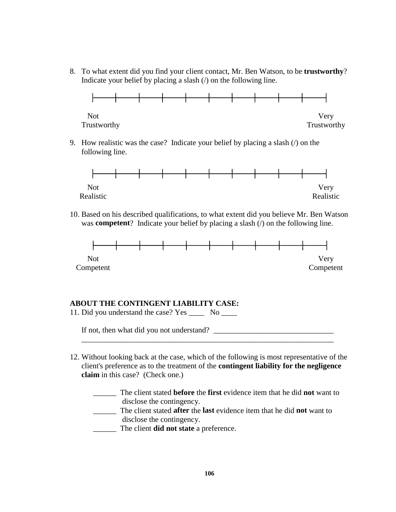8. To what extent did you find your client contact, Mr. Ben Watson, to be **trustworthy**? Indicate your belief by placing a slash (/) on the following line.



9. How realistic was the case? Indicate your belief by placing a slash (/) on the following line.



10. Based on his described qualifications, to what extent did you believe Mr. Ben Watson was **competent**? Indicate your belief by placing a slash (*/*) on the following line.



## **ABOUT THE CONTINGENT LIABILITY CASE:**

| 11. Did you understand the case? Yes      |  |
|-------------------------------------------|--|
| If not, then what did you not understand? |  |
|                                           |  |

12. Without looking back at the case, which of the following is most representative of the client's preference as to the treatment of the **contingent liability for the negligence claim** in this case? (Check one.)

| The client stated <b>before</b> the <b>first</b> evidence item that he did <b>not</b> want to |
|-----------------------------------------------------------------------------------------------|
| disclose the contingency.                                                                     |
| The client stated <b>after</b> the <b>last</b> evidence item that he did <b>not</b> want to   |
| disclose the contingency.                                                                     |
| The client <b>did not state</b> a preference.                                                 |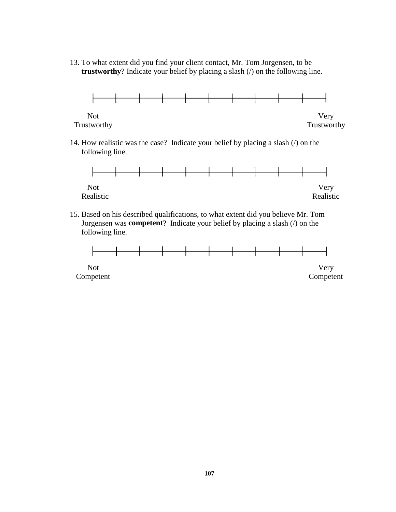13. To what extent did you find your client contact, Mr. Tom Jorgensen, to be **trustworthy**? Indicate your belief by placing a slash (/) on the following line.



14. How realistic was the case? Indicate your belief by placing a slash (/) on the following line.



15. Based on his described qualifications, to what extent did you believe Mr. Tom Jorgensen was **competent**? Indicate your belief by placing a slash (/) on the following line.

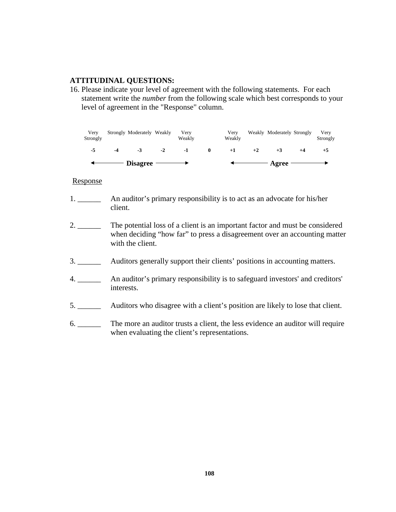## **ATTITUDINAL QUESTIONS:**

16. Please indicate your level of agreement with the following statements. For each statement write the *number* from the following scale which best corresponds to your level of agreement in the "Response" column.

Very Strongly Moderately Weakly Very Very Weakly Moderately Strongly Very Strongly Weakly Weakly Strongly **-5 -4 -3 -2 -1 0 +1 +2 +3 +4 +5**  $Disagree \longrightarrow$   $\leftarrow$  Agree ◢

## Response

- 1. \_\_\_\_\_\_ An auditor's primary responsibility is to act as an advocate for his/her client.
- 2. \_\_\_\_\_\_\_ The potential loss of a client is an important factor and must be considered when deciding "how far" to press a disagreement over an accounting matter with the client.
- 3. \_\_\_\_\_\_ Auditors generally support their clients' positions in accounting matters.
- 4. \_\_\_\_\_\_ An auditor's primary responsibility is to safeguard investors' and creditors' interests.
- 5. \_\_\_\_\_\_ Auditors who disagree with a client's position are likely to lose that client.
- 6. \_\_\_\_\_\_ The more an auditor trusts a client, the less evidence an auditor will require when evaluating the client's representations.